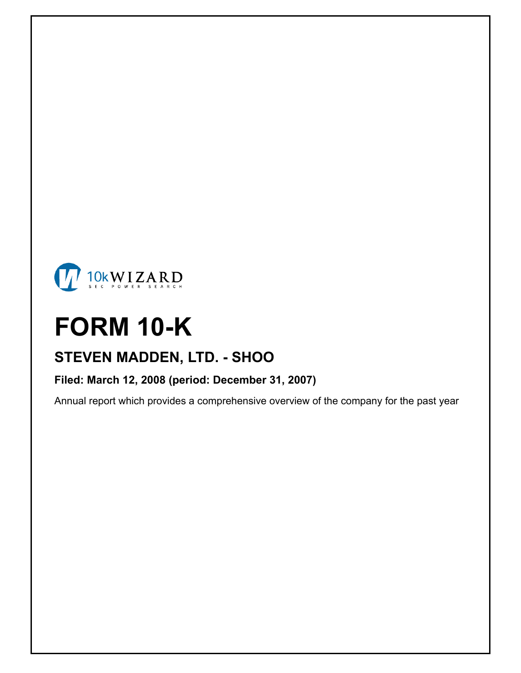

 $\overline{\phantom{a}}$ 

 $\overline{\phantom{a}}$ 

# **FORM 10-K**

## **STEVEN MADDEN, LTD. - SHOO**

## **Filed: March 12, 2008 (period: December 31, 2007)**

Annual report which provides a comprehensive overview of the company for the past year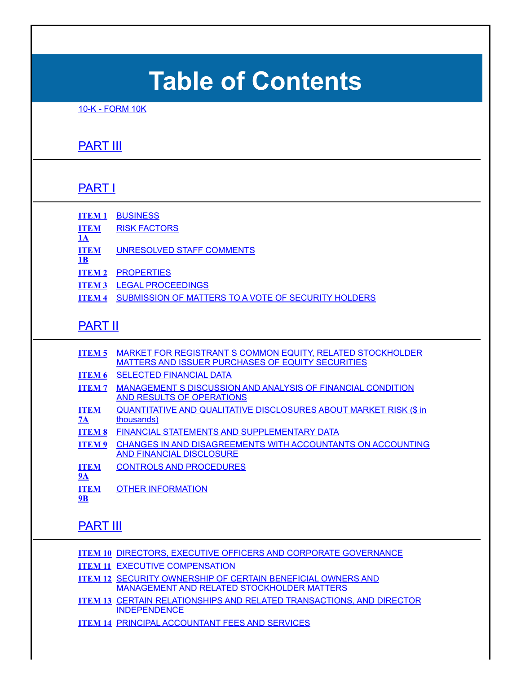# **Table of Contents**

[10-K - FORM 10K](#page-3-0)

## **[PART III](#page-3-0)**

## [PART I](#page-5-0)

**[ITEM](#page-14-0) [1A](#page-14-0)** [RISK FACTORS](#page-14-0)

**[ITEM](#page-18-0)** [UNRESOLVED STAFF COMMENTS](#page-18-0)

**[1B](#page-18-0) [ITEM 2](#page-18-0)** [PROPERTIES](#page-18-0)

**[ITEM 3](#page-19-0)** [LEGAL PROCEEDINGS](#page-19-0)

**[ITEM 4](#page-19-0)** [SUBMISSION OF MATTERS TO A VOTE OF SECURITY HOLDERS](#page-19-0)

## **[PART II](#page-20-0)**

| <b>ITEM 5</b>     | <b>MARKET FOR REGISTRANT S COMMON EQUITY, RELATED STOCKHOLDER</b><br><b>MATTERS AND ISSUER PURCHASES OF EQUITY SECURITIES</b> |
|-------------------|-------------------------------------------------------------------------------------------------------------------------------|
| <b>ITEM 6</b>     | <b>SELECTED FINANCIAL DATA</b>                                                                                                |
| <b>ITEM7</b>      | <b>MANAGEMENT S DISCUSSION AND ANALYSIS OF FINANCIAL CONDITION</b><br><b>AND RESULTS OF OPERATIONS</b>                        |
| <b>ITEM</b><br>7A | QUANTITATIVE AND QUALITATIVE DISCLOSURES ABOUT MARKET RISK (\$ in<br>thousands)                                               |
| <b>ITEM 8</b>     | FINANCIAL STATEMENTS AND SUPPLEMENTARY DATA                                                                                   |
| <b>ITEM9</b>      | CHANGES IN AND DISAGREEMENTS WITH ACCOUNTANTS ON ACCOUNTING<br><b>AND FINANCIAL DISCLOSURE</b>                                |
| ШЕМ<br>9A         | <b>CONTROLS AND PROCEDURES</b>                                                                                                |

**[ITEM](#page-34-0) [9B](#page-34-0) [OTHER INFORMATION](#page-34-0)** 

### **[PART III](#page-35-0)**

| <b>ITEM 10 DIRECTORS, EXECUTIVE OFFICERS AND CORPORATE GOVERNANCE</b>                                                   |
|-------------------------------------------------------------------------------------------------------------------------|
| <b>ITEM 11 EXECUTIVE COMPENSATION</b>                                                                                   |
| <b>ITEM 12 SECURITY OWNERSHIP OF CERTAIN BENEFICIAL OWNERS AND</b><br><b>MANAGEMENT AND RELATED STOCKHOLDER MATTERS</b> |
| <b>ITEM 13 CERTAIN RELATIONSHIPS AND RELATED TRANSACTIONS, AND DIRECTOR</b><br><b>INDEPENDENCE</b>                      |
| <b>ITEM 14 PRINCIPAL ACCOUNTANT FEES AND SERVICES</b>                                                                   |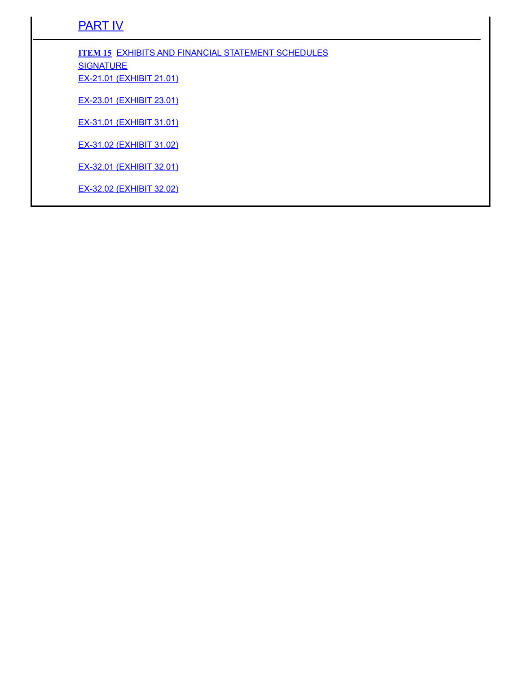## **[PART IV](#page-35-0)**

**[ITEM 15](#page-35-0)** [EXHIBITS AND FINANCIAL STATEMENT SCHEDULES](#page-35-0) **[SIGNATURE](#page-72-0)** [EX-21.01 \(EXHIBIT 21.01\)](#page-74-0)

[EX-23.01 \(EXHIBIT 23.01\)](#page-75-0)

[EX-31.01 \(EXHIBIT 31.01\)](#page-76-0)

[EX-31.02 \(EXHIBIT 31.02\)](#page-77-0)

[EX-32.01 \(EXHIBIT 32.01\)](#page-78-0)

[EX-32.02 \(EXHIBIT 32.02\)](#page-79-0)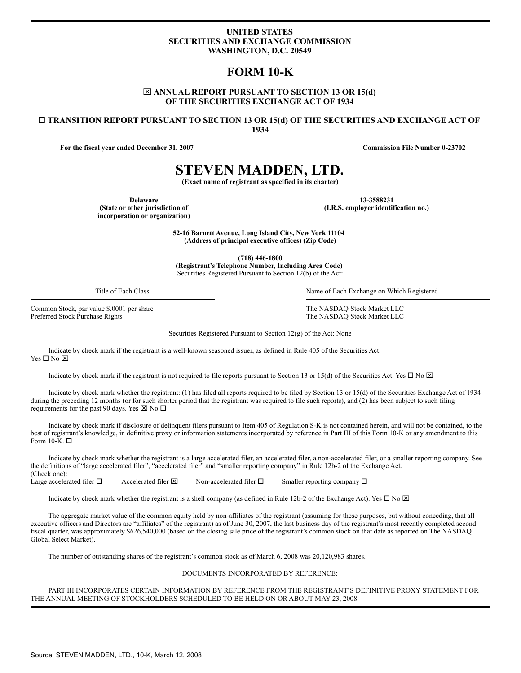#### **UNITED STATES SECURITIES AND EXCHANGE COMMISSION WASHINGTON, D.C. 20549**

### **FORM 10-K**

#### ⌧ **ANNUAL REPORT PURSUANT TO SECTION 13 OR 15(d) OF THE SECURITIES EXCHANGE ACT OF 1934**

<span id="page-3-0"></span>� **TRANSITION REPORT PURSUANT TO SECTION 13 OR 15(d) OF THE SECURITIES AND EXCHANGE ACT OF 1934**

**For the fiscal year ended December 31, 2007 Commission File Number 0-23702**

## **STEVEN MADDEN, LTD.**

**(Exact name of registrant as specified in its charter)**

**Delaware 13-3588231 incorporation or organization)**

**(State or other jurisdiction of (I.R.S. employer identification no.)**

**52-16 Barnett Avenue, Long Island City, New York 11104 (Address of principal executive offices) (Zip Code)**

**(718) 446-1800**

**(Registrant's Telephone Number, Including Area Code)** Securities Registered Pursuant to Section 12(b) of the Act:

Title of Each Class Name of Each Exchange on Which Registered

Common Stock, par value \$.0001 per share The NASDAQ Stock Market LLC<br>Preferred Stock Purchase Rights The NASDAQ Stock Market LLC

The NASDAQ Stock Market LLC

Securities Registered Pursuant to Section 12(g) of the Act: None

 Indicate by check mark if the registrant is a well-known seasoned issuer, as defined in Rule 405 of the Securities Act. Yes □ No ⊠

Indicate by check mark if the registrant is not required to file reports pursuant to Section 13 or 15(d) of the Securities Act. Yes  $\Box$  No  $\boxtimes$ 

 Indicate by check mark whether the registrant: (1) has filed all reports required to be filed by Section 13 or 15(d) of the Securities Exchange Act of 1934 during the preceding 12 months (or for such shorter period that the registrant was required to file such reports), and (2) has been subject to such filing requirements for the past 90 days. Yes  $\boxtimes$  No  $\Box$ 

 Indicate by check mark if disclosure of delinquent filers pursuant to Item 405 of Regulation S-K is not contained herein, and will not be contained, to the best of registrant's knowledge, in definitive proxy or information statements incorporated by reference in Part III of this Form 10-K or any amendment to this Form 10-K.  $\Box$ 

 Indicate by check mark whether the registrant is a large accelerated filer, an accelerated filer, a non-accelerated filer, or a smaller reporting company. See the definitions of "large accelerated filer", "accelerated filer" and "smaller reporting company" in Rule 12b-2 of the Exchange Act. (Check one):<br>Large accelerated filer  $\square$ 

Accelerated filer  $\boxtimes$  Non-accelerated filer  $\square$  Smaller reporting company  $\square$ 

Indicate by check mark whether the registrant is a shell company (as defined in Rule 12b-2 of the Exchange Act). Yes  $\Box$  No  $\boxtimes$ 

 The aggregate market value of the common equity held by non-affiliates of the registrant (assuming for these purposes, but without conceding, that all executive officers and Directors are "affiliates" of the registrant) as of June 30, 2007, the last business day of the registrant's most recently completed second fiscal quarter, was approximately \$626,540,000 (based on the closing sale price of the registrant's common stock on that date as reported on The NASDAQ Global Select Market).

The number of outstanding shares of the registrant's common stock as of March 6, 2008 was 20,120,983 shares.

#### DOCUMENTS INCORPORATED BY REFERENCE:

 PART III INCORPORATES CERTAIN INFORMATION BY REFERENCE FROM THE REGISTRANT'S DEFINITIVE PROXY STATEMENT FOR THE ANNUAL MEETING OF STOCKHOLDERS SCHEDULED TO BE HELD ON OR ABOUT MAY 23, 2008.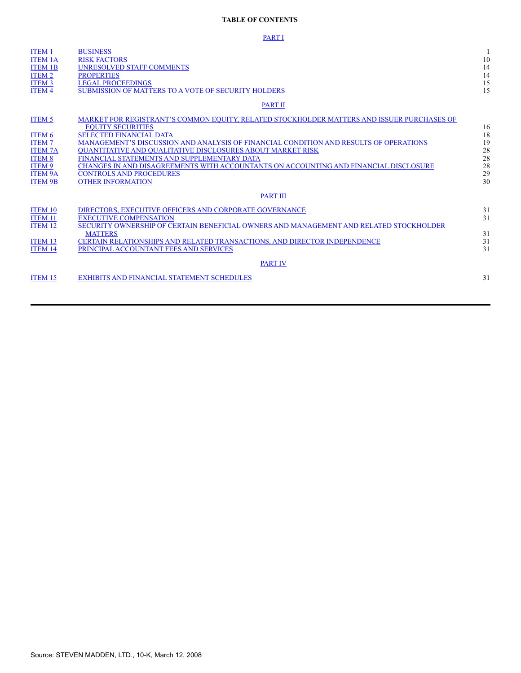#### **TABLE OF CONTENTS**

#### [PART I](#page-5-0)

| <b>ITEM1</b><br><b>ITEM 1A</b><br><b>ITEM 1B</b><br><b>ITEM2</b><br><b>ITEM 3</b><br><b>ITEM4</b> | <b>BUSINESS</b><br><b>RISK FACTORS</b><br><b>UNRESOLVED STAFF COMMENTS</b><br><b>PROPERTIES</b><br><b>LEGAL PROCEEDINGS</b><br><b>SUBMISSION OF MATTERS TO A VOTE OF SECURITY HOLDERS</b> | 10<br>14<br>14<br>15<br>15 |
|---------------------------------------------------------------------------------------------------|-------------------------------------------------------------------------------------------------------------------------------------------------------------------------------------------|----------------------------|
|                                                                                                   | <b>PART II</b>                                                                                                                                                                            |                            |
| <b>ITEM 5</b>                                                                                     | MARKET FOR REGISTRANT'S COMMON EOUITY, RELATED STOCKHOLDER MATTERS AND ISSUER PURCHASES OF<br><b>EQUITY SECURITIES</b>                                                                    | 16                         |
| <b>ITEM 6</b>                                                                                     | <b>SELECTED FINANCIAL DATA</b>                                                                                                                                                            | 18                         |
| <b>ITEM7</b>                                                                                      | MANAGEMENT'S DISCUSSION AND ANALYSIS OF FINANCIAL CONDITION AND RESULTS OF OPERATIONS                                                                                                     | 19                         |
| <b>ITEM 7A</b>                                                                                    | <b>OUANTITATIVE AND OUALITATIVE DISCLOSURES ABOUT MARKET RISK</b>                                                                                                                         | 28<br>28                   |
| <b>ITEM 8</b>                                                                                     | FINANCIAL STATEMENTS AND SUPPLEMENTARY DATA<br>CHANGES IN AND DISAGREEMENTS WITH ACCOUNTANTS ON ACCOUNTING AND FINANCIAL DISCLOSURE                                                       | 28                         |
| <b>ITEM9</b><br><b>ITEM 9A</b>                                                                    | <b>CONTROLS AND PROCEDURES</b>                                                                                                                                                            | 29                         |
| <b>ITEM 9B</b>                                                                                    | <b>OTHER INFORMATION</b>                                                                                                                                                                  | 30                         |
|                                                                                                   | <b>PART III</b>                                                                                                                                                                           |                            |
| <b>ITEM 10</b>                                                                                    | DIRECTORS. EXECUTIVE OFFICERS AND CORPORATE GOVERNANCE                                                                                                                                    | 31                         |
| <b>ITEM 11</b>                                                                                    | <b>EXECUTIVE COMPENSATION</b>                                                                                                                                                             | 31                         |
| <b>ITEM 12</b>                                                                                    | SECURITY OWNERSHIP OF CERTAIN BENEFICIAL OWNERS AND MANAGEMENT AND RELATED STOCKHOLDER                                                                                                    |                            |
|                                                                                                   | <b>MATTERS</b>                                                                                                                                                                            | 31                         |
| <b>ITEM 13</b>                                                                                    | CERTAIN RELATIONSHIPS AND RELATED TRANSACTIONS. AND DIRECTOR INDEPENDENCE                                                                                                                 | 31                         |
| <b>ITEM 14</b>                                                                                    | PRINCIPAL ACCOUNTANT FEES AND SERVICES                                                                                                                                                    | 31                         |
|                                                                                                   | <b>PART IV</b>                                                                                                                                                                            |                            |
| <b>ITEM 15</b>                                                                                    | <b>EXHIBITS AND FINANCIAL STATEMENT SCHEDULES</b>                                                                                                                                         | 31                         |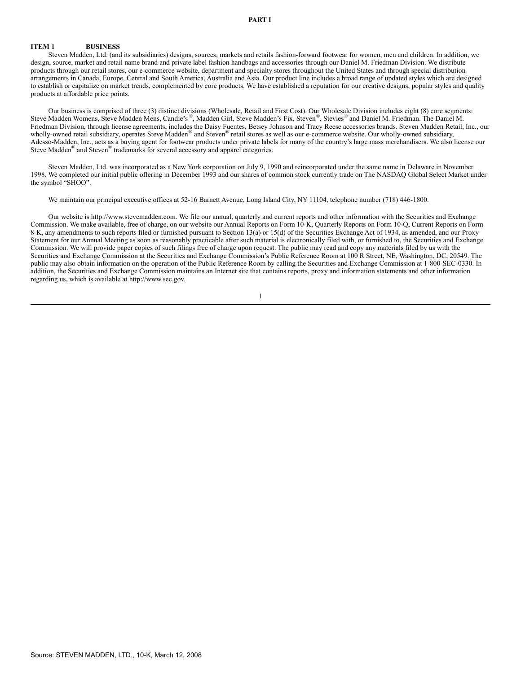#### **PART I**

#### <span id="page-5-0"></span>**ITEM 1 BUSINESS**

 Steven Madden, Ltd. (and its subsidiaries) designs, sources, markets and retails fashion-forward footwear for women, men and children. In addition, we design, source, market and retail name brand and private label fashion handbags and accessories through our Daniel M. Friedman Division. We distribute products through our retail stores, our e-commerce website, department and specialty stores throughout the United States and through special distribution arrangements in Canada, Europe, Central and South America, Australia and Asia. Our product line includes a broad range of updated styles which are designed to establish or capitalize on market trends, complemented by core products. We have established a reputation for our creative designs, popular styles and quality products at affordable price points.

 Our business is comprised of three (3) distinct divisions (Wholesale, Retail and First Cost). Our Wholesale Division includes eight (8) core segments: Steve Madden Womens, Steve Madden Mens, Candie's®, Madden Girl, Steve Madden's Fix, Steven®, Stevies® and Daniel M. Friedman. The Daniel M. Friedman Division, through license agreements, includes the Daisy Fuentes, Betsey Johnson and Tracy Reese accessories brands. Steven Madden Retail, Inc., our<br>wholly-owned retail subsidiary, operates Steve Madden® and Steve Adesso-Madden, Inc., acts as a buying agent for footwear products under private labels for many of the country's large mass merchandisers. We also license our Steve Madden<sup>®</sup> and Steven<sup>®</sup> trademarks for several accessory and apparel categories.

 Steven Madden, Ltd. was incorporated as a New York corporation on July 9, 1990 and reincorporated under the same name in Delaware in November 1998. We completed our initial public offering in December 1993 and our shares of common stock currently trade on The NASDAQ Global Select Market under the symbol "SHOO".

We maintain our principal executive offices at 52-16 Barnett Avenue, Long Island City, NY 11104, telephone number (718) 446-1800.

 Our website is http://www.stevemadden.com. We file our annual, quarterly and current reports and other information with the Securities and Exchange Commission. We make available, free of charge, on our website our Annual Reports on Form 10-K, Quarterly Reports on Form 10-Q, Current Reports on Form 8-K, any amendments to such reports filed or furnished pursuant to Section 13(a) or 15(d) of the Securities Exchange Act of 1934, as amended, and our Proxy Statement for our Annual Meeting as soon as reasonably practicable after such material is electronically filed with, or furnished to, the Securities and Exchange Commission. We will provide paper copies of such filings free of charge upon request. The public may read and copy any materials filed by us with the Securities and Exchange Commission at the Securities and Exchange Commission's Public Reference Room at 100 R Street, NE, Washington, DC, 20549. The public may also obtain information on the operation of the Public Reference Room by calling the Securities and Exchange Commission at 1-800-SEC-0330. In addition, the Securities and Exchange Commission maintains an Internet site that contains reports, proxy and information statements and other information regarding us, which is available at http://www.sec.gov.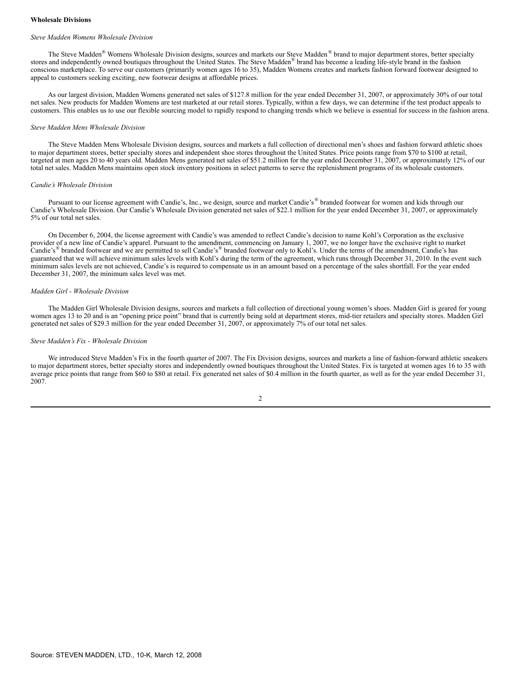#### **Wholesale Divisions**

#### *Steve Madden Womens Wholesale Division*

The Steve Madden® Womens Wholesale Division designs, sources and markets our Steve Madden® brand to major department stores, better specialty stores and independently owned boutiques throughout the United States. The Steve Madden<sup>®</sup> brand has become a leading life-style brand in the fashion conscious marketplace. To serve our customers (primarily women ages 16 to 35), Madden Womens creates and markets fashion forward footwear designed to appeal to customers seeking exciting, new footwear designs at affordable prices.

 As our largest division, Madden Womens generated net sales of \$127.8 million for the year ended December 31, 2007, or approximately 30% of our total net sales. New products for Madden Womens are test marketed at our retail stores. Typically, within a few days, we can determine if the test product appeals to customers. This enables us to use our flexible sourcing model to rapidly respond to changing trends which we believe is essential for success in the fashion arena.

#### *Steve Madden Mens Wholesale Division*

 The Steve Madden Mens Wholesale Division designs, sources and markets a full collection of directional men's shoes and fashion forward athletic shoes to major department stores, better specialty stores and independent shoe stores throughout the United States. Price points range from \$70 to \$100 at retail, targeted at men ages 20 to 40 years old. Madden Mens generated net sales of \$51.2 million for the year ended December 31, 2007, or approximately 12% of our total net sales. Madden Mens maintains open stock inventory positions in select patterns to serve the replenishment programs of its wholesale customers.

#### *Candie's Wholesale Division*

Pursuant to our license agreement with Candie's, Inc., we design, source and market Candie's ® branded footwear for women and kids through our Candie's Wholesale Division. Our Candie's Wholesale Division generated net sales of \$22.1 million for the year ended December 31, 2007, or approximately 5% of our total net sales.

 On December 6, 2004, the license agreement with Candie's was amended to reflect Candie's decision to name Kohl's Corporation as the exclusive provider of a new line of Candie's apparel. Pursuant to the amendment, commencing on January 1, 2007, we no longer have the exclusive right to market<br>Candie's® branded footwear and we are permitted to sell Candie's® brande guaranteed that we will achieve minimum sales levels with Kohl's during the term of the agreement, which runs through December 31, 2010. In the event such minimum sales levels are not achieved, Candie's is required to compensate us in an amount based on a percentage of the sales shortfall. For the year ended December 31, 2007, the minimum sales level was met.

#### *Madden Girl - Wholesale Division*

 The Madden Girl Wholesale Division designs, sources and markets a full collection of directional young women's shoes. Madden Girl is geared for young women ages 13 to 20 and is an "opening price point" brand that is currently being sold at department stores, mid-tier retailers and specialty stores. Madden Girl generated net sales of \$29.3 million for the year ended December 31, 2007, or approximately 7% of our total net sales.

#### *Steve Madden's Fix - Wholesale Division*

 We introduced Steve Madden's Fix in the fourth quarter of 2007. The Fix Division designs, sources and markets a line of fashion-forward athletic sneakers to major department stores, better specialty stores and independently owned boutiques throughout the United States. Fix is targeted at women ages 16 to 35 with average price points that range from \$60 to \$80 at retail. Fix generated net sales of \$0.4 million in the fourth quarter, as well as for the year ended December 31, 2007.

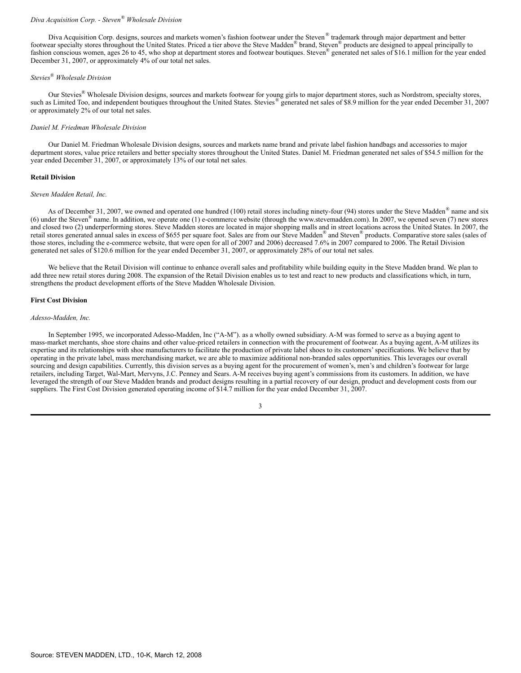#### *Diva Acquisition Corp. - Steven® Wholesale Division*

Diva Acquisition Corp. designs, sources and markets women's fashion footwear under the Steven<sup>®</sup> trademark through major department and better footwear specialty stores throughout the United States. Priced a tier above the fashion conscious women, ages 26 to 45, who shop at department stores and footwear boutiques. Steven<sup>®</sup> generated net sales of \$16.1 million for the year ended December 31, 2007, or approximately 4% of our total net sales.

#### *Stevies*®  *Wholesale Division*

Our Stevies® Wholesale Division designs, sources and markets footwear for young girls to major department stores, such as Nordstrom, specialty stores, such as Limited Too, and independent boutiques throughout the United States. Stevies<sup>®</sup> generated net sales of \$8.9 million for the year ended December 31, 2007 or approximately 2% of our total net sales.

#### *Daniel M. Friedman Wholesale Division*

 Our Daniel M. Friedman Wholesale Division designs, sources and markets name brand and private label fashion handbags and accessories to major department stores, value price retailers and better specialty stores throughout the United States. Daniel M. Friedman generated net sales of \$54.5 million for the year ended December 31, 2007, or approximately 13% of our total net sales.

#### **Retail Division**

#### *Steven Madden Retail, Inc.*

As of December 31, 2007, we owned and operated one hundred (100) retail stores including ninety-four (94) stores under the Steve Madden<sup>®</sup> name and six (6) under the Steven<sup>®</sup> name. In addition, we operate one (1) e-commerce website (through the www.stevemadden.com). In 2007, we opened seven (7) new stores and closed two (2) underperforming stores. Steve Madden stores are located in major shopping malls and in street locations across the United States. In 2007, the retail stores generated annual sales in excess of \$655 per square foot. Sales are from our Steve Madden<sup>®</sup> and Steven<sup>®</sup> products. Comparative store sales (sales of those stores, including the e-commerce website, that were open for all of 2007 and 2006) decreased 7.6% in 2007 compared to 2006. The Retail Division generated net sales of \$120.6 million for the year ended December 31, 2007, or approximately 28% of our total net sales.

 We believe that the Retail Division will continue to enhance overall sales and profitability while building equity in the Steve Madden brand. We plan to add three new retail stores during 2008. The expansion of the Retail Division enables us to test and react to new products and classifications which, in turn, strengthens the product development efforts of the Steve Madden Wholesale Division.

#### **First Cost Division**

#### *Adesso-Madden, Inc.*

 In September 1995, we incorporated Adesso-Madden, Inc ("A-M"). as a wholly owned subsidiary. A-M was formed to serve as a buying agent to mass-market merchants, shoe store chains and other value-priced retailers in connection with the procurement of footwear. As a buying agent, A-M utilizes its expertise and its relationships with shoe manufacturers to facilitate the production of private label shoes to its customers' specifications. We believe that by operating in the private label, mass merchandising market, we are able to maximize additional non-branded sales opportunities. This leverages our overall sourcing and design capabilities. Currently, this division serves as a buying agent for the procurement of women's, men's and children's footwear for large retailers, including Target, Wal-Mart, Mervyns, J.C. Penney and Sears. A-M receives buying agent's commissions from its customers. In addition, we have leveraged the strength of our Steve Madden brands and product designs resulting in a partial recovery of our design, product and development costs from our suppliers. The First Cost Division generated operating income of \$14.7 million for the year ended December 31, 2007.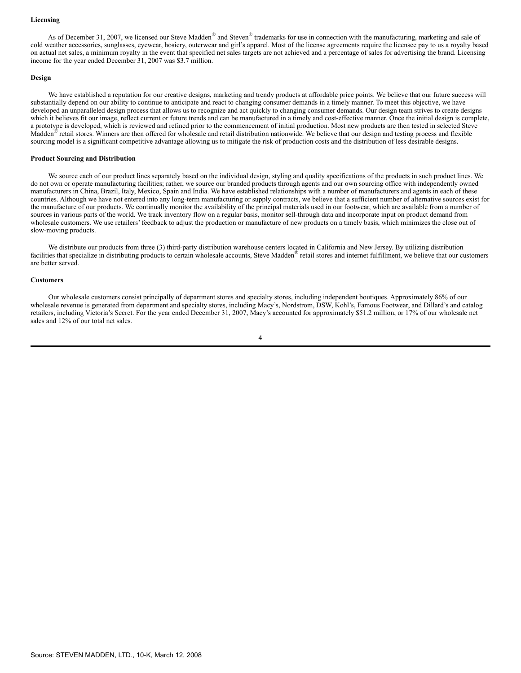#### **Licensing**

As of December 31, 2007, we licensed our Steve Madden<sup>®</sup> and Steven<sup>®</sup> trademarks for use in connection with the manufacturing, marketing and sale of cold weather accessories, sunglasses, eyewear, hosiery, outerwear and girl's apparel. Most of the license agreements require the licensee pay to us a royalty based on actual net sales, a minimum royalty in the event that specified net sales targets are not achieved and a percentage of sales for advertising the brand. Licensing income for the year ended December 31, 2007 was \$3.7 million.

#### **Design**

We have established a reputation for our creative designs, marketing and trendy products at affordable price points. We believe that our future success will substantially depend on our ability to continue to anticipate and react to changing consumer demands in a timely manner. To meet this objective, we have developed an unparalleled design process that allows us to recognize and act quickly to changing consumer demands. Our design team strives to create designs which it believes fit our image, reflect current or future trends and can be manufactured in a timely and cost-effective manner. Once the initial design is complete, a prototype is developed, which is reviewed and refined prior to the commencement of initial production. Most new products are then tested in selected Steve Madden<sup>®</sup> retail stores. Winners are then offered for wholesale and retail distribution nationwide. We believe that our design and testing process and flexible sourcing model is a significant competitive advantage allowing us to mitigate the risk of production costs and the distribution of less desirable designs.

#### **Product Sourcing and Distribution**

 We source each of our product lines separately based on the individual design, styling and quality specifications of the products in such product lines. We do not own or operate manufacturing facilities; rather, we source our branded products through agents and our own sourcing office with independently owned manufacturers in China, Brazil, Italy, Mexico, Spain and India. We have established relationships with a number of manufacturers and agents in each of these countries. Although we have not entered into any long-term manufacturing or supply contracts, we believe that a sufficient number of alternative sources exist for the manufacture of our products. We continually monitor the availability of the principal materials used in our footwear, which are available from a number of sources in various parts of the world. We track inventory flow on a regular basis, monitor sell-through data and incorporate input on product demand from wholesale customers. We use retailers' feedback to adjust the production or manufacture of new products on a timely basis, which minimizes the close out of slow-moving products.

 We distribute our products from three (3) third-party distribution warehouse centers located in California and New Jersey. By utilizing distribution facilities that specialize in distributing products to certain wholesale accounts, Steve Madden® retail stores and internet fulfillment, we believe that our customers are better served.

#### **Customers**

 Our wholesale customers consist principally of department stores and specialty stores, including independent boutiques. Approximately 86% of our wholesale revenue is generated from department and specialty stores, including Macy's, Nordstrom, DSW, Kohl's, Famous Footwear, and Dillard's and catalog retailers, including Victoria's Secret. For the year ended December 31, 2007, Macy's accounted for approximately \$51.2 million, or 17% of our wholesale net sales and 12% of our total net sales.

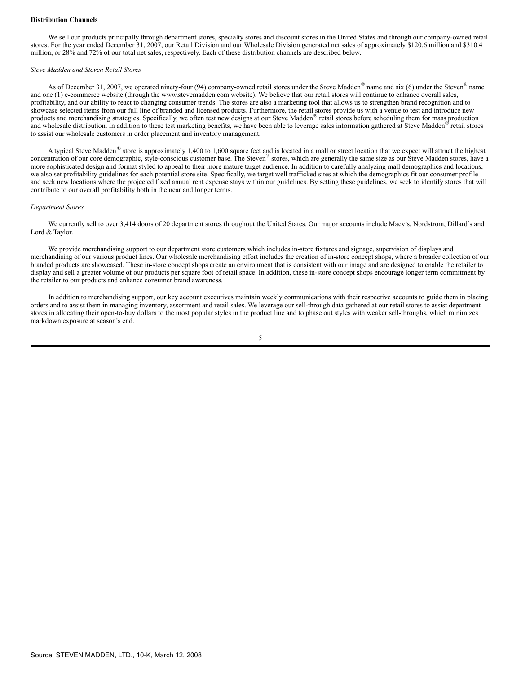#### **Distribution Channels**

 We sell our products principally through department stores, specialty stores and discount stores in the United States and through our company-owned retail stores. For the year ended December 31, 2007, our Retail Division and our Wholesale Division generated net sales of approximately \$120.6 million and \$310.4 million, or 28% and 72% of our total net sales, respectively. Each of these distribution channels are described below.

#### *Steve Madden and Steven Retail Stores*

As of December 31, 2007, we operated ninety-four (94) company-owned retail stores under the Steve Madden<sup>®</sup> name and six (6) under the Steven<sup>®</sup> name and one (1) e-commerce website (through the www.stevemadden.com website). We believe that our retail stores will continue to enhance overall sales, profitability, and our ability to react to changing consumer trends. The stores are also a marketing tool that allows us to strengthen brand recognition and to showcase selected items from our full line of branded and licensed products. Furthermore, the retail stores provide us with a venue to test and introduce new products and merchandising strategies. Specifically, we often test new designs at our Steve Madden® retail stores before scheduling them for mass production and wholesale distribution. In addition to these test marketing benefits, we have been able to leverage sales information gathered at Steve Madden $^{\circledast}$  retail stores to assist our wholesale customers in order placement and inventory management.

A typical Steve Madden<sup>®</sup> store is approximately 1,400 to 1,600 square feet and is located in a mall or street location that we expect will attract the highest concentration of our core demographic, style-conscious customer base. The Steven<sup>®</sup> stores, which are generally the same size as our Steve Madden stores, have a more sophisticated design and format styled to appeal to their more mature target audience. In addition to carefully analyzing mall demographics and locations, we also set profitability guidelines for each potential store site. Specifically, we target well trafficked sites at which the demographics fit our consumer profile and seek new locations where the projected fixed annual rent expense stays within our guidelines. By setting these guidelines, we seek to identify stores that will contribute to our overall profitability both in the near and longer terms.

#### *Department Stores*

 We currently sell to over 3,414 doors of 20 department stores throughout the United States. Our major accounts include Macy's, Nordstrom, Dillard's and Lord & Taylor.

 We provide merchandising support to our department store customers which includes in-store fixtures and signage, supervision of displays and merchandising of our various product lines. Our wholesale merchandising effort includes the creation of in-store concept shops, where a broader collection of our branded products are showcased. These in-store concept shops create an environment that is consistent with our image and are designed to enable the retailer to display and sell a greater volume of our products per square foot of retail space. In addition, these in-store concept shops encourage longer term commitment by the retailer to our products and enhance consumer brand awareness.

 In addition to merchandising support, our key account executives maintain weekly communications with their respective accounts to guide them in placing orders and to assist them in managing inventory, assortment and retail sales. We leverage our sell-through data gathered at our retail stores to assist department stores in allocating their open-to-buy dollars to the most popular styles in the product line and to phase out styles with weaker sell-throughs, which minimizes markdown exposure at season's end.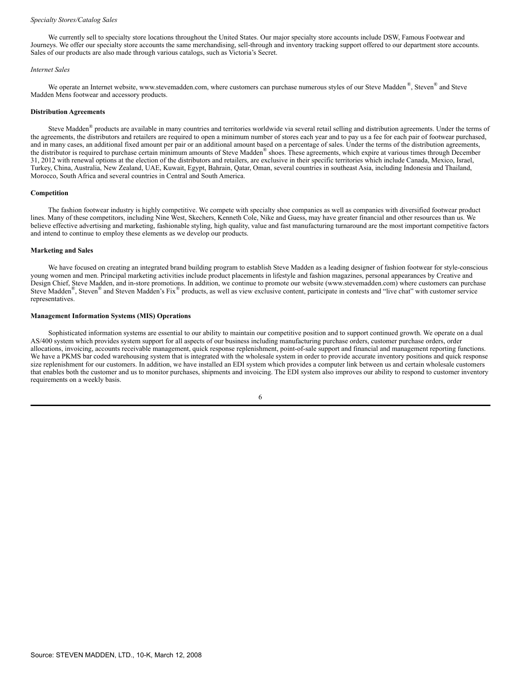#### *Specialty Stores/Catalog Sales*

 We currently sell to specialty store locations throughout the United States. Our major specialty store accounts include DSW, Famous Footwear and Journeys. We offer our specialty store accounts the same merchandising, sell-through and inventory tracking support offered to our department store accounts. Sales of our products are also made through various catalogs, such as Victoria's Secret.

#### *Internet Sales*

We operate an Internet website, www.stevemadden.com, where customers can purchase numerous styles of our Steve Madden ®, Steven® and Steve Madden Mens footwear and accessory products.

#### **Distribution Agreements**

Steve Madden<sup>®</sup> products are available in many countries and territories worldwide via several retail selling and distribution agreements. Under the terms of the agreements, the distributors and retailers are required to open a minimum number of stores each year and to pay us a fee for each pair of footwear purchased, and in many cases, an additional fixed amount per pair or an additional amount based on a percentage of sales. Under the terms of the distribution agreements, the distributor is required to purchase certain minimum amounts of Steve Madden® shoes. These agreements, which expire at various times through December 31, 2012 with renewal options at the election of the distributors and retailers, are exclusive in their specific territories which include Canada, Mexico, Israel, Turkey, China, Australia, New Zealand, UAE, Kuwait, Egypt, Bahrain, Qatar, Oman, several countries in southeast Asia, including Indonesia and Thailand, Morocco, South Africa and several countries in Central and South America.

#### **Competition**

 The fashion footwear industry is highly competitive. We compete with specialty shoe companies as well as companies with diversified footwear product lines. Many of these competitors, including Nine West, Skechers, Kenneth Cole, Nike and Guess, may have greater financial and other resources than us. We believe effective advertising and marketing, fashionable styling, high quality, value and fast manufacturing turnaround are the most important competitive factors and intend to continue to employ these elements as we develop our products.

#### **Marketing and Sales**

 We have focused on creating an integrated brand building program to establish Steve Madden as a leading designer of fashion footwear for style-conscious young women and men. Principal marketing activities include product placements in lifestyle and fashion magazines, personal appearances by Creative and Design Chief, Steve Madden, and in-store promotions. In addition, we continue to promote our website (www.stevemadden.com) where customers can purchase Steve Madden®, Steven® and Steven Madden's Fix® products, as well as view exclusive content, participate in contests and "live chat" with customer service representatives.

#### **Management Information Systems (MIS) Operations**

 Sophisticated information systems are essential to our ability to maintain our competitive position and to support continued growth. We operate on a dual AS/400 system which provides system support for all aspects of our business including manufacturing purchase orders, customer purchase orders, order allocations, invoicing, accounts receivable management, quick response replenishment, point-of-sale support and financial and management reporting functions. We have a PKMS bar coded warehousing system that is integrated with the wholesale system in order to provide accurate inventory positions and quick response size replenishment for our customers. In addition, we have installed an EDI system which provides a computer link between us and certain wholesale customers that enables both the customer and us to monitor purchases, shipments and invoicing. The EDI system also improves our ability to respond to customer inventory requirements on a weekly basis.

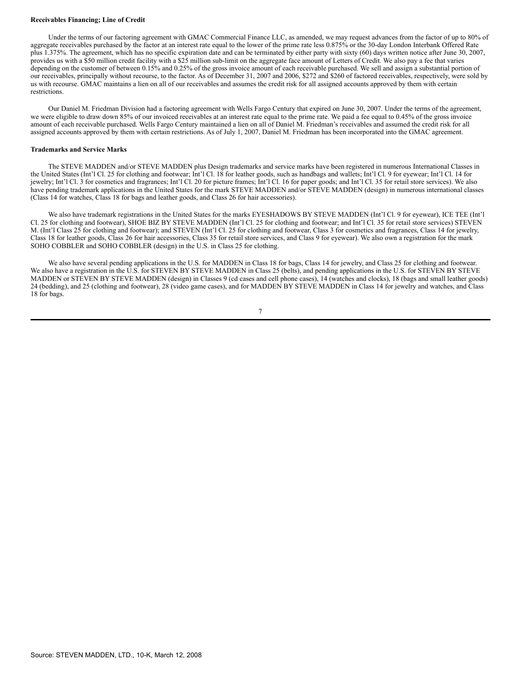#### **Receivables Financing; Line of Credit**

 Under the terms of our factoring agreement with GMAC Commercial Finance LLC, as amended, we may request advances from the factor of up to 80% of aggregate receivables purchased by the factor at an interest rate equal to the lower of the prime rate less 0.875% or the 30-day London Interbank Offered Rate plus 1.375%. The agreement, which has no specific expiration date and can be terminated by either party with sixty (60) days written notice after June 30, 2007, provides us with a \$50 million credit facility with a \$25 million sub-limit on the aggregate face amount of Letters of Credit. We also pay a fee that varies depending on the customer of between 0.15% and 0.25% of the gross invoice amount of each receivable purchased. We sell and assign a substantial portion of our receivables, principally without recourse, to the factor. As of December 31, 2007 and 2006, \$272 and \$260 of factored receivables, respectively, were sold by us with recourse. GMAC maintains a lien on all of our receivables and assumes the credit risk for all assigned accounts approved by them with certain restrictions.

 Our Daniel M. Friedman Division had a factoring agreement with Wells Fargo Century that expired on June 30, 2007. Under the terms of the agreement, we were eligible to draw down 85% of our invoiced receivables at an interest rate equal to the prime rate. We paid a fee equal to 0.45% of the gross invoice amount of each receivable purchased. Wells Fargo Century maintained a lien on all of Daniel M. Friedman's receivables and assumed the credit risk for all assigned accounts approved by them with certain restrictions. As of July 1, 2007, Daniel M. Friedman has been incorporated into the GMAC agreement.

#### **Trademarks and Service Marks**

 The STEVE MADDEN and/or STEVE MADDEN plus Design trademarks and service marks have been registered in numerous International Classes in the United States (Int'l Cl. 25 for clothing and footwear; Int'l Cl. 18 for leather goods, such as handbags and wallets; Int'l Cl. 9 for eyewear; Int'l Cl. 14 for jewelry; Int'l Cl. 3 for cosmetics and fragrances; Int'l Cl. 20 for picture frames; Int'l Cl. 16 for paper goods; and Int'l Cl. 35 for retail store services). We also have pending trademark applications in the United States for the mark STEVE MADDEN and/or STEVE MADDEN (design) in numerous international classes (Class 14 for watches, Class 18 for bags and leather goods, and Class 26 for hair accessories).

 We also have trademark registrations in the United States for the marks EYESHADOWS BY STEVE MADDEN (Int'l Cl. 9 for eyewear), ICE TEE (Int'l Cl. 25 for clothing and footwear), SHOE BIZ BY STEVE MADDEN (Int'l Cl. 25 for clothing and footwear; and Int'l Cl. 35 for retail store services) STEVEN M. (Int'l Class 25 for clothing and footwear); and STEVEN (Int'l Cl. 25 for clothing and footwear, Class 3 for cosmetics and fragrances, Class 14 for jewelry, Class 18 for leather goods, Class 26 for hair accessories, Class 35 for retail store services, and Class 9 for eyewear). We also own a registration for the mark SOHO COBBLER and SOHO COBBLER (design) in the U.S. in Class 25 for clothing.

We also have several pending applications in the U.S. for MADDEN in Class 18 for bags, Class 14 for jewelry, and Class 25 for clothing and footwear. We also have a registration in the U.S. for STEVEN BY STEVE MADDEN in Class 25 (belts), and pending applications in the U.S. for STEVEN BY STEVE MADDEN or STEVEN BY STEVE MADDEN (design) in Classes 9 (cd cases and cell phone cases), 14 (watches and clocks), 18 (bags and small leather goods) 24 (bedding), and 25 (clothing and footwear), 28 (video game cases), and for MADDEN BY STEVE MADDEN in Class 14 for jewelry and watches, and Class 18 for bags.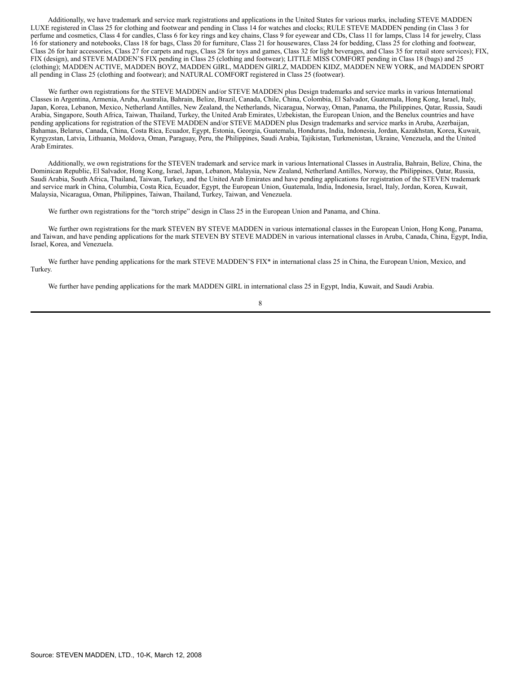Additionally, we have trademark and service mark registrations and applications in the United States for various marks, including STEVE MADDEN LUXE registered in Class 25 for clothing and footwear and pending in Class 14 for watches and clocks; RULE STEVE MADDEN pending (in Class 3 for perfume and cosmetics, Class 4 for candles, Class 6 for key rings and key chains, Class 9 for eyewear and CDs, Class 11 for lamps, Class 14 for jewelry, Class 16 for stationery and notebooks, Class 18 for bags, Class 20 for furniture, Class 21 for housewares, Class 24 for bedding, Class 25 for clothing and footwear, Class 26 for hair accessories, Class 27 for carpets and rugs, Class 28 for toys and games, Class 32 for light beverages, and Class 35 for retail store services); FIX, FIX (design), and STEVE MADDEN'S FIX pending in Class 25 (clothing and footwear); LITTLE MISS COMFORT pending in Class 18 (bags) and 25 (clothing); MADDEN ACTIVE, MADDEN BOYZ, MADDEN GIRL, MADDEN GIRLZ, MADDEN KIDZ, MADDEN NEW YORK, and MADDEN SPORT all pending in Class 25 (clothing and footwear); and NATURAL COMFORT registered in Class 25 (footwear).

 We further own registrations for the STEVE MADDEN and/or STEVE MADDEN plus Design trademarks and service marks in various International Classes in Argentina, Armenia, Aruba, Australia, Bahrain, Belize, Brazil, Canada, Chile, China, Colombia, El Salvador, Guatemala, Hong Kong, Israel, Italy, Japan, Korea, Lebanon, Mexico, Netherland Antilles, New Zealand, the Netherlands, Nicaragua, Norway, Oman, Panama, the Philippines, Qatar, Russia, Saudi Arabia, Singapore, South Africa, Taiwan, Thailand, Turkey, the United Arab Emirates, Uzbekistan, the European Union, and the Benelux countries and have pending applications for registration of the STEVE MADDEN and/or STEVE MADDEN plus Design trademarks and service marks in Aruba, Azerbaijan, Bahamas, Belarus, Canada, China, Costa Rica, Ecuador, Egypt, Estonia, Georgia, Guatemala, Honduras, India, Indonesia, Jordan, Kazakhstan, Korea, Kuwait, Kyrgyzstan, Latvia, Lithuania, Moldova, Oman, Paraguay, Peru, the Philippines, Saudi Arabia, Tajikistan, Turkmenistan, Ukraine, Venezuela, and the United Arab Emirates.

 Additionally, we own registrations for the STEVEN trademark and service mark in various International Classes in Australia, Bahrain, Belize, China, the Dominican Republic, El Salvador, Hong Kong, Israel, Japan, Lebanon, Malaysia, New Zealand, Netherland Antilles, Norway, the Philippines, Qatar, Russia, Saudi Arabia, South Africa, Thailand, Taiwan, Turkey, and the United Arab Emirates and have pending applications for registration of the STEVEN trademark and service mark in China, Columbia, Costa Rica, Ecuador, Egypt, the European Union, Guatemala, India, Indonesia, Israel, Italy, Jordan, Korea, Kuwait, Malaysia, Nicaragua, Oman, Philippines, Taiwan, Thailand, Turkey, Taiwan, and Venezuela.

We further own registrations for the "torch stripe" design in Class 25 in the European Union and Panama, and China.

We further own registrations for the mark STEVEN BY STEVE MADDEN in various international classes in the European Union, Hong Kong, Panama, and Taiwan, and have pending applications for the mark STEVEN BY STEVE MADDEN in various international classes in Aruba, Canada, China, Egypt, India, Israel, Korea, and Venezuela.

We further have pending applications for the mark STEVE MADDEN'S FIX<sup>\*</sup> in international class 25 in China, the European Union, Mexico, and Turkey.

We further have pending applications for the mark MADDEN GIRL in international class 25 in Egypt, India, Kuwait, and Saudi Arabia.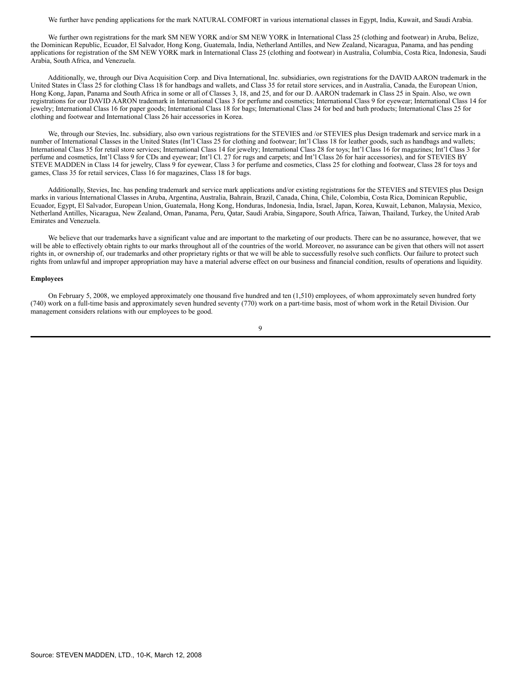#### We further have pending applications for the mark NATURAL COMFORT in various international classes in Egypt, India, Kuwait, and Saudi Arabia.

 We further own registrations for the mark SM NEW YORK and/or SM NEW YORK in International Class 25 (clothing and footwear) in Aruba, Belize, the Dominican Republic, Ecuador, El Salvador, Hong Kong, Guatemala, India, Netherland Antilles, and New Zealand, Nicaragua, Panama, and has pending applications for registration of the SM NEW YORK mark in International Class 25 (clothing and footwear) in Australia, Columbia, Costa Rica, Indonesia, Saudi Arabia, South Africa, and Venezuela.

 Additionally, we, through our Diva Acquisition Corp. and Diva International, Inc. subsidiaries, own registrations for the DAVID AARON trademark in the United States in Class 25 for clothing Class 18 for handbags and wallets, and Class 35 for retail store services, and in Australia, Canada, the European Union, Hong Kong, Japan, Panama and South Africa in some or all of Classes 3, 18, and 25, and for our D. AARON trademark in Class 25 in Spain. Also, we own registrations for our DAVID AARON trademark in International Class 3 for perfume and cosmetics; International Class 9 for eyewear; International Class 14 for jewelry; International Class 16 for paper goods; International Class 18 for bags; International Class 24 for bed and bath products; International Class 25 for clothing and footwear and International Class 26 hair accessories in Korea.

We, through our Stevies, Inc. subsidiary, also own various registrations for the STEVIES and /or STEVIES plus Design trademark and service mark in a number of International Classes in the United States (Int'l Class 25 for clothing and footwear; Int'l Class 18 for leather goods, such as handbags and wallets; International Class 35 for retail store services; International Class 14 for jewelry; International Class 28 for toys; Int'l Class 16 for magazines; Int'l Class 3 for perfume and cosmetics, Int'l Class 9 for CDs and eyewear; Int'l Cl. 27 for rugs and carpets; and Int'l Class 26 for hair accessories), and for STEVIES BY STEVE MADDEN in Class 14 for jewelry, Class 9 for eyewear, Class 3 for perfume and cosmetics, Class 25 for clothing and footwear, Class 28 for toys and games, Class 35 for retail services, Class 16 for magazines, Class 18 for bags.

 Additionally, Stevies, Inc. has pending trademark and service mark applications and/or existing registrations for the STEVIES and STEVIES plus Design marks in various International Classes in Aruba, Argentina, Australia, Bahrain, Brazil, Canada, China, Chile, Colombia, Costa Rica, Dominican Republic, Ecuador, Egypt, El Salvador, European Union, Guatemala, Hong Kong, Honduras, Indonesia, India, Israel, Japan, Korea, Kuwait, Lebanon, Malaysia, Mexico, Netherland Antilles, Nicaragua, New Zealand, Oman, Panama, Peru, Qatar, Saudi Arabia, Singapore, South Africa, Taiwan, Thailand, Turkey, the United Arab Emirates and Venezuela.

We believe that our trademarks have a significant value and are important to the marketing of our products. There can be no assurance, however, that we will be able to effectively obtain rights to our marks throughout all of the countries of the world. Moreover, no assurance can be given that others will not assert rights in, or ownership of, our trademarks and other proprietary rights or that we will be able to successfully resolve such conflicts. Our failure to protect such rights from unlawful and improper appropriation may have a material adverse effect on our business and financial condition, results of operations and liquidity.

#### **Employees**

 On February 5, 2008, we employed approximately one thousand five hundred and ten (1,510) employees, of whom approximately seven hundred forty (740) work on a full-time basis and approximately seven hundred seventy (770) work on a part-time basis, most of whom work in the Retail Division. Our management considers relations with our employees to be good.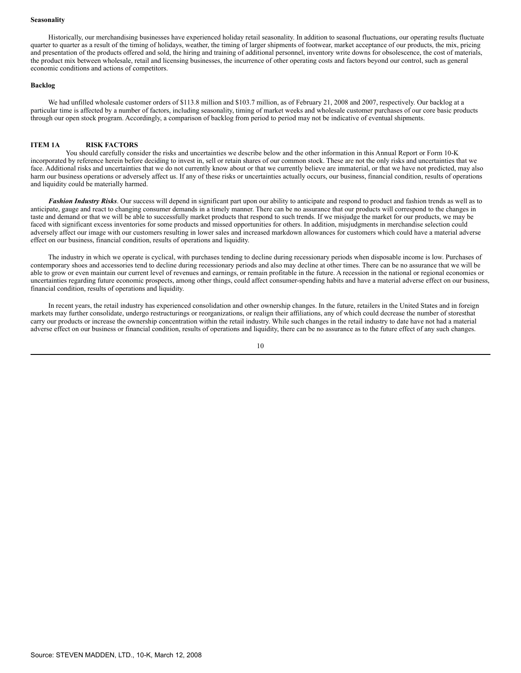#### <span id="page-14-0"></span>**Seasonality**

 Historically, our merchandising businesses have experienced holiday retail seasonality. In addition to seasonal fluctuations, our operating results fluctuate quarter to quarter as a result of the timing of holidays, weather, the timing of larger shipments of footwear, market acceptance of our products, the mix, pricing and presentation of the products offered and sold, the hiring and training of additional personnel, inventory write downs for obsolescence, the cost of materials, the product mix between wholesale, retail and licensing businesses, the incurrence of other operating costs and factors beyond our control, such as general economic conditions and actions of competitors.

#### **Backlog**

 We had unfilled wholesale customer orders of \$113.8 million and \$103.7 million, as of February 21, 2008 and 2007, respectively. Our backlog at a particular time is affected by a number of factors, including seasonality, timing of market weeks and wholesale customer purchases of our core basic products through our open stock program. Accordingly, a comparison of backlog from period to period may not be indicative of eventual shipments.

#### **ITEM 1A RISK FACTORS**

 You should carefully consider the risks and uncertainties we describe below and the other information in this Annual Report or Form 10-K incorporated by reference herein before deciding to invest in, sell or retain shares of our common stock. These are not the only risks and uncertainties that we face. Additional risks and uncertainties that we do not currently know about or that we currently believe are immaterial, or that we have not predicted, may also harm our business operations or adversely affect us. If any of these risks or uncertainties actually occurs, our business, financial condition, results of operations and liquidity could be materially harmed.

Fashion Industry Risks. Our success will depend in significant part upon our ability to anticipate and respond to product and fashion trends as well as to anticipate, gauge and react to changing consumer demands in a timely manner. There can be no assurance that our products will correspond to the changes in taste and demand or that we will be able to successfully market products that respond to such trends. If we misjudge the market for our products, we may be faced with significant excess inventories for some products and missed opportunities for others. In addition, misjudgments in merchandise selection could adversely affect our image with our customers resulting in lower sales and increased markdown allowances for customers which could have a material adverse effect on our business, financial condition, results of operations and liquidity.

 The industry in which we operate is cyclical, with purchases tending to decline during recessionary periods when disposable income is low. Purchases of contemporary shoes and accessories tend to decline during recessionary periods and also may decline at other times. There can be no assurance that we will be able to grow or even maintain our current level of revenues and earnings, or remain profitable in the future. A recession in the national or regional economies or uncertainties regarding future economic prospects, among other things, could affect consumer-spending habits and have a material adverse effect on our business, financial condition, results of operations and liquidity.

 In recent years, the retail industry has experienced consolidation and other ownership changes. In the future, retailers in the United States and in foreign markets may further consolidate, undergo restructurings or reorganizations, or realign their affiliations, any of which could decrease the number of storesthat carry our products or increase the ownership concentration within the retail industry. While such changes in the retail industry to date have not had a material adverse effect on our business or financial condition, results of operations and liquidity, there can be no assurance as to the future effect of any such changes.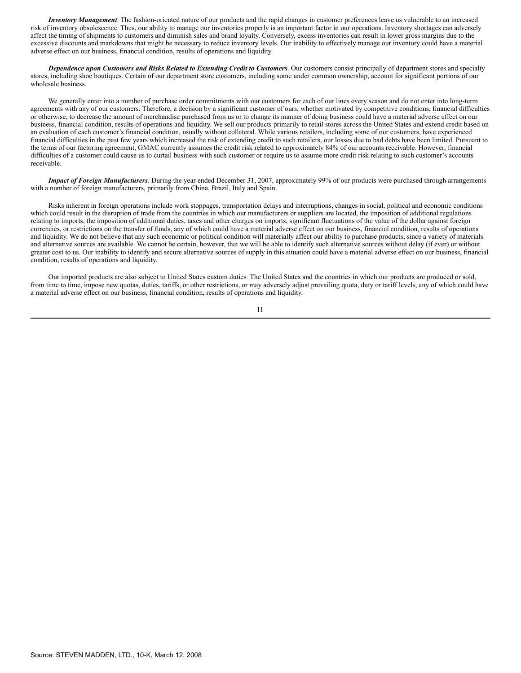*Inventory Management*. The fashion-oriented nature of our products and the rapid changes in customer preferences leave us vulnerable to an increased risk of inventory obsolescence. Thus, our ability to manage our inventories properly is an important factor in our operations. Inventory shortages can adversely affect the timing of shipments to customers and diminish sales and brand loyalty. Conversely, excess inventories can result in lower gross margins due to the excessive discounts and markdowns that might be necessary to reduce inventory levels. Our inability to effectively manage our inventory could have a material adverse effect on our business, financial condition, results of operations and liquidity.

 *Dependence upon Customers and Risks Related to Extending Credit to Customers*. Our customers consist principally of department stores and specialty stores, including shoe boutiques. Certain of our department store customers, including some under common ownership, account for significant portions of our wholesale business.

 We generally enter into a number of purchase order commitments with our customers for each of our lines every season and do not enter into long-term agreements with any of our customers. Therefore, a decision by a significant customer of ours, whether motivated by competitive conditions, financial difficulties or otherwise, to decrease the amount of merchandise purchased from us or to change its manner of doing business could have a material adverse effect on our business, financial condition, results of operations and liquidity. We sell our products primarily to retail stores across the United States and extend credit based on an evaluation of each customer's financial condition, usually without collateral. While various retailers, including some of our customers, have experienced financial difficulties in the past few years which increased the risk of extending credit to such retailers, our losses due to bad debts have been limited. Pursuant to the terms of our factoring agreement, GMAC currently assumes the credit risk related to approximately 84% of our accounts receivable. However, financial difficulties of a customer could cause us to curtail business with such customer or require us to assume more credit risk relating to such customer's accounts receivable.

 *Impact of Foreign Manufacturers*. During the year ended December 31, 2007, approximately 99% of our products were purchased through arrangements with a number of foreign manufacturers, primarily from China, Brazil, Italy and Spain.

 Risks inherent in foreign operations include work stoppages, transportation delays and interruptions, changes in social, political and economic conditions which could result in the disruption of trade from the countries in which our manufacturers or suppliers are located, the imposition of additional regulations relating to imports, the imposition of additional duties, taxes and other charges on imports, significant fluctuations of the value of the dollar against foreign currencies, or restrictions on the transfer of funds, any of which could have a material adverse effect on our business, financial condition, results of operations and liquidity. We do not believe that any such economic or political condition will materially affect our ability to purchase products, since a variety of materials and alternative sources are available. We cannot be certain, however, that we will be able to identify such alternative sources without delay (if ever) or without greater cost to us. Our inability to identify and secure alternative sources of supply in this situation could have a material adverse effect on our business, financial condition, results of operations and liquidity.

 Our imported products are also subject to United States custom duties. The United States and the countries in which our products are produced or sold, from time to time, impose new quotas, duties, tariffs, or other restrictions, or may adversely adjust prevailing quota, duty or tariff levels, any of which could have a material adverse effect on our business, financial condition, results of operations and liquidity.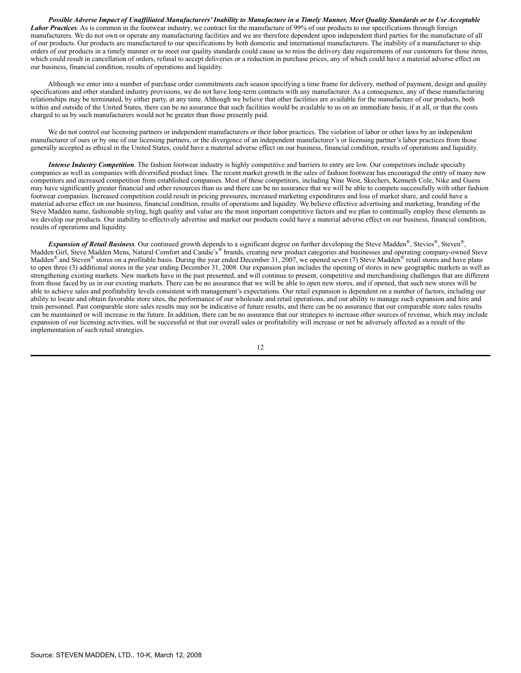*Possible Adverse Impact of Unaffiliated Manufacturers' Inability to Manufacture in a Timely Manner, Meet Quality Standards or to Use Acceptable Labor Practices*. As is common in the footwear industry, we contract for the manufacture of 99% of our products to our specifications through foreign manufacturers. We do not own or operate any manufacturing facilities and we are therefore dependent upon independent third parties for the manufacture of all of our products. Our products are manufactured to our specifications by both domestic and international manufacturers. The inability of a manufacturer to ship orders of our products in a timely manner or to meet our quality standards could cause us to miss the delivery date requirements of our customers for those items, which could result in cancellation of orders, refusal to accept deliveries or a reduction in purchase prices, any of which could have a material adverse effect on our business, financial condition, results of operations and liquidity.

 Although we enter into a number of purchase order commitments each season specifying a time frame for delivery, method of payment, design and quality specifications and other standard industry provisions, we do not have long-term contracts with any manufacturer. As a consequence, any of these manufacturing relationships may be terminated, by either party, at any time. Although we believe that other facilities are available for the manufacture of our products, both within and outside of the United States, there can be no assurance that such facilities would be available to us on an immediate basis, if at all, or that the costs charged to us by such manufacturers would not be greater than those presently paid.

We do not control our licensing partners or independent manufacturers or their labor practices. The violation of labor or other laws by an independent manufacturer of ours or by one of our licensing partners, or the divergence of an independent manufacturer's or licensing partner's labor practices from those generally accepted as ethical in the United States, could have a material adverse effect on our business, financial condition, results of operations and liquidity.

 *Intense Industry Competition*. The fashion footwear industry is highly competitive and barriers to entry are low. Our competitors include specialty companies as well as companies with diversified product lines. The recent market growth in the sales of fashion footwear has encouraged the entry of many new competitors and increased competition from established companies. Most of these competitors, including Nine West, Skechers, Kenneth Cole, Nike and Guess may have significantly greater financial and other resources than us and there can be no assurance that we will be able to compete successfully with other fashion footwear companies. Increased competition could result in pricing pressures, increased marketing expenditures and loss of market share, and could have a material adverse effect on our business, financial condition, results of operations and liquidity. We believe effective advertising and marketing, branding of the Steve Madden name, fashionable styling, high quality and value are the most important competitive factors and we plan to continually employ these elements as we develop our products. Our inability to effectively advertise and market our products could have a material adverse effect on our business, financial condition, results of operations and liquidity.

**Expansion of Retail Business**. Our continued growth depends to a significant degree on further developing the Steve Madden<sup>®</sup>, Stevies<sup>®</sup>, Steven<sup>®</sup>, Madden Girl, Steve Madden Mens, Natural Comfort and Candie's® brands, creating new product categories and businesses and operating company-owned Steve Madden<sup>®</sup> and Steven<sup>®</sup> stores on a profitable basis. During the year ended December 31, 2007, we opened seven (7) Steve Madden<sup>®</sup> retail stores and have plans to open three (3) additional stores in the year ending December 31, 2008. Our expansion plan includes the opening of stores in new geographic markets as well as strengthening existing markets. New markets have in the past presented, and will continue to present, competitive and merchandising challenges that are different from those faced by us in our existing markets. There can be no assurance that we will be able to open new stores, and if opened, that such new stores will be able to achieve sales and profitability levels consistent with management's expectations. Our retail expansion is dependent on a number of factors, including our ability to locate and obtain favorable store sites, the performance of our wholesale and retail operations, and our ability to manage such expansion and hire and train personnel. Past comparable store sales results may not be indicative of future results, and there can be no assurance that our comparable store sales results can be maintained or will increase in the future. In addition, there can be no assurance that our strategies to increase other sources of revenue, which may include expansion of our licensing activities, will be successful or that our overall sales or profitability will increase or not be adversely affected as a result of the implementation of such retail strategies.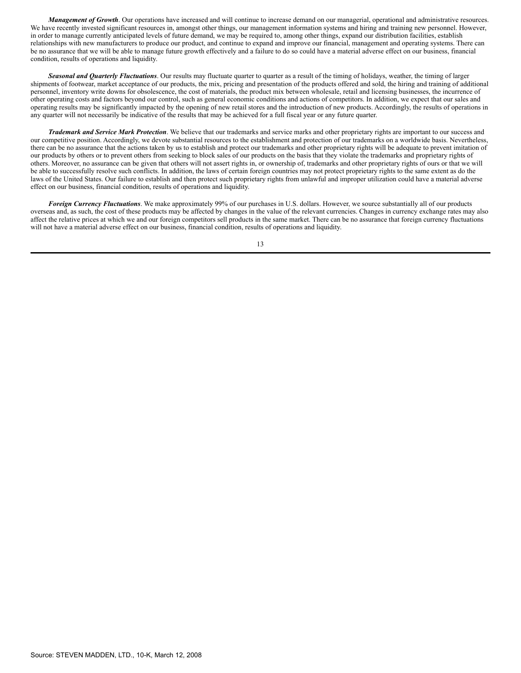*Management of Growth*. Our operations have increased and will continue to increase demand on our managerial, operational and administrative resources. We have recently invested significant resources in, amongst other things, our management information systems and hiring and training new personnel. However, in order to manage currently anticipated levels of future demand, we may be required to, among other things, expand our distribution facilities, establish relationships with new manufacturers to produce our product, and continue to expand and improve our financial, management and operating systems. There can be no assurance that we will be able to manage future growth effectively and a failure to do so could have a material adverse effect on our business, financial condition, results of operations and liquidity.

*Seasonal and Quarterly Fluctuations*. Our results may fluctuate quarter to quarter as a result of the timing of holidays, weather, the timing of larger shipments of footwear, market acceptance of our products, the mix, pricing and presentation of the products offered and sold, the hiring and training of additional personnel, inventory write downs for obsolescence, the cost of materials, the product mix between wholesale, retail and licensing businesses, the incurrence of other operating costs and factors beyond our control, such as general economic conditions and actions of competitors. In addition, we expect that our sales and operating results may be significantly impacted by the opening of new retail stores and the introduction of new products. Accordingly, the results of operations in any quarter will not necessarily be indicative of the results that may be achieved for a full fiscal year or any future quarter.

 *Trademark and Service Mark Protection*. We believe that our trademarks and service marks and other proprietary rights are important to our success and our competitive position. Accordingly, we devote substantial resources to the establishment and protection of our trademarks on a worldwide basis. Nevertheless, there can be no assurance that the actions taken by us to establish and protect our trademarks and other proprietary rights will be adequate to prevent imitation of our products by others or to prevent others from seeking to block sales of our products on the basis that they violate the trademarks and proprietary rights of others. Moreover, no assurance can be given that others will not assert rights in, or ownership of, trademarks and other proprietary rights of ours or that we will be able to successfully resolve such conflicts. In addition, the laws of certain foreign countries may not protect proprietary rights to the same extent as do the laws of the United States. Our failure to establish and then protect such proprietary rights from unlawful and improper utilization could have a material adverse effect on our business, financial condition, results of operations and liquidity.

 *Foreign Currency Fluctuations*. We make approximately 99% of our purchases in U.S. dollars. However, we source substantially all of our products overseas and, as such, the cost of these products may be affected by changes in the value of the relevant currencies. Changes in currency exchange rates may also affect the relative prices at which we and our foreign competitors sell products in the same market. There can be no assurance that foreign currency fluctuations will not have a material adverse effect on our business, financial condition, results of operations and liquidity.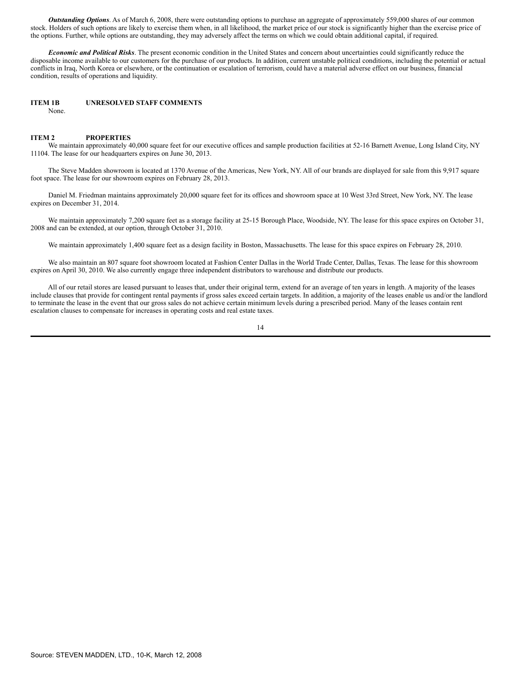<span id="page-18-0"></span>*Outstanding Options*. As of March 6, 2008, there were outstanding options to purchase an aggregate of approximately 559,000 shares of our common stock. Holders of such options are likely to exercise them when, in all likelihood, the market price of our stock is significantly higher than the exercise price of the options. Further, while options are outstanding, they may adversely affect the terms on which we could obtain additional capital, if required.

*Economic and Political Risks*. The present economic condition in the United States and concern about uncertainties could significantly reduce the disposable income available to our customers for the purchase of our products. In addition, current unstable political conditions, including the potential or actual conflicts in Iraq, North Korea or elsewhere, or the continuation or escalation of terrorism, could have a material adverse effect on our business, financial condition, results of operations and liquidity.

**ITEM 1B UNRESOLVED STAFF COMMENTS**

None.

#### **ITEM 2 PROPERTIES**

 We maintain approximately 40,000 square feet for our executive offices and sample production facilities at 52-16 Barnett Avenue, Long Island City, NY 11104. The lease for our headquarters expires on June 30, 2013.

 The Steve Madden showroom is located at 1370 Avenue of the Americas, New York, NY. All of our brands are displayed for sale from this 9,917 square foot space. The lease for our showroom expires on February 28, 2013.

 Daniel M. Friedman maintains approximately 20,000 square feet for its offices and showroom space at 10 West 33rd Street, New York, NY. The lease expires on December 31, 2014.

We maintain approximately 7,200 square feet as a storage facility at 25-15 Borough Place, Woodside, NY. The lease for this space expires on October 31, 2008 and can be extended, at our option, through October 31, 2010.

We maintain approximately 1,400 square feet as a design facility in Boston, Massachusetts. The lease for this space expires on February 28, 2010.

 We also maintain an 807 square foot showroom located at Fashion Center Dallas in the World Trade Center, Dallas, Texas. The lease for this showroom expires on April 30, 2010. We also currently engage three independent distributors to warehouse and distribute our products.

 All of our retail stores are leased pursuant to leases that, under their original term, extend for an average of ten years in length. A majority of the leases include clauses that provide for contingent rental payments if gross sales exceed certain targets. In addition, a majority of the leases enable us and/or the landlord to terminate the lease in the event that our gross sales do not achieve certain minimum levels during a prescribed period. Many of the leases contain rent escalation clauses to compensate for increases in operating costs and real estate taxes.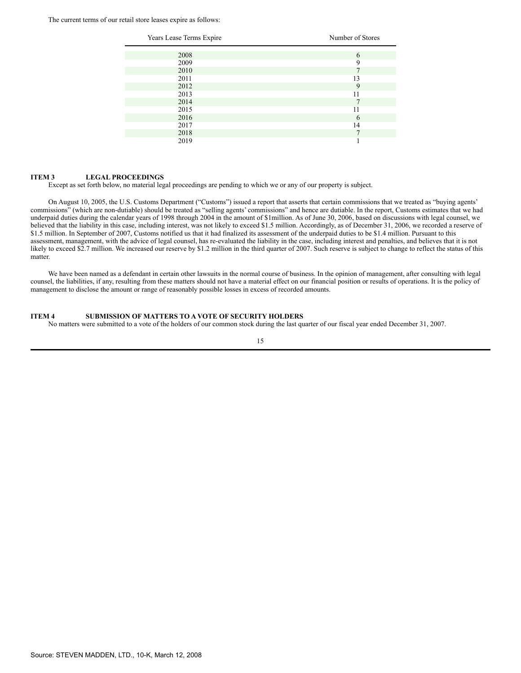<span id="page-19-0"></span>The current terms of our retail store leases expire as follows:

| Years Lease Terms Expire | Number of Stores |
|--------------------------|------------------|
|                          |                  |
| 2008                     | 6                |
| 2009                     | 9                |
| 2010                     | 7                |
| 2011                     | 13               |
| 2012                     | 9                |
| 2013                     | 11               |
| 2014                     | 7                |
| 2015                     | 11               |
| 2016                     | 6                |
| 2017                     | 14               |
| 2018                     | 7                |
| 2019                     |                  |

#### **ITEM 3 LEGAL PROCEEDINGS**

Except as set forth below, no material legal proceedings are pending to which we or any of our property is subject.

 On August 10, 2005, the U.S. Customs Department ("Customs") issued a report that asserts that certain commissions that we treated as "buying agents' commissions" (which are non-dutiable) should be treated as "selling agents' commissions" and hence are dutiable. In the report, Customs estimates that we had underpaid duties during the calendar years of 1998 through 2004 in the amount of \$1million. As of June 30, 2006, based on discussions with legal counsel, we believed that the liability in this case, including interest, was not likely to exceed \$1.5 million. Accordingly, as of December 31, 2006, we recorded a reserve of \$1.5 million. In September of 2007, Customs notified us that it had finalized its assessment of the underpaid duties to be \$1.4 million. Pursuant to this assessment, management, with the advice of legal counsel, has re-evaluated the liability in the case, including interest and penalties, and believes that it is not likely to exceed \$2.7 million. We increased our reserve by \$1.2 million in the third quarter of 2007. Such reserve is subject to change to reflect the status of this matter.

 We have been named as a defendant in certain other lawsuits in the normal course of business. In the opinion of management, after consulting with legal counsel, the liabilities, if any, resulting from these matters should not have a material effect on our financial position or results of operations. It is the policy of management to disclose the amount or range of reasonably possible losses in excess of recorded amounts.

#### **ITEM 4 SUBMISSION OF MATTERS TO A VOTE OF SECURITY HOLDERS**

No matters were submitted to a vote of the holders of our common stock during the last quarter of our fiscal year ended December 31, 2007.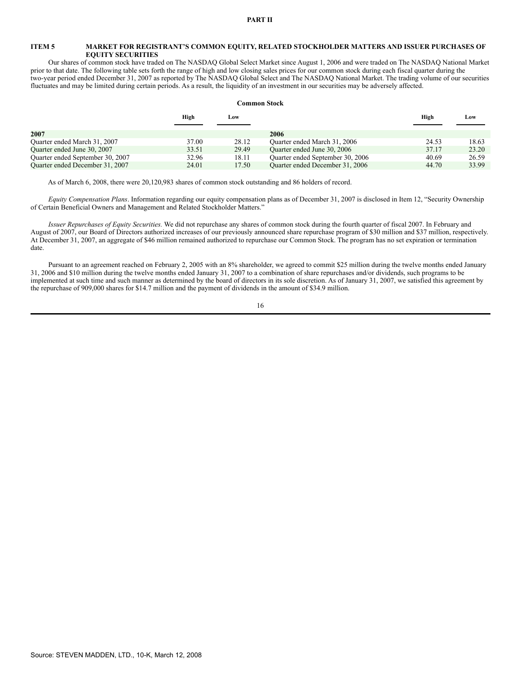#### **PART II**

#### <span id="page-20-0"></span>**ITEM 5 MARKET FOR REGISTRANT'S COMMON EQUITY, RELATED STOCKHOLDER MATTERS AND ISSUER PURCHASES OF EQUITY SECURITIES**

 Our shares of common stock have traded on The NASDAQ Global Select Market since August 1, 2006 and were traded on The NASDAQ National Market prior to that date. The following table sets forth the range of high and low closing sales prices for our common stock during each fiscal quarter during the two-year period ended December 31, 2007 as reported by The NASDAQ Global Select and The NASDAQ National Market. The trading volume of our securities fluctuates and may be limited during certain periods. As a result, the liquidity of an investment in our securities may be adversely affected.

**Common Stock**

|                                  | High  | Low   |                                  | High  | Low   |
|----------------------------------|-------|-------|----------------------------------|-------|-------|
| 2007                             |       |       | 2006                             |       |       |
| Ouarter ended March 31, 2007     | 37.00 | 28.12 | Ouarter ended March 31, 2006     | 24.53 | 18.63 |
| Ouarter ended June 30, 2007      | 33.51 | 29.49 | Quarter ended June 30, 2006      | 37.17 | 23.20 |
| Ouarter ended September 30, 2007 | 32.96 | 18.11 | Quarter ended September 30, 2006 | 40.69 | 26.59 |
| Ouarter ended December 31, 2007  | 24.01 | 17.50 | Ouarter ended December 31, 2006  | 44.70 | 33.99 |
|                                  |       |       |                                  |       |       |

As of March 6, 2008, there were 20,120,983 shares of common stock outstanding and 86 holders of record.

 *Equity Compensation Plans*. Information regarding our equity compensation plans as of December 31, 2007 is disclosed in Item 12, "Security Ownership of Certain Beneficial Owners and Management and Related Stockholder Matters."

 *Issuer Repurchases of Equity Securities.* We did not repurchase any shares of common stock during the fourth quarter of fiscal 2007. In February and August of 2007, our Board of Directors authorized increases of our previously announced share repurchase program of \$30 million and \$37 million, respectively. At December 31, 2007, an aggregate of \$46 million remained authorized to repurchase our Common Stock. The program has no set expiration or termination date.

 Pursuant to an agreement reached on February 2, 2005 with an 8% shareholder, we agreed to commit \$25 million during the twelve months ended January 31, 2006 and \$10 million during the twelve months ended January 31, 2007 to a combination of share repurchases and/or dividends, such programs to be implemented at such time and such manner as determined by the board of directors in its sole discretion. As of January 31, 2007, we satisfied this agreement by the repurchase of 909,000 shares for \$14.7 million and the payment of dividends in the amount of \$34.9 million.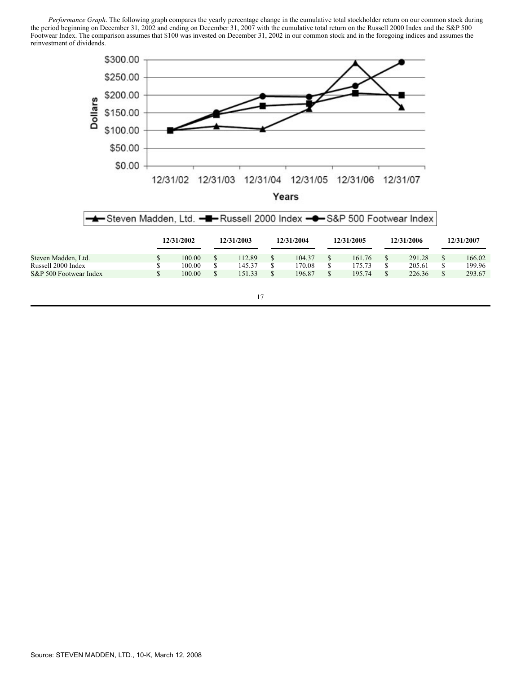*Performance Graph*. The following graph compares the yearly percentage change in the cumulative total stockholder return on our common stock during the period beginning on December 31, 2002 and ending on December 31, 2007 with the cumulative total return on the Russell 2000 Index and the S&P 500 Footwear Index. The comparison assumes that \$100 was invested on December 31, 2002 in our common stock and in the foregoing indices and assumes the reinvestment of dividends.



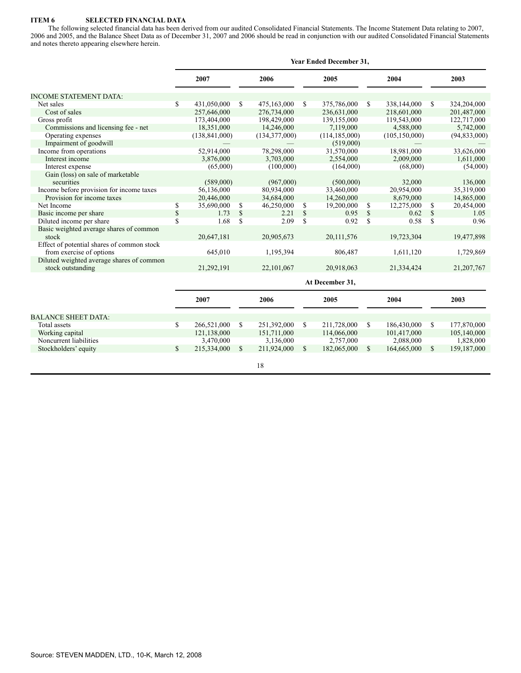#### <span id="page-22-0"></span>**ITEM 6 SELECTED FINANCIAL DATA**

 The following selected financial data has been derived from our audited Consolidated Financial Statements. The Income Statement Data relating to 2007, 2006 and 2005, and the Balance Sheet Data as of December 31, 2007 and 2006 should be read in conjunction with our audited Consolidated Financial Statements and notes thereto appearing elsewhere herein.

|                                                                | <b>Year Ended December 31,</b> |                 |              |                 |               |                 |               |                 |               |                |
|----------------------------------------------------------------|--------------------------------|-----------------|--------------|-----------------|---------------|-----------------|---------------|-----------------|---------------|----------------|
|                                                                |                                | 2007            |              | 2006            |               | 2005            |               | 2004            |               | 2003           |
| <b>INCOME STATEMENT DATA:</b>                                  |                                |                 |              |                 |               |                 |               |                 |               |                |
| Net sales                                                      | \$                             | 431,050,000     | \$           | 475,163,000     | S             | 375,786,000     | \$            | 338,144,000     | \$            | 324,204,000    |
| Cost of sales                                                  |                                | 257,646,000     |              | 276,734,000     |               | 236,631,000     |               | 218,601,000     |               | 201,487,000    |
| Gross profit                                                   |                                | 173,404,000     |              | 198,429,000     |               | 139,155,000     |               | 119,543,000     |               | 122,717,000    |
| Commissions and licensing fee - net                            |                                | 18,351,000      |              | 14,246,000      |               | 7,119,000       |               | 4,588,000       |               | 5,742,000      |
| Operating expenses                                             |                                | (138, 841, 000) |              | (134, 377, 000) |               | (114, 185, 000) |               | (105, 150, 000) |               | (94, 833, 000) |
| Impairment of goodwill                                         |                                |                 |              |                 |               | (519,000)       |               |                 |               |                |
| Income from operations                                         |                                | 52,914,000      |              | 78,298,000      |               | 31,570,000      |               | 18,981,000      |               | 33,626,000     |
| Interest income                                                |                                | 3,876,000       |              | 3,703,000       |               | 2,554,000       |               | 2,009,000       |               | 1,611,000      |
| Interest expense                                               |                                | (65,000)        |              | (100,000)       |               | (164,000)       |               | (68,000)        |               | (54,000)       |
| Gain (loss) on sale of marketable                              |                                |                 |              |                 |               |                 |               |                 |               |                |
| securities                                                     |                                | (589,000)       |              | (967,000)       |               | (500,000)       |               | 32,000          |               | 136,000        |
| Income before provision for income taxes                       |                                | 56,136,000      |              | 80,934,000      |               | 33,460,000      |               | 20,954,000      |               | 35,319,000     |
| Provision for income taxes                                     |                                | 20,446,000      |              | 34,684,000      |               | 14,260,000      |               | 8,679,000       |               | 14,865,000     |
| Net Income                                                     | \$                             | 35,690,000      | S.           | 46,250,000      | \$            | 19,200,000      | \$            | 12,275,000      | \$            | 20,454,000     |
| Basic income per share                                         | \$                             | 1.73            | \$           | 2.21            | $\mathbf S$   | 0.95            | $\mathsf{\$}$ | 0.62            | $\mathbf S$   | 1.05           |
| Diluted income per share                                       | \$                             | 1.68            | \$           | 2.09            | S             | 0.92            | <sup>\$</sup> | 0.58            | <sup>\$</sup> | 0.96           |
| Basic weighted average shares of common<br>stock               |                                | 20,647,181      |              | 20,905,673      |               | 20,111,576      |               | 19,723,304      |               | 19,477,898     |
| Effect of potential shares of common stock                     |                                |                 |              |                 |               |                 |               |                 |               |                |
| from exercise of options                                       |                                | 645,010         |              | 1,195,394       |               | 806,487         |               | 1,611,120       |               | 1,729,869      |
| Diluted weighted average shares of common<br>stock outstanding |                                | 21,292,191      |              | 22,101,067      |               | 20,918,063      |               | 21,334,424      |               | 21,207,767     |
|                                                                |                                |                 |              |                 |               |                 |               |                 |               |                |
|                                                                |                                |                 |              |                 |               | At December 31, |               |                 |               |                |
|                                                                |                                | 2007            |              | 2006            |               | 2005            |               | 2004            |               | 2003           |
| <b>BALANCE SHEET DATA:</b>                                     |                                |                 |              |                 |               |                 |               |                 |               |                |
| Total assets                                                   | \$                             | 266,521,000     | \$           | 251,392,000     | S             | 211,728,000     | \$            | 186,430,000     | \$            | 177,870,000    |
| Working capital                                                |                                | 121,138,000     |              | 151,711,000     |               | 114,066,000     |               | 101,417,000     |               | 105,140,000    |
| Noncurrent liabilities                                         |                                | 3,470,000       |              | 3,136,000       |               | 2,757,000       |               | 2,088,000       |               | 1,828,000      |
| Stockholders' equity                                           | \$                             | 215,334,000     | $\mathbb{S}$ | 211,924,000     | <sup>\$</sup> | 182,065,000     | $\mathbf S$   | 164,665,000     | $\mathbf S$   | 159, 187, 000  |
|                                                                |                                |                 |              | 18              |               |                 |               |                 |               |                |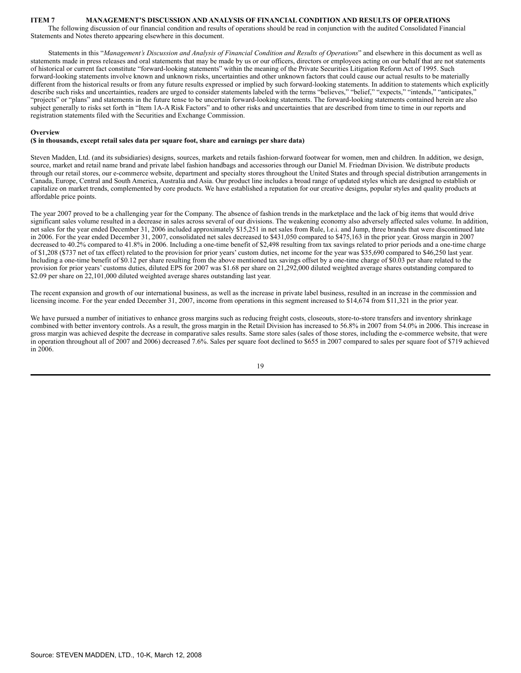#### <span id="page-23-0"></span>**ITEM 7 MANAGEMENT'S DISCUSSION AND ANALYSIS OF FINANCIAL CONDITION AND RESULTS OF OPERATIONS**

 The following discussion of our financial condition and results of operations should be read in conjunction with the audited Consolidated Financial Statements and Notes thereto appearing elsewhere in this document.

 Statements in this "*Management's Discussion and Analysis of Financial Condition and Results of Operations*" and elsewhere in this document as well as statements made in press releases and oral statements that may be made by us or our officers, directors or employees acting on our behalf that are not statements of historical or current fact constitute "forward-looking statements" within the meaning of the Private Securities Litigation Reform Act of 1995. Such forward-looking statements involve known and unknown risks, uncertainties and other unknown factors that could cause our actual results to be materially different from the historical results or from any future results expressed or implied by such forward-looking statements. In addition to statements which explicitly describe such risks and uncertainties, readers are urged to consider statements labeled with the terms "believes," "belief," "expects," "intends," "anticipates," "projects" or "plans" and statements in the future tense to be uncertain forward-looking statements. The forward-looking statements contained herein are also subject generally to risks set forth in "Item 1A-A Risk Factors" and to other risks and uncertainties that are described from time to time in our reports and registration statements filed with the Securities and Exchange Commission.

#### **Overview**

#### **(\$ in thousands, except retail sales data per square foot, share and earnings per share data)**

Steven Madden, Ltd. (and its subsidiaries) designs, sources, markets and retails fashion-forward footwear for women, men and children. In addition, we design, source, market and retail name brand and private label fashion handbags and accessories through our Daniel M. Friedman Division. We distribute products through our retail stores, our e-commerce website, department and specialty stores throughout the United States and through special distribution arrangements in Canada, Europe, Central and South America, Australia and Asia. Our product line includes a broad range of updated styles which are designed to establish or capitalize on market trends, complemented by core products. We have established a reputation for our creative designs, popular styles and quality products at affordable price points.

The year 2007 proved to be a challenging year for the Company. The absence of fashion trends in the marketplace and the lack of big items that would drive significant sales volume resulted in a decrease in sales across several of our divisions. The weakening economy also adversely affected sales volume. In addition, net sales for the year ended December 31, 2006 included approximately \$15,251 in net sales from Rule, l.e.i. and Jump, three brands that were discontinued late in 2006. For the year ended December 31, 2007, consolidated net sales decreased to \$431,050 compared to \$475,163 in the prior year. Gross margin in 2007 decreased to 40.2% compared to 41.8% in 2006. Including a one-time benefit of \$2,498 resulting from tax savings related to prior periods and a one-time charge of \$1,208 (\$737 net of tax effect) related to the provision for prior years' custom duties, net income for the year was \$35,690 compared to \$46,250 last year. Including a one-time benefit of \$0.12 per share resulting from the above mentioned tax savings offset by a one-time charge of \$0.03 per share related to the provision for prior years' customs duties, diluted EPS for 2007 was \$1.68 per share on 21,292,000 diluted weighted average shares outstanding compared to \$2.09 per share on 22,101,000 diluted weighted average shares outstanding last year.

The recent expansion and growth of our international business, as well as the increase in private label business, resulted in an increase in the commission and licensing income. For the year ended December 31, 2007, income from operations in this segment increased to \$14,674 from \$11,321 in the prior year.

We have pursued a number of initiatives to enhance gross margins such as reducing freight costs, closeouts, store-to-store transfers and inventory shrinkage combined with better inventory controls. As a result, the gross margin in the Retail Division has increased to 56.8% in 2007 from 54.0% in 2006. This increase in gross margin was achieved despite the decrease in comparative sales results. Same store sales (sales of those stores, including the e-commerce website, that were in operation throughout all of 2007 and 2006) decreased 7.6%. Sales per square foot declined to \$655 in 2007 compared to sales per square foot of \$719 achieved in 2006.

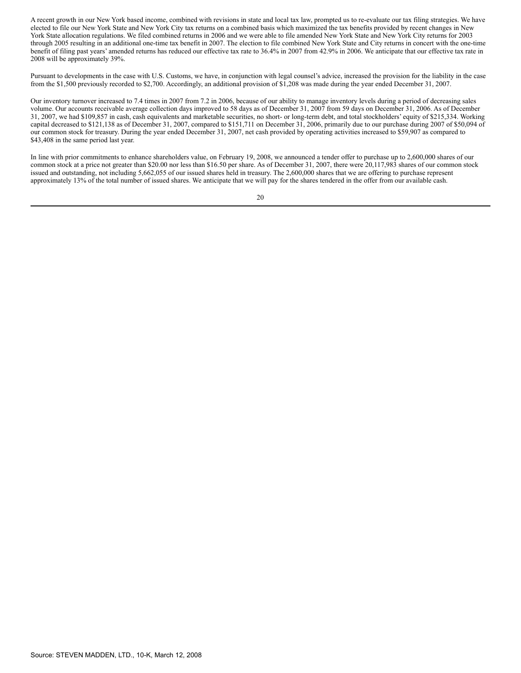A recent growth in our New York based income, combined with revisions in state and local tax law, prompted us to re-evaluate our tax filing strategies. We have elected to file our New York State and New York City tax returns on a combined basis which maximized the tax benefits provided by recent changes in New York State allocation regulations. We filed combined returns in 2006 and we were able to file amended New York State and New York City returns for 2003 through 2005 resulting in an additional one-time tax benefit in 2007. The election to file combined New York State and City returns in concert with the one-time benefit of filing past years' amended returns has reduced our effective tax rate to 36.4% in 2007 from 42.9% in 2006. We anticipate that our effective tax rate in 2008 will be approximately 39%.

Pursuant to developments in the case with U.S. Customs, we have, in conjunction with legal counsel's advice, increased the provision for the liability in the case from the \$1,500 previously recorded to \$2,700. Accordingly, an additional provision of \$1,208 was made during the year ended December 31, 2007.

Our inventory turnover increased to 7.4 times in 2007 from 7.2 in 2006, because of our ability to manage inventory levels during a period of decreasing sales volume. Our accounts receivable average collection days improved to 58 days as of December 31, 2007 from 59 days on December 31, 2006. As of December 31, 2007, we had \$109,857 in cash, cash equivalents and marketable securities, no short- or long-term debt, and total stockholders' equity of \$215,334. Working capital decreased to \$121,138 as of December 31, 2007, compared to \$151,711 on December 31, 2006, primarily due to our purchase during 2007 of \$50,094 of our common stock for treasury. During the year ended December 31, 2007, net cash provided by operating activities increased to \$59,907 as compared to \$43,408 in the same period last year.

In line with prior commitments to enhance shareholders value, on February 19, 2008, we announced a tender offer to purchase up to 2,600,000 shares of our common stock at a price not greater than \$20.00 nor less than \$16.50 per share. As of December 31, 2007, there were 20,117,983 shares of our common stock issued and outstanding, not including 5,662,055 of our issued shares held in treasury. The 2,600,000 shares that we are offering to purchase represent approximately 13% of the total number of issued shares. We anticipate that we will pay for the shares tendered in the offer from our available cash.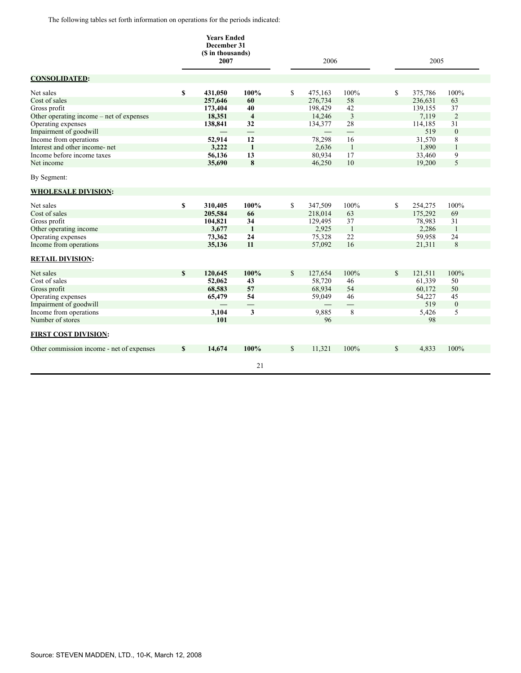The following tables set forth information on operations for the periods indicated:

|                                           | <b>Years Ended</b><br>December 31<br>(\$ in thousands)<br>2007 |         |                         |               | 2006    |                             |             | 2005    |                  |  |  |
|-------------------------------------------|----------------------------------------------------------------|---------|-------------------------|---------------|---------|-----------------------------|-------------|---------|------------------|--|--|
| <b>CONSOLIDATED:</b>                      |                                                                |         |                         |               |         |                             |             |         |                  |  |  |
| Net sales                                 | \$                                                             | 431,050 | 100%                    | $\mathbb{S}$  | 475,163 | 100%                        | \$          | 375,786 | 100%             |  |  |
| Cost of sales                             |                                                                | 257,646 | 60                      |               | 276,734 | 58                          |             | 236,631 | 63               |  |  |
| Gross profit                              |                                                                | 173,404 | 40                      |               | 198,429 | 42                          |             | 139,155 | 37               |  |  |
| Other operating income – net of expenses  |                                                                | 18,351  | $\overline{\mathbf{4}}$ |               | 14,246  | $\ensuremath{\mathfrak{Z}}$ |             | 7,119   | $\overline{2}$   |  |  |
| Operating expenses                        |                                                                | 138,841 | 32                      |               | 134,377 | 28                          |             | 114,185 | 31               |  |  |
| Impairment of goodwill                    |                                                                |         |                         |               |         | $\overline{\phantom{0}}$    |             | 519     | $\boldsymbol{0}$ |  |  |
| Income from operations                    |                                                                | 52,914  | 12                      |               | 78,298  | 16                          |             | 31,570  | 8                |  |  |
| Interest and other income-net             |                                                                | 3,222   | 1                       |               | 2,636   | $\overline{1}$              |             | 1,890   | $\mathbf{1}$     |  |  |
| Income before income taxes                |                                                                | 56,136  | 13                      |               | 80,934  | 17                          |             | 33,460  | 9                |  |  |
| Net income                                |                                                                | 35,690  | 8                       |               | 46,250  | 10                          |             | 19,200  | 5                |  |  |
| By Segment:                               |                                                                |         |                         |               |         |                             |             |         |                  |  |  |
| <b>WHOLESALE DIVISION:</b>                |                                                                |         |                         |               |         |                             |             |         |                  |  |  |
| Net sales                                 | \$                                                             | 310,405 | 100%                    | \$            | 347,509 | 100%                        | \$          | 254,275 | 100%             |  |  |
| Cost of sales                             |                                                                | 205,584 | 66                      |               | 218,014 | 63                          |             | 175,292 | 69               |  |  |
| Gross profit                              |                                                                | 104,821 | 34                      |               | 129,495 | 37                          |             | 78,983  | 31               |  |  |
| Other operating income                    |                                                                | 3,677   | 1                       |               | 2,925   | $\overline{1}$              |             | 2,286   | $\mathbf{1}$     |  |  |
| Operating expenses                        |                                                                | 73,362  | 24                      |               | 75,328  | 22                          |             | 59,958  | 24               |  |  |
| Income from operations                    |                                                                | 35,136  | 11                      |               | 57,092  | 16                          |             | 21,311  | 8                |  |  |
| <b>RETAIL DIVISION:</b>                   |                                                                |         |                         |               |         |                             |             |         |                  |  |  |
| Net sales                                 | S.                                                             | 120,645 | 100%                    | \$            | 127,654 | 100%                        | $\mathbf S$ | 121,511 | 100%             |  |  |
| Cost of sales                             |                                                                | 52,062  | 43                      |               | 58,720  | 46                          |             | 61,339  | 50               |  |  |
| Gross profit                              |                                                                | 68,583  | 57                      |               | 68,934  | 54                          |             | 60,172  | 50               |  |  |
| Operating expenses                        |                                                                | 65,479  | 54                      |               | 59,049  | 46                          |             | 54,227  | 45               |  |  |
| Impairment of goodwill                    |                                                                |         | $\qquad \qquad -$       |               |         |                             |             | 519     | $\boldsymbol{0}$ |  |  |
| Income from operations                    |                                                                | 3,104   | 3                       |               | 9,885   | 8                           |             | 5,426   | 5                |  |  |
| Number of stores                          |                                                                | 101     |                         |               | 96      |                             |             | 98      |                  |  |  |
| <b>FIRST COST DIVISION:</b>               |                                                                |         |                         |               |         |                             |             |         |                  |  |  |
| Other commission income - net of expenses | \$                                                             | 14,674  | 100%                    | <sup>\$</sup> | 11,321  | 100%                        | \$          | 4,833   | 100%             |  |  |
|                                           |                                                                |         | 21                      |               |         |                             |             |         |                  |  |  |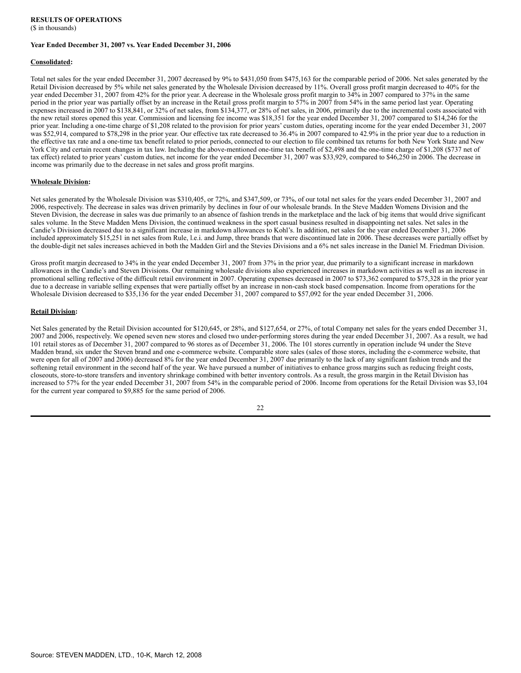#### **RESULTS OF OPERATIONS** (\$ in thousands)

#### **Year Ended December 31, 2007 vs. Year Ended December 31, 2006**

#### **Consolidated:**

Total net sales for the year ended December 31, 2007 decreased by 9% to \$431,050 from \$475,163 for the comparable period of 2006. Net sales generated by the Retail Division decreased by 5% while net sales generated by the Wholesale Division decreased by 11%. Overall gross profit margin decreased to 40% for the year ended December 31, 2007 from 42% for the prior year. A decrease in the Wholesale gross profit margin to 34% in 2007 compared to 37% in the same period in the prior year was partially offset by an increase in the Retail gross profit margin to 57% in 2007 from 54% in the same period last year. Operating expenses increased in 2007 to \$138,841, or 32% of net sales, from \$134,377, or 28% of net sales, in 2006, primarily due to the incremental costs associated with the new retail stores opened this year. Commission and licensing fee income was \$18,351 for the year ended December 31, 2007 compared to \$14,246 for the prior year. Including a one-time charge of \$1,208 related to the provision for prior years' custom duties, operating income for the year ended December 31, 2007 was \$52,914, compared to \$78,298 in the prior year. Our effective tax rate decreased to 36.4% in 2007 compared to 42.9% in the prior year due to a reduction in the effective tax rate and a one-time tax benefit related to prior periods, connected to our election to file combined tax returns for both New York State and New York City and certain recent changes in tax law. Including the above-mentioned one-time tax benefit of \$2,498 and the one-time charge of \$1,208 (\$737 net of tax effect) related to prior years' custom duties, net income for the year ended December 31, 2007 was \$33,929, compared to \$46,250 in 2006. The decrease in income was primarily due to the decrease in net sales and gross profit margins.

#### **Wholesale Division:**

Net sales generated by the Wholesale Division was \$310,405, or 72%, and \$347,509, or 73%, of our total net sales for the years ended December 31, 2007 and 2006, respectively. The decrease in sales was driven primarily by declines in four of our wholesale brands. In the Steve Madden Womens Division and the Steven Division, the decrease in sales was due primarily to an absence of fashion trends in the marketplace and the lack of big items that would drive significant sales volume. In the Steve Madden Mens Division, the continued weakness in the sport casual business resulted in disappointing net sales. Net sales in the Candie's Division decreased due to a significant increase in markdown allowances to Kohl's. In addition, net sales for the year ended December 31, 2006 included approximately \$15,251 in net sales from Rule, l.e.i. and Jump, three brands that were discontinued late in 2006. These decreases were partially offset by the double-digit net sales increases achieved in both the Madden Girl and the Stevies Divisions and a 6% net sales increase in the Daniel M. Friedman Division.

Gross profit margin decreased to 34% in the year ended December 31, 2007 from 37% in the prior year, due primarily to a significant increase in markdown allowances in the Candie's and Steven Divisions. Our remaining wholesale divisions also experienced increases in markdown activities as well as an increase in promotional selling reflective of the difficult retail environment in 2007. Operating expenses decreased in 2007 to \$73,362 compared to \$75,328 in the prior year due to a decrease in variable selling expenses that were partially offset by an increase in non-cash stock based compensation. Income from operations for the Wholesale Division decreased to \$35,136 for the year ended December 31, 2007 compared to \$57,092 for the year ended December 31, 2006.

#### **Retail Division:**

Net Sales generated by the Retail Division accounted for \$120,645, or 28%, and \$127,654, or 27%, of total Company net sales for the years ended December 31, 2007 and 2006, respectively. We opened seven new stores and closed two under-performing stores during the year ended December 31, 2007. As a result, we had 101 retail stores as of December 31, 2007 compared to 96 stores as of December 31, 2006. The 101 stores currently in operation include 94 under the Steve Madden brand, six under the Steven brand and one e-commerce website. Comparable store sales (sales of those stores, including the e-commerce website, that were open for all of 2007 and 2006) decreased 8% for the year ended December 31, 2007 due primarily to the lack of any significant fashion trends and the softening retail environment in the second half of the year. We have pursued a number of initiatives to enhance gross margins such as reducing freight costs, closeouts, store-to-store transfers and inventory shrinkage combined with better inventory controls. As a result, the gross margin in the Retail Division has increased to 57% for the year ended December 31, 2007 from 54% in the comparable period of 2006. Income from operations for the Retail Division was \$3,104 for the current year compared to \$9,885 for the same period of 2006.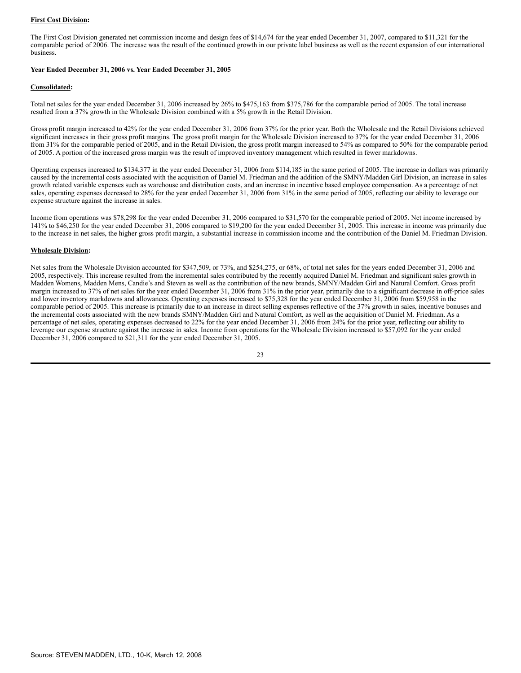#### **First Cost Division:**

The First Cost Division generated net commission income and design fees of \$14,674 for the year ended December 31, 2007, compared to \$11,321 for the comparable period of 2006. The increase was the result of the continued growth in our private label business as well as the recent expansion of our international business.

#### **Year Ended December 31, 2006 vs. Year Ended December 31, 2005**

#### **Consolidated:**

Total net sales for the year ended December 31, 2006 increased by 26% to \$475,163 from \$375,786 for the comparable period of 2005. The total increase resulted from a 37% growth in the Wholesale Division combined with a 5% growth in the Retail Division.

Gross profit margin increased to 42% for the year ended December 31, 2006 from 37% for the prior year. Both the Wholesale and the Retail Divisions achieved significant increases in their gross profit margins. The gross profit margin for the Wholesale Division increased to 37% for the year ended December 31, 2006 from 31% for the comparable period of 2005, and in the Retail Division, the gross profit margin increased to 54% as compared to 50% for the comparable period of 2005. A portion of the increased gross margin was the result of improved inventory management which resulted in fewer markdowns.

Operating expenses increased to \$134,377 in the year ended December 31, 2006 from \$114,185 in the same period of 2005. The increase in dollars was primarily caused by the incremental costs associated with the acquisition of Daniel M. Friedman and the addition of the SMNY/Madden Girl Division, an increase in sales growth related variable expenses such as warehouse and distribution costs, and an increase in incentive based employee compensation. As a percentage of net sales, operating expenses decreased to 28% for the year ended December 31, 2006 from 31% in the same period of 2005, reflecting our ability to leverage our expense structure against the increase in sales.

Income from operations was \$78,298 for the year ended December 31, 2006 compared to \$31,570 for the comparable period of 2005. Net income increased by 141% to \$46,250 for the year ended December 31, 2006 compared to \$19,200 for the year ended December 31, 2005. This increase in income was primarily due to the increase in net sales, the higher gross profit margin, a substantial increase in commission income and the contribution of the Daniel M. Friedman Division.

#### **Wholesale Division:**

Net sales from the Wholesale Division accounted for \$347,509, or 73%, and \$254,275, or 68%, of total net sales for the years ended December 31, 2006 and 2005, respectively. This increase resulted from the incremental sales contributed by the recently acquired Daniel M. Friedman and significant sales growth in Madden Womens, Madden Mens, Candie's and Steven as well as the contribution of the new brands, SMNY/Madden Girl and Natural Comfort. Gross profit margin increased to 37% of net sales for the year ended December 31, 2006 from 31% in the prior year, primarily due to a significant decrease in off-price sales and lower inventory markdowns and allowances. Operating expenses increased to \$75,328 for the year ended December 31, 2006 from \$59,958 in the comparable period of 2005. This increase is primarily due to an increase in direct selling expenses reflective of the 37% growth in sales, incentive bonuses and the incremental costs associated with the new brands SMNY/Madden Girl and Natural Comfort, as well as the acquisition of Daniel M. Friedman. As a percentage of net sales, operating expenses decreased to 22% for the year ended December 31, 2006 from 24% for the prior year, reflecting our ability to leverage our expense structure against the increase in sales. Income from operations for the Wholesale Division increased to \$57,092 for the year ended December 31, 2006 compared to \$21,311 for the year ended December 31, 2005.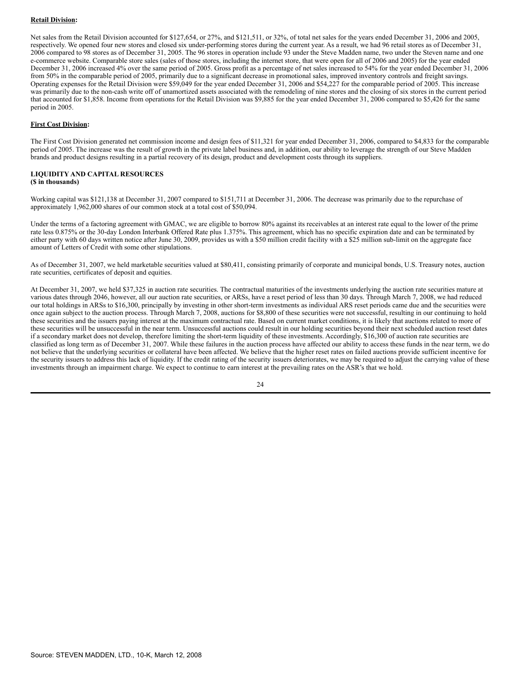#### **Retail Division:**

Net sales from the Retail Division accounted for \$127,654, or 27%, and \$121,511, or 32%, of total net sales for the years ended December 31, 2006 and 2005, respectively. We opened four new stores and closed six under-performing stores during the current year. As a result, we had 96 retail stores as of December 31, 2006 compared to 98 stores as of December 31, 2005. The 96 stores in operation include 93 under the Steve Madden name, two under the Steven name and one e-commerce website. Comparable store sales (sales of those stores, including the internet store, that were open for all of 2006 and 2005) for the year ended December 31, 2006 increased 4% over the same period of 2005. Gross profit as a percentage of net sales increased to 54% for the year ended December 31, 2006 from 50% in the comparable period of 2005, primarily due to a significant decrease in promotional sales, improved inventory controls and freight savings. Operating expenses for the Retail Division were \$59,049 for the year ended December 31, 2006 and \$54,227 for the comparable period of 2005. This increase was primarily due to the non-cash write off of unamortized assets associated with the remodeling of nine stores and the closing of six stores in the current period that accounted for \$1,858. Income from operations for the Retail Division was \$9,885 for the year ended December 31, 2006 compared to \$5,426 for the same period in 2005.

#### **First Cost Division:**

The First Cost Division generated net commission income and design fees of \$11,321 for year ended December 31, 2006, compared to \$4,833 for the comparable period of 2005. The increase was the result of growth in the private label business and, in addition, our ability to leverage the strength of our Steve Madden brands and product designs resulting in a partial recovery of its design, product and development costs through its suppliers.

#### **LIQUIDITY AND CAPITAL RESOURCES (\$ in thousands)**

Working capital was \$121,138 at December 31, 2007 compared to \$151,711 at December 31, 2006. The decrease was primarily due to the repurchase of approximately 1,962,000 shares of our common stock at a total cost of \$50,094.

Under the terms of a factoring agreement with GMAC, we are eligible to borrow 80% against its receivables at an interest rate equal to the lower of the prime rate less 0.875% or the 30-day London Interbank Offered Rate plus 1.375%. This agreement, which has no specific expiration date and can be terminated by either party with 60 days written notice after June 30, 2009, provides us with a \$50 million credit facility with a \$25 million sub-limit on the aggregate face amount of Letters of Credit with some other stipulations.

As of December 31, 2007, we held marketable securities valued at \$80,411, consisting primarily of corporate and municipal bonds, U.S. Treasury notes, auction rate securities, certificates of deposit and equities.

At December 31, 2007, we held \$37,325 in auction rate securities. The contractual maturities of the investments underlying the auction rate securities mature at various dates through 2046, however, all our auction rate securities, or ARSs, have a reset period of less than 30 days. Through March 7, 2008, we had reduced our total holdings in ARSs to \$16,300, principally by investing in other short-term investments as individual ARS reset periods came due and the securities were once again subject to the auction process. Through March 7, 2008, auctions for \$8,800 of these securities were not successful, resulting in our continuing to hold these securities and the issuers paying interest at the maximum contractual rate. Based on current market conditions, it is likely that auctions related to more of these securities will be unsuccessful in the near term. Unsuccessful auctions could result in our holding securities beyond their next scheduled auction reset dates if a secondary market does not develop, therefore limiting the short-term liquidity of these investments. Accordingly, \$16,300 of auction rate securities are classified as long term as of December 31, 2007. While these failures in the auction process have affected our ability to access these funds in the near term, we do not believe that the underlying securities or collateral have been affected. We believe that the higher reset rates on failed auctions provide sufficient incentive for the security issuers to address this lack of liquidity. If the credit rating of the security issuers deteriorates, we may be required to adjust the carrying value of these investments through an impairment charge. We expect to continue to earn interest at the prevailing rates on the ASR's that we hold.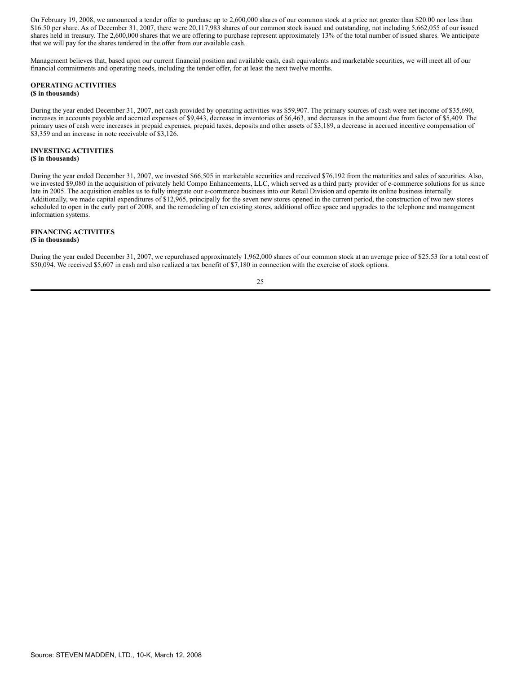On February 19, 2008, we announced a tender offer to purchase up to 2,600,000 shares of our common stock at a price not greater than \$20.00 nor less than \$16.50 per share. As of December 31, 2007, there were 20,117,983 shares of our common stock issued and outstanding, not including 5,662,055 of our issued shares held in treasury. The 2,600,000 shares that we are offering to purchase represent approximately 13% of the total number of issued shares. We anticipate that we will pay for the shares tendered in the offer from our available cash.

Management believes that, based upon our current financial position and available cash, cash equivalents and marketable securities, we will meet all of our financial commitments and operating needs, including the tender offer, for at least the next twelve months.

#### **OPERATING ACTIVITIES (\$ in thousands)**

During the year ended December 31, 2007, net cash provided by operating activities was \$59,907. The primary sources of cash were net income of \$35,690, increases in accounts payable and accrued expenses of \$9,443, decrease in inventories of \$6,463, and decreases in the amount due from factor of \$5,409. The primary uses of cash were increases in prepaid expenses, prepaid taxes, deposits and other assets of \$3,189, a decrease in accrued incentive compensation of \$3,359 and an increase in note receivable of \$3,126.

#### **INVESTING ACTIVITIES (\$ in thousands)**

During the year ended December 31, 2007, we invested \$66,505 in marketable securities and received \$76,192 from the maturities and sales of securities. Also, we invested \$9,080 in the acquisition of privately held Compo Enhancements, LLC, which served as a third party provider of e-commerce solutions for us since late in 2005. The acquisition enables us to fully integrate our e-commerce business into our Retail Division and operate its online business internally. Additionally, we made capital expenditures of \$12,965, principally for the seven new stores opened in the current period, the construction of two new stores scheduled to open in the early part of 2008, and the remodeling of ten existing stores, additional office space and upgrades to the telephone and management information systems.

#### **FINANCING ACTIVITIES (\$ in thousands)**

During the year ended December 31, 2007, we repurchased approximately 1,962,000 shares of our common stock at an average price of \$25.53 for a total cost of \$50,094. We received \$5,607 in cash and also realized a tax benefit of \$7,180 in connection with the exercise of stock options.

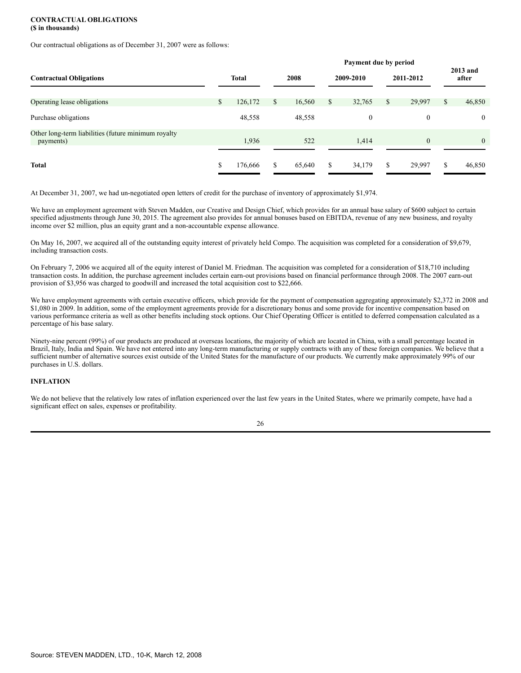#### **CONTRACTUAL OBLIGATIONS (\$ in thousands)**

Our contractual obligations as of December 31, 2007 were as follows:

|                                                                  |    |         | Payment due by period<br>$2013$ and |        |    |              |    |              |    |                |  |
|------------------------------------------------------------------|----|---------|-------------------------------------|--------|----|--------------|----|--------------|----|----------------|--|
| <b>Contractual Obligations</b>                                   |    | Total   |                                     | 2008   |    | 2009-2010    |    | 2011-2012    |    | after          |  |
| Operating lease obligations                                      | \$ | 126,172 | S.                                  | 16,560 | S. | 32,765       | \$ | 29,997       | S. | 46,850         |  |
| Purchase obligations                                             |    | 48,558  |                                     | 48,558 |    | $\mathbf{0}$ |    | $\mathbf{0}$ |    | $\overline{0}$ |  |
| Other long-term liabilities (future minimum royalty<br>payments) |    | 1,936   |                                     | 522    |    | 1,414        |    | $\theta$     |    | $\overline{0}$ |  |
| <b>Total</b>                                                     | \$ | 176,666 | \$                                  | 65,640 | S. | 34,179       | \$ | 29,997       | \$ | 46,850         |  |

At December 31, 2007, we had un-negotiated open letters of credit for the purchase of inventory of approximately \$1,974.

We have an employment agreement with Steven Madden, our Creative and Design Chief, which provides for an annual base salary of \$600 subject to certain specified adjustments through June 30, 2015. The agreement also provides for annual bonuses based on EBITDA, revenue of any new business, and royalty income over \$2 million, plus an equity grant and a non-accountable expense allowance.

On May 16, 2007, we acquired all of the outstanding equity interest of privately held Compo. The acquisition was completed for a consideration of \$9,679, including transaction costs.

On February 7, 2006 we acquired all of the equity interest of Daniel M. Friedman. The acquisition was completed for a consideration of \$18,710 including transaction costs. In addition, the purchase agreement includes certain earn-out provisions based on financial performance through 2008. The 2007 earn-out provision of \$3,956 was charged to goodwill and increased the total acquisition cost to \$22,666.

We have employment agreements with certain executive officers, which provide for the payment of compensation aggregating approximately \$2,372 in 2008 and \$1,080 in 2009. In addition, some of the employment agreements provide for a discretionary bonus and some provide for incentive compensation based on various performance criteria as well as other benefits including stock options. Our Chief Operating Officer is entitled to deferred compensation calculated as a percentage of his base salary.

Ninety-nine percent (99%) of our products are produced at overseas locations, the majority of which are located in China, with a small percentage located in Brazil, Italy, India and Spain. We have not entered into any long-term manufacturing or supply contracts with any of these foreign companies. We believe that a sufficient number of alternative sources exist outside of the United States for the manufacture of our products. We currently make approximately 99% of our purchases in U.S. dollars.

#### **INFLATION**

We do not believe that the relatively low rates of inflation experienced over the last few years in the United States, where we primarily compete, have had a significant effect on sales, expenses or profitability.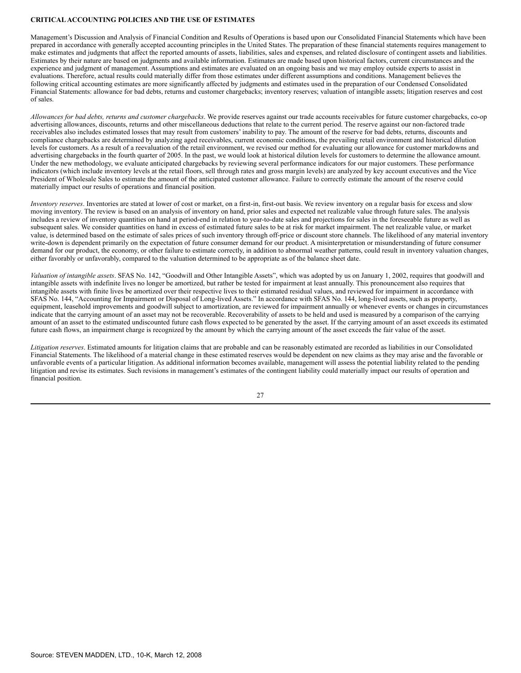#### **CRITICAL ACCOUNTING POLICIES AND THE USE OF ESTIMATES**

Management's Discussion and Analysis of Financial Condition and Results of Operations is based upon our Consolidated Financial Statements which have been prepared in accordance with generally accepted accounting principles in the United States. The preparation of these financial statements requires management to make estimates and judgments that affect the reported amounts of assets, liabilities, sales and expenses, and related disclosure of contingent assets and liabilities. Estimates by their nature are based on judgments and available information. Estimates are made based upon historical factors, current circumstances and the experience and judgment of management. Assumptions and estimates are evaluated on an ongoing basis and we may employ outside experts to assist in evaluations. Therefore, actual results could materially differ from those estimates under different assumptions and conditions. Management believes the following critical accounting estimates are more significantly affected by judgments and estimates used in the preparation of our Condensed Consolidated Financial Statements: allowance for bad debts, returns and customer chargebacks; inventory reserves; valuation of intangible assets; litigation reserves and cost of sales.

*Allowances for bad debts, returns and customer chargebacks*. We provide reserves against our trade accounts receivables for future customer chargebacks, co-op advertising allowances, discounts, returns and other miscellaneous deductions that relate to the current period. The reserve against our non-factored trade receivables also includes estimated losses that may result from customers' inability to pay. The amount of the reserve for bad debts, returns, discounts and compliance chargebacks are determined by analyzing aged receivables, current economic conditions, the prevailing retail environment and historical dilution levels for customers. As a result of a reevaluation of the retail environment, we revised our method for evaluating our allowance for customer markdowns and advertising chargebacks in the fourth quarter of 2005. In the past, we would look at historical dilution levels for customers to determine the allowance amount. Under the new methodology, we evaluate anticipated chargebacks by reviewing several performance indicators for our major customers. These performance indicators (which include inventory levels at the retail floors, sell through rates and gross margin levels) are analyzed by key account executives and the Vice President of Wholesale Sales to estimate the amount of the anticipated customer allowance. Failure to correctly estimate the amount of the reserve could materially impact our results of operations and financial position.

*Inventory reserves*. Inventories are stated at lower of cost or market, on a first-in, first-out basis. We review inventory on a regular basis for excess and slow moving inventory. The review is based on an analysis of inventory on hand, prior sales and expected net realizable value through future sales. The analysis includes a review of inventory quantities on hand at period-end in relation to year-to-date sales and projections for sales in the foreseeable future as well as subsequent sales. We consider quantities on hand in excess of estimated future sales to be at risk for market impairment. The net realizable value, or market value, is determined based on the estimate of sales prices of such inventory through off-price or discount store channels. The likelihood of any material inventory write-down is dependent primarily on the expectation of future consumer demand for our product. A misinterpretation or misunderstanding of future consumer demand for our product, the economy, or other failure to estimate correctly, in addition to abnormal weather patterns, could result in inventory valuation changes, either favorably or unfavorably, compared to the valuation determined to be appropriate as of the balance sheet date.

*Valuation of intangible assets*. SFAS No. 142, "Goodwill and Other Intangible Assets", which was adopted by us on January 1, 2002, requires that goodwill and intangible assets with indefinite lives no longer be amortized, but rather be tested for impairment at least annually. This pronouncement also requires that intangible assets with finite lives be amortized over their respective lives to their estimated residual values, and reviewed for impairment in accordance with SFAS No. 144, "Accounting for Impairment or Disposal of Long-lived Assets." In accordance with SFAS No. 144, long-lived assets, such as property, equipment, leasehold improvements and goodwill subject to amortization, are reviewed for impairment annually or whenever events or changes in circumstances indicate that the carrying amount of an asset may not be recoverable. Recoverability of assets to be held and used is measured by a comparison of the carrying amount of an asset to the estimated undiscounted future cash flows expected to be generated by the asset. If the carrying amount of an asset exceeds its estimated future cash flows, an impairment charge is recognized by the amount by which the carrying amount of the asset exceeds the fair value of the asset.

*Litigation reserves*. Estimated amounts for litigation claims that are probable and can be reasonably estimated are recorded as liabilities in our Consolidated Financial Statements. The likelihood of a material change in these estimated reserves would be dependent on new claims as they may arise and the favorable or unfavorable events of a particular litigation. As additional information becomes available, management will assess the potential liability related to the pending litigation and revise its estimates. Such revisions in management's estimates of the contingent liability could materially impact our results of operation and financial position.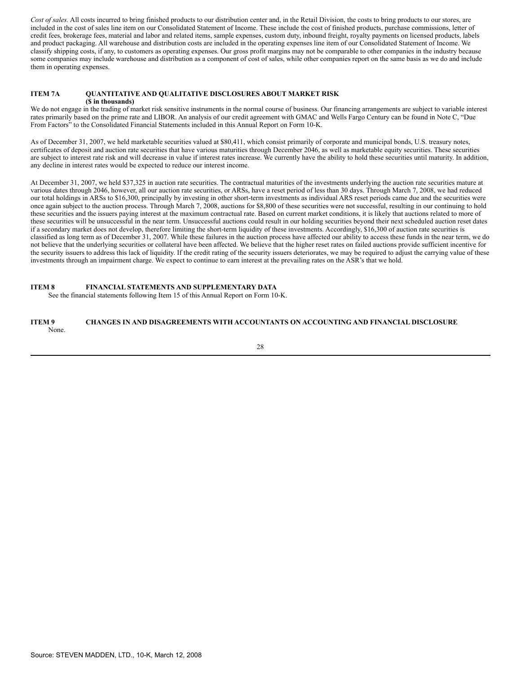<span id="page-32-0"></span>Cost of sales. All costs incurred to bring finished products to our distribution center and, in the Retail Division, the costs to bring products to our stores, are included in the cost of sales line item on our Consolidated Statement of Income. These include the cost of finished products, purchase commissions, letter of credit fees, brokerage fees, material and labor and related items, sample expenses, custom duty, inbound freight, royalty payments on licensed products, labels and product packaging. All warehouse and distribution costs are included in the operating expenses line item of our Consolidated Statement of Income. We classify shipping costs, if any, to customers as operating expenses. Our gross profit margins may not be comparable to other companies in the industry because some companies may include warehouse and distribution as a component of cost of sales, while other companies report on the same basis as we do and include them in operating expenses.

#### **ITEM 7A QUANTITATIVE AND QUALITATIVE DISCLOSURES ABOUT MARKET RISK (\$ in thousands)**

We do not engage in the trading of market risk sensitive instruments in the normal course of business. Our financing arrangements are subject to variable interest rates primarily based on the prime rate and LIBOR. An analysis of our credit agreement with GMAC and Wells Fargo Century can be found in Note C, "Due From Factors" to the Consolidated Financial Statements included in this Annual Report on Form 10-K.

As of December 31, 2007, we held marketable securities valued at \$80,411, which consist primarily of corporate and municipal bonds, U.S. treasury notes, certificates of deposit and auction rate securities that have various maturities through December 2046, as well as marketable equity securities. These securities are subject to interest rate risk and will decrease in value if interest rates increase. We currently have the ability to hold these securities until maturity. In addition, any decline in interest rates would be expected to reduce our interest income.

At December 31, 2007, we held \$37,325 in auction rate securities. The contractual maturities of the investments underlying the auction rate securities mature at various dates through 2046, however, all our auction rate securities, or ARSs, have a reset period of less than 30 days. Through March 7, 2008, we had reduced our total holdings in ARSs to \$16,300, principally by investing in other short-term investments as individual ARS reset periods came due and the securities were once again subject to the auction process. Through March 7, 2008, auctions for \$8,800 of these securities were not successful, resulting in our continuing to hold these securities and the issuers paying interest at the maximum contractual rate. Based on current market conditions, it is likely that auctions related to more of these securities will be unsuccessful in the near term. Unsuccessful auctions could result in our holding securities beyond their next scheduled auction reset dates if a secondary market does not develop, therefore limiting the short-term liquidity of these investments. Accordingly, \$16,300 of auction rate securities is classified as long term as of December 31, 2007. While these failures in the auction process have affected our ability to access these funds in the near term, we do not believe that the underlying securities or collateral have been affected. We believe that the higher reset rates on failed auctions provide sufficient incentive for the security issuers to address this lack of liquidity. If the credit rating of the security issuers deteriorates, we may be required to adjust the carrying value of these investments through an impairment charge. We expect to continue to earn interest at the prevailing rates on the ASR's that we hold.

#### **ITEM 8 FINANCIAL STATEMENTS AND SUPPLEMENTARY DATA**

See the financial statements following Item 15 of this Annual Report on Form 10-K.

#### **ITEM 9 CHANGES IN AND DISAGREEMENTS WITH ACCOUNTANTS ON ACCOUNTING AND FINANCIAL DISCLOSURE** None.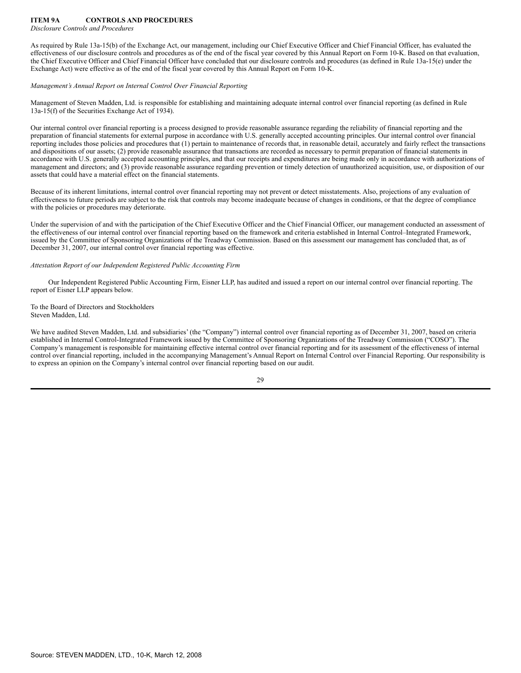#### <span id="page-33-0"></span>**ITEM 9A CONTROLS AND PROCEDURES**

*Disclosure Controls and Procedures*

As required by Rule 13a-15(b) of the Exchange Act, our management, including our Chief Executive Officer and Chief Financial Officer, has evaluated the effectiveness of our disclosure controls and procedures as of the end of the fiscal year covered by this Annual Report on Form 10-K. Based on that evaluation, the Chief Executive Officer and Chief Financial Officer have concluded that our disclosure controls and procedures (as defined in Rule 13a-15(e) under the Exchange Act) were effective as of the end of the fiscal year covered by this Annual Report on Form 10-K.

#### *Management's Annual Report on Internal Control Over Financial Reporting*

Management of Steven Madden, Ltd. is responsible for establishing and maintaining adequate internal control over financial reporting (as defined in Rule 13a-15(f) of the Securities Exchange Act of 1934).

Our internal control over financial reporting is a process designed to provide reasonable assurance regarding the reliability of financial reporting and the preparation of financial statements for external purpose in accordance with U.S. generally accepted accounting principles. Our internal control over financial reporting includes those policies and procedures that (1) pertain to maintenance of records that, in reasonable detail, accurately and fairly reflect the transactions and dispositions of our assets; (2) provide reasonable assurance that transactions are recorded as necessary to permit preparation of financial statements in accordance with U.S. generally accepted accounting principles, and that our receipts and expenditures are being made only in accordance with authorizations of management and directors; and (3) provide reasonable assurance regarding prevention or timely detection of unauthorized acquisition, use, or disposition of our assets that could have a material effect on the financial statements.

Because of its inherent limitations, internal control over financial reporting may not prevent or detect misstatements. Also, projections of any evaluation of effectiveness to future periods are subject to the risk that controls may become inadequate because of changes in conditions, or that the degree of compliance with the policies or procedures may deteriorate.

Under the supervision of and with the participation of the Chief Executive Officer and the Chief Financial Officer, our management conducted an assessment of the effectiveness of our internal control over financial reporting based on the framework and criteria established in Internal Control–Integrated Framework, issued by the Committee of Sponsoring Organizations of the Treadway Commission. Based on this assessment our management has concluded that, as of December 31, 2007, our internal control over financial reporting was effective.

#### *Attestation Report of our Independent Registered Public Accounting Firm*

 Our Independent Registered Public Accounting Firm, Eisner LLP, has audited and issued a report on our internal control over financial reporting. The report of Eisner LLP appears below.

To the Board of Directors and Stockholders Steven Madden, Ltd.

We have audited Steven Madden, Ltd. and subsidiaries' (the "Company") internal control over financial reporting as of December 31, 2007, based on criteria established in Internal Control-Integrated Framework issued by the Committee of Sponsoring Organizations of the Treadway Commission ("COSO"). The Company's management is responsible for maintaining effective internal control over financial reporting and for its assessment of the effectiveness of internal control over financial reporting, included in the accompanying Management's Annual Report on Internal Control over Financial Reporting. Our responsibility is to express an opinion on the Company's internal control over financial reporting based on our audit.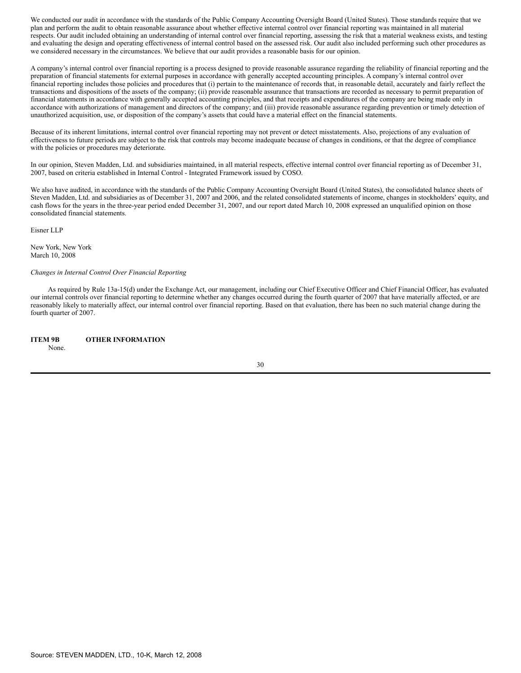<span id="page-34-0"></span>We conducted our audit in accordance with the standards of the Public Company Accounting Oversight Board (United States). Those standards require that we plan and perform the audit to obtain reasonable assurance about whether effective internal control over financial reporting was maintained in all material respects. Our audit included obtaining an understanding of internal control over financial reporting, assessing the risk that a material weakness exists, and testing and evaluating the design and operating effectiveness of internal control based on the assessed risk. Our audit also included performing such other procedures as we considered necessary in the circumstances. We believe that our audit provides a reasonable basis for our opinion.

A company's internal control over financial reporting is a process designed to provide reasonable assurance regarding the reliability of financial reporting and the preparation of financial statements for external purposes in accordance with generally accepted accounting principles. A company's internal control over financial reporting includes those policies and procedures that (i) pertain to the maintenance of records that, in reasonable detail, accurately and fairly reflect the transactions and dispositions of the assets of the company; (ii) provide reasonable assurance that transactions are recorded as necessary to permit preparation of financial statements in accordance with generally accepted accounting principles, and that receipts and expenditures of the company are being made only in accordance with authorizations of management and directors of the company; and (iii) provide reasonable assurance regarding prevention or timely detection of unauthorized acquisition, use, or disposition of the company's assets that could have a material effect on the financial statements.

Because of its inherent limitations, internal control over financial reporting may not prevent or detect misstatements. Also, projections of any evaluation of effectiveness to future periods are subject to the risk that controls may become inadequate because of changes in conditions, or that the degree of compliance with the policies or procedures may deteriorate.

In our opinion, Steven Madden, Ltd. and subsidiaries maintained, in all material respects, effective internal control over financial reporting as of December 31, 2007, based on criteria established in Internal Control - Integrated Framework issued by COSO.

We also have audited, in accordance with the standards of the Public Company Accounting Oversight Board (United States), the consolidated balance sheets of Steven Madden, Ltd. and subsidiaries as of December 31, 2007 and 2006, and the related consolidated statements of income, changes in stockholders' equity, and cash flows for the years in the three-year period ended December 31, 2007, and our report dated March 10, 2008 expressed an unqualified opinion on those consolidated financial statements.

Eisner LLP

New York, New York March 10, 2008

#### *Changes in Internal Control Over Financial Reporting*

 As required by Rule 13a-15(d) under the Exchange Act, our management, including our Chief Executive Officer and Chief Financial Officer, has evaluated our internal controls over financial reporting to determine whether any changes occurred during the fourth quarter of 2007 that have materially affected, or are reasonably likely to materially affect, our internal control over financial reporting. Based on that evaluation, there has been no such material change during the fourth quarter of 2007.

**ITEM 9B OTHER INFORMATION** None.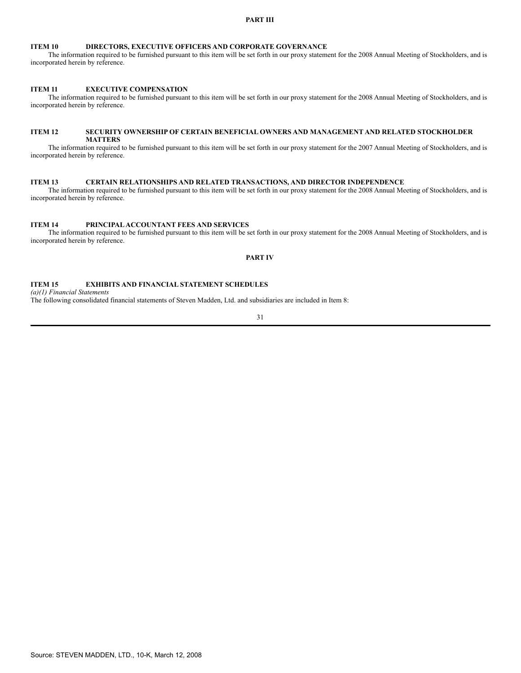#### **PART III**

#### <span id="page-35-0"></span>**ITEM 10 DIRECTORS, EXECUTIVE OFFICERS AND CORPORATE GOVERNANCE**

 The information required to be furnished pursuant to this item will be set forth in our proxy statement for the 2008 Annual Meeting of Stockholders, and is incorporated herein by reference.

#### **ITEM 11 EXECUTIVE COMPENSATION**

 The information required to be furnished pursuant to this item will be set forth in our proxy statement for the 2008 Annual Meeting of Stockholders, and is incorporated herein by reference.

#### **ITEM 12 SECURITY OWNERSHIP OF CERTAIN BENEFICIAL OWNERS AND MANAGEMENT AND RELATED STOCKHOLDER MATTERS**

 The information required to be furnished pursuant to this item will be set forth in our proxy statement for the 2007 Annual Meeting of Stockholders, and is incorporated herein by reference.

#### **ITEM 13 CERTAIN RELATIONSHIPS AND RELATED TRANSACTIONS, AND DIRECTOR INDEPENDENCE**

 The information required to be furnished pursuant to this item will be set forth in our proxy statement for the 2008 Annual Meeting of Stockholders, and is incorporated herein by reference.

#### **ITEM 14 PRINCIPAL ACCOUNTANT FEES AND SERVICES**

 The information required to be furnished pursuant to this item will be set forth in our proxy statement for the 2008 Annual Meeting of Stockholders, and is incorporated herein by reference.

**PART IV**

#### **ITEM 15 EXHIBITS AND FINANCIAL STATEMENT SCHEDULES**

*(a)(1) Financial Statements*

The following consolidated financial statements of Steven Madden, Ltd. and subsidiaries are included in Item 8: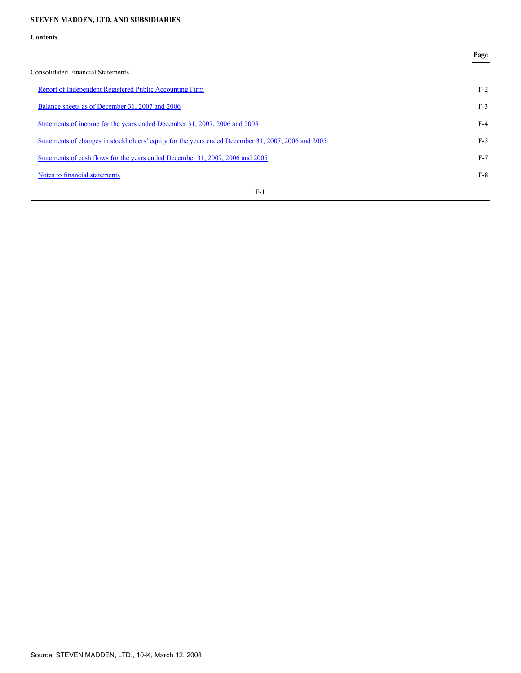# **Contents**

|                                                                                                    | Page  |
|----------------------------------------------------------------------------------------------------|-------|
| <b>Consolidated Financial Statements</b>                                                           |       |
| Report of Independent Registered Public Accounting Firm                                            | $F-2$ |
| Balance sheets as of December 31, 2007 and 2006                                                    | $F-3$ |
| Statements of income for the years ended December 31, 2007, 2006 and 2005                          | $F-4$ |
| Statements of changes in stockholders' equity for the years ended December 31, 2007, 2006 and 2005 | $F-5$ |
| Statements of cash flows for the years ended December 31, 2007, 2006 and 2005                      | $F-7$ |
| Notes to financial statements                                                                      | $F-8$ |
| $F-1$                                                                                              |       |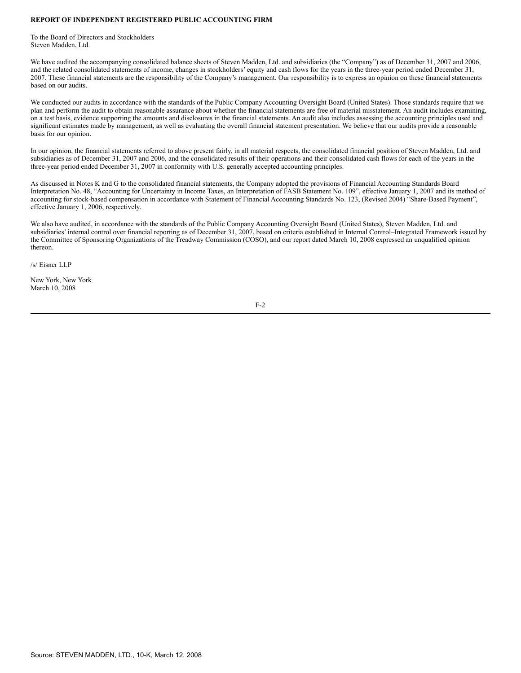# <span id="page-37-0"></span>**REPORT OF INDEPENDENT REGISTERED PUBLIC ACCOUNTING FIRM**

To the Board of Directors and Stockholders Steven Madden, Ltd.

We have audited the accompanying consolidated balance sheets of Steven Madden, Ltd. and subsidiaries (the "Company") as of December 31, 2007 and 2006, and the related consolidated statements of income, changes in stockholders' equity and cash flows for the years in the three-year period ended December 31, 2007. These financial statements are the responsibility of the Company's management. Our responsibility is to express an opinion on these financial statements based on our audits.

We conducted our audits in accordance with the standards of the Public Company Accounting Oversight Board (United States). Those standards require that we plan and perform the audit to obtain reasonable assurance about whether the financial statements are free of material misstatement. An audit includes examining, on a test basis, evidence supporting the amounts and disclosures in the financial statements. An audit also includes assessing the accounting principles used and significant estimates made by management, as well as evaluating the overall financial statement presentation. We believe that our audits provide a reasonable basis for our opinion.

In our opinion, the financial statements referred to above present fairly, in all material respects, the consolidated financial position of Steven Madden, Ltd. and subsidiaries as of December 31, 2007 and 2006, and the consolidated results of their operations and their consolidated cash flows for each of the years in the three-year period ended December 31, 2007 in conformity with U.S. generally accepted accounting principles.

As discussed in Notes K and G to the consolidated financial statements, the Company adopted the provisions of Financial Accounting Standards Board Interpretation No. 48, "Accounting for Uncertainty in Income Taxes, an Interpretation of FASB Statement No. 109", effective January 1, 2007 and its method of accounting for stock-based compensation in accordance with Statement of Financial Accounting Standards No. 123, (Revised 2004) "Share-Based Payment", effective January 1, 2006, respectively.

We also have audited, in accordance with the standards of the Public Company Accounting Oversight Board (United States), Steven Madden, Ltd. and subsidiaries' internal control over financial reporting as of December 31, 2007, based on criteria established in Internal Control–Integrated Framework issued by the Committee of Sponsoring Organizations of the Treadway Commission (COSO), and our report dated March 10, 2008 expressed an unqualified opinion thereon.

/s/ Eisner LLP

New York, New York March 10, 2008

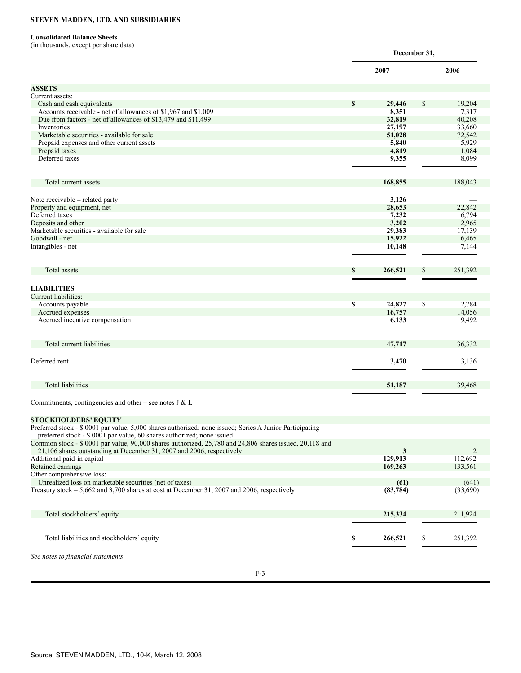# <span id="page-38-0"></span>**Consolidated Balance Sheets**

(in thousands, except per share data)

|                                                                                                                                                                                                                                                                                                                              |    | 2007      |    | 2006           |
|------------------------------------------------------------------------------------------------------------------------------------------------------------------------------------------------------------------------------------------------------------------------------------------------------------------------------|----|-----------|----|----------------|
| <b>ASSETS</b>                                                                                                                                                                                                                                                                                                                |    |           |    |                |
| Current assets:                                                                                                                                                                                                                                                                                                              |    |           |    |                |
| Cash and cash equivalents                                                                                                                                                                                                                                                                                                    | \$ | 29,446    | \$ | 19,204         |
| Accounts receivable - net of allowances of \$1,967 and \$1,009                                                                                                                                                                                                                                                               |    | 8,351     |    | 7,317          |
| Due from factors - net of allowances of \$13,479 and \$11,499                                                                                                                                                                                                                                                                |    | 32,819    |    | 40,208         |
| Inventories                                                                                                                                                                                                                                                                                                                  |    | 27,197    |    | 33,660         |
| Marketable securities - available for sale                                                                                                                                                                                                                                                                                   |    | 51,028    |    | 72,542         |
| Prepaid expenses and other current assets                                                                                                                                                                                                                                                                                    |    | 5,840     |    | 5,929          |
|                                                                                                                                                                                                                                                                                                                              |    | 4,819     |    | 1,084          |
| Prepaid taxes<br>Deferred taxes                                                                                                                                                                                                                                                                                              |    |           |    |                |
|                                                                                                                                                                                                                                                                                                                              |    | 9,355     |    | 8,099          |
| Total current assets                                                                                                                                                                                                                                                                                                         |    | 168,855   |    | 188,043        |
|                                                                                                                                                                                                                                                                                                                              |    |           |    |                |
| Note receivable – related party                                                                                                                                                                                                                                                                                              |    | 3,126     |    |                |
| Property and equipment, net                                                                                                                                                                                                                                                                                                  |    | 28,653    |    | 22,842         |
| Deferred taxes                                                                                                                                                                                                                                                                                                               |    | 7,232     |    | 6,794          |
| Deposits and other                                                                                                                                                                                                                                                                                                           |    | 3,202     |    | 2,965          |
| Marketable securities - available for sale                                                                                                                                                                                                                                                                                   |    | 29,383    |    | 17,139         |
| Goodwill - net                                                                                                                                                                                                                                                                                                               |    | 15,922    |    | 6,465          |
| Intangibles - net                                                                                                                                                                                                                                                                                                            |    | 10,148    |    | 7,144          |
| Total assets                                                                                                                                                                                                                                                                                                                 | S  | 266,521   | \$ | 251,392        |
| <b>LIABILITIES</b>                                                                                                                                                                                                                                                                                                           |    |           |    |                |
| Current liabilities:                                                                                                                                                                                                                                                                                                         |    |           |    |                |
| Accounts payable                                                                                                                                                                                                                                                                                                             | \$ | 24,827    | \$ | 12,784         |
| Accrued expenses                                                                                                                                                                                                                                                                                                             |    | 16,757    |    | 14,056         |
| Accrued incentive compensation                                                                                                                                                                                                                                                                                               |    | 6,133     |    | 9,492          |
|                                                                                                                                                                                                                                                                                                                              |    |           |    |                |
| Total current liabilities                                                                                                                                                                                                                                                                                                    |    | 47,717    |    | 36,332         |
|                                                                                                                                                                                                                                                                                                                              |    |           |    |                |
| Deferred rent                                                                                                                                                                                                                                                                                                                |    | 3,470     |    | 3,136          |
| <b>Total liabilities</b>                                                                                                                                                                                                                                                                                                     |    | 51,187    |    | 39,468         |
| Commitments, contingencies and other – see notes $J &L$                                                                                                                                                                                                                                                                      |    |           |    |                |
| <b>STOCKHOLDERS' EQUITY</b><br>Preferred stock - \$.0001 par value, 5,000 shares authorized; none issued; Series A Junior Participating<br>preferred stock - \$.0001 par value, 60 shares authorized; none issued<br>Common stock - \$.0001 par value, 90,000 shares authorized, 25,780 and 24,806 shares issued, 20,118 and |    |           |    |                |
| 21,106 shares outstanding at December 31, 2007 and 2006, respectively                                                                                                                                                                                                                                                        |    | 3         |    | $\overline{2}$ |
| Additional paid-in capital                                                                                                                                                                                                                                                                                                   |    | 129,913   |    | 112,692        |
| Retained earnings                                                                                                                                                                                                                                                                                                            |    | 169,263   |    | 133,561        |
| Other comprehensive loss:                                                                                                                                                                                                                                                                                                    |    |           |    |                |
| Unrealized loss on marketable securities (net of taxes)                                                                                                                                                                                                                                                                      |    | (61)      |    | (641)          |
| Treasury stock $-5,662$ and 3,700 shares at cost at December 31, 2007 and 2006, respectively                                                                                                                                                                                                                                 |    | (83, 784) |    | (33,690)       |
|                                                                                                                                                                                                                                                                                                                              |    |           |    |                |
| Total stockholders' equity                                                                                                                                                                                                                                                                                                   |    | 215,334   |    | 211,924        |
| Total liabilities and stockholders' equity                                                                                                                                                                                                                                                                                   | \$ | 266,521   | \$ | 251,392        |
| See notes to financial statements                                                                                                                                                                                                                                                                                            |    |           |    |                |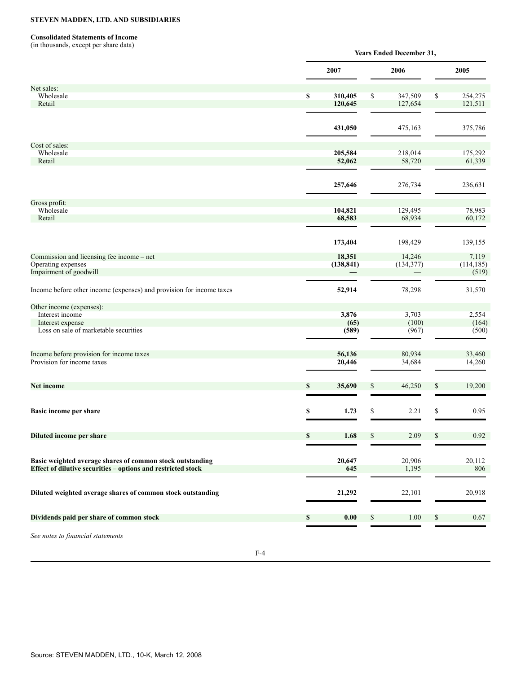## <span id="page-39-0"></span>**Consolidated Statements of Income**

(in thousands, except per share data)

| (in mousanus, except per share data)                                 | <b>Years Ended December 31,</b> |            |              |            |    |            |  |  |  |  |  |
|----------------------------------------------------------------------|---------------------------------|------------|--------------|------------|----|------------|--|--|--|--|--|
|                                                                      | 2007                            |            |              | 2006       |    | 2005       |  |  |  |  |  |
| Net sales:                                                           |                                 |            |              |            |    |            |  |  |  |  |  |
| Wholesale                                                            | $\sqrt{\ }$                     | 310,405    | \$           | 347,509    | \$ | 254,275    |  |  |  |  |  |
| Retail                                                               |                                 | 120,645    |              | 127,654    |    | 121,511    |  |  |  |  |  |
|                                                                      |                                 | 431,050    |              | 475,163    |    | 375,786    |  |  |  |  |  |
|                                                                      |                                 |            |              |            |    |            |  |  |  |  |  |
| Cost of sales:                                                       |                                 |            |              |            |    |            |  |  |  |  |  |
| Wholesale                                                            |                                 | 205,584    |              | 218,014    |    | 175,292    |  |  |  |  |  |
| Retail                                                               |                                 | 52,062     |              | 58,720     |    | 61,339     |  |  |  |  |  |
|                                                                      |                                 |            |              |            |    |            |  |  |  |  |  |
|                                                                      |                                 | 257,646    |              | 276,734    |    | 236,631    |  |  |  |  |  |
| Gross profit:                                                        |                                 |            |              |            |    |            |  |  |  |  |  |
| Wholesale                                                            |                                 | 104,821    |              | 129,495    |    | 78,983     |  |  |  |  |  |
| Retail                                                               |                                 | 68,583     |              | 68,934     |    | 60,172     |  |  |  |  |  |
|                                                                      |                                 |            |              |            |    |            |  |  |  |  |  |
|                                                                      |                                 | 173,404    |              | 198,429    |    | 139,155    |  |  |  |  |  |
| Commission and licensing fee income - net                            |                                 | 18,351     |              | 14,246     |    | 7,119      |  |  |  |  |  |
| Operating expenses                                                   |                                 | (138, 841) |              | (134, 377) |    | (114, 185) |  |  |  |  |  |
| Impairment of goodwill                                               |                                 |            |              |            |    | (519)      |  |  |  |  |  |
|                                                                      |                                 |            |              |            |    |            |  |  |  |  |  |
| Income before other income (expenses) and provision for income taxes |                                 | 52,914     |              | 78,298     |    | 31,570     |  |  |  |  |  |
| Other income (expenses):                                             |                                 |            |              |            |    |            |  |  |  |  |  |
| Interest income                                                      |                                 | 3,876      |              | 3,703      |    | 2,554      |  |  |  |  |  |
| Interest expense                                                     |                                 | (65)       |              | (100)      |    | (164)      |  |  |  |  |  |
| Loss on sale of marketable securities                                |                                 | (589)      |              | (967)      |    | (500)      |  |  |  |  |  |
|                                                                      |                                 |            |              |            |    |            |  |  |  |  |  |
| Income before provision for income taxes                             |                                 | 56,136     |              | 80,934     |    | 33,460     |  |  |  |  |  |
| Provision for income taxes                                           |                                 | 20,446     |              | 34,684     |    | 14,260     |  |  |  |  |  |
|                                                                      |                                 |            |              |            |    |            |  |  |  |  |  |
| Net income                                                           | \$                              | 35,690     | \$           | 46,250     | \$ | 19,200     |  |  |  |  |  |
| <b>Basic income per share</b>                                        | \$                              | 1.73       | \$           | 2.21       | \$ | 0.95       |  |  |  |  |  |
|                                                                      |                                 |            |              |            |    |            |  |  |  |  |  |
| <b>Diluted income per share</b>                                      | \$                              | 1.68       | $\mathbb{S}$ | 2.09       | \$ | 0.92       |  |  |  |  |  |
|                                                                      |                                 |            |              |            |    |            |  |  |  |  |  |
| Basic weighted average shares of common stock outstanding            |                                 | 20,647     |              | 20,906     |    | 20,112     |  |  |  |  |  |
| Effect of dilutive securities - options and restricted stock         |                                 | 645        |              | 1,195      |    | 806        |  |  |  |  |  |
|                                                                      |                                 |            |              |            |    |            |  |  |  |  |  |
| Diluted weighted average shares of common stock outstanding          |                                 | 21,292     |              | 22,101     |    | 20,918     |  |  |  |  |  |
|                                                                      |                                 |            |              |            |    |            |  |  |  |  |  |
| Dividends paid per share of common stock                             | $\mathbb S$                     | 0.00       | \$           | 1.00       | \$ | 0.67       |  |  |  |  |  |
|                                                                      |                                 |            |              |            |    |            |  |  |  |  |  |
| See notes to financial statements                                    |                                 |            |              |            |    |            |  |  |  |  |  |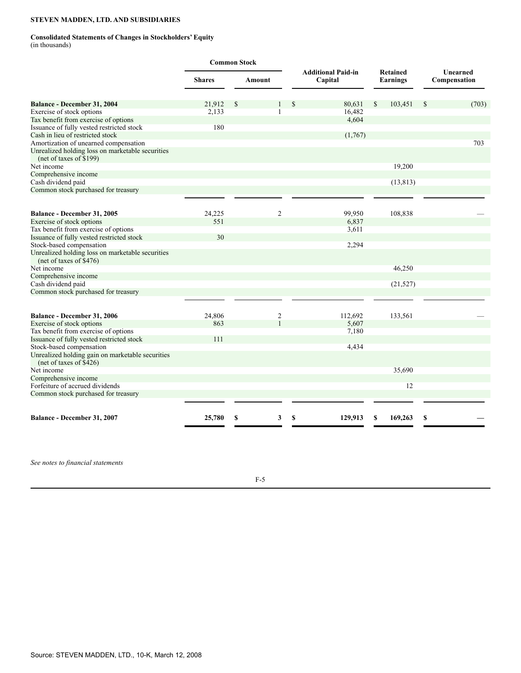# <span id="page-40-0"></span>**Consolidated Statements of Changes in Stockholders' Equity**

(in thousands)

|                                                                               | <b>Common Stock</b> |        |                |                                      |         |                             |           |                          |
|-------------------------------------------------------------------------------|---------------------|--------|----------------|--------------------------------------|---------|-----------------------------|-----------|--------------------------|
|                                                                               | <b>Shares</b>       | Amount |                | <b>Additional Paid-in</b><br>Capital |         | <b>Retained</b><br>Earnings |           | Unearned<br>Compensation |
|                                                                               |                     |        |                |                                      |         |                             |           |                          |
| <b>Balance - December 31, 2004</b>                                            | 21,912              | \$     | 1              | S                                    | 80,631  | \$                          | 103,451   | \$<br>(703)              |
| Exercise of stock options                                                     | 2,133               |        | 1              |                                      | 16,482  |                             |           |                          |
| Tax benefit from exercise of options                                          |                     |        |                |                                      | 4,604   |                             |           |                          |
| Issuance of fully vested restricted stock<br>Cash in lieu of restricted stock | 180                 |        |                |                                      | (1,767) |                             |           |                          |
| Amortization of unearned compensation                                         |                     |        |                |                                      |         |                             |           | 703                      |
| Unrealized holding loss on marketable securities<br>(net of taxes of \$199)   |                     |        |                |                                      |         |                             |           |                          |
| Net income                                                                    |                     |        |                |                                      |         |                             | 19,200    |                          |
| Comprehensive income                                                          |                     |        |                |                                      |         |                             |           |                          |
| Cash dividend paid                                                            |                     |        |                |                                      |         |                             | (13, 813) |                          |
| Common stock purchased for treasury                                           |                     |        |                |                                      |         |                             |           |                          |
|                                                                               |                     |        |                |                                      |         |                             |           |                          |
| <b>Balance - December 31, 2005</b>                                            | 24,225              |        | $\overline{2}$ |                                      | 99,950  |                             | 108,838   |                          |
| Exercise of stock options                                                     | 551                 |        |                |                                      | 6,837   |                             |           |                          |
| Tax benefit from exercise of options                                          |                     |        |                |                                      | 3,611   |                             |           |                          |
| Issuance of fully vested restricted stock                                     | 30                  |        |                |                                      |         |                             |           |                          |
| Stock-based compensation                                                      |                     |        |                |                                      | 2,294   |                             |           |                          |
| Unrealized holding loss on marketable securities<br>(net of taxes of \$476)   |                     |        |                |                                      |         |                             |           |                          |
| Net income                                                                    |                     |        |                |                                      |         |                             | 46,250    |                          |
| Comprehensive income                                                          |                     |        |                |                                      |         |                             |           |                          |
| Cash dividend paid                                                            |                     |        |                |                                      |         |                             | (21, 527) |                          |
| Common stock purchased for treasury                                           |                     |        |                |                                      |         |                             |           |                          |
|                                                                               |                     |        |                |                                      |         |                             |           |                          |
| Balance - December 31, 2006                                                   | 24,806              |        | $\overline{2}$ |                                      | 112,692 |                             | 133,561   |                          |
| Exercise of stock options                                                     | 863                 |        | $\mathbf{1}$   |                                      | 5,607   |                             |           |                          |
| Tax benefit from exercise of options                                          |                     |        |                |                                      | 7,180   |                             |           |                          |
| Issuance of fully vested restricted stock                                     | 111                 |        |                |                                      |         |                             |           |                          |
| Stock-based compensation                                                      |                     |        |                |                                      | 4,434   |                             |           |                          |
| Unrealized holding gain on marketable securities<br>(net of taxes of \$426)   |                     |        |                |                                      |         |                             |           |                          |
| Net income                                                                    |                     |        |                |                                      |         |                             | 35,690    |                          |
| Comprehensive income                                                          |                     |        |                |                                      |         |                             |           |                          |
| Forfeiture of accrued dividends                                               |                     |        |                |                                      |         |                             | 12        |                          |
| Common stock purchased for treasury                                           |                     |        |                |                                      |         |                             |           |                          |
| Balance - December 31, 2007                                                   | 25,780              | S      | 3              | \$                                   | 129,913 | \$                          | 169,263   | \$                       |

*See notes to financial statements*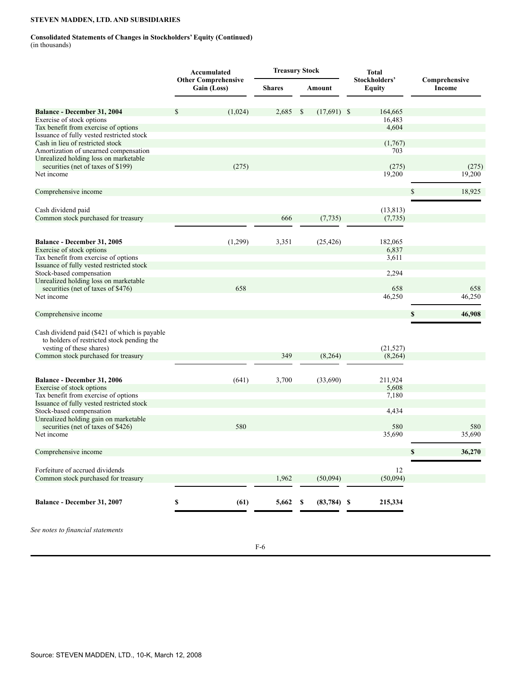# **Consolidated Statements of Changes in Stockholders' Equity (Continued)** (in thousands)

| <b>Shares</b><br>(1,024)<br>2,685<br>(275)<br>666<br>(1,299)<br>3,351 | -S    | Amount<br>$(17,691)$ \$<br>(7, 735)<br>(25, 426) |          | Stockholders'<br>Equity<br>164,665<br>16,483<br>4,604<br>(1,767)<br>703<br>(275)<br>19,200<br>(13, 813)<br>(7, 735)<br>182,065<br>6,837<br>3,611<br>2,294<br>658<br>46,250 | \$<br>S        | Comprehensive<br><b>Income</b> |
|-----------------------------------------------------------------------|-------|--------------------------------------------------|----------|----------------------------------------------------------------------------------------------------------------------------------------------------------------------------|----------------|--------------------------------|
|                                                                       |       |                                                  |          |                                                                                                                                                                            |                |                                |
|                                                                       |       |                                                  |          |                                                                                                                                                                            |                | (275)                          |
|                                                                       |       |                                                  |          |                                                                                                                                                                            |                |                                |
|                                                                       |       |                                                  |          |                                                                                                                                                                            |                |                                |
|                                                                       |       |                                                  |          |                                                                                                                                                                            |                |                                |
|                                                                       |       |                                                  |          |                                                                                                                                                                            |                |                                |
|                                                                       |       |                                                  |          |                                                                                                                                                                            |                |                                |
|                                                                       |       |                                                  |          |                                                                                                                                                                            |                | 19,200                         |
|                                                                       |       |                                                  |          |                                                                                                                                                                            |                |                                |
|                                                                       |       |                                                  |          |                                                                                                                                                                            |                | 18,925                         |
|                                                                       |       |                                                  |          |                                                                                                                                                                            |                |                                |
|                                                                       |       |                                                  |          |                                                                                                                                                                            |                |                                |
|                                                                       |       |                                                  |          |                                                                                                                                                                            |                | 658<br>46,250<br>46,908        |
|                                                                       |       |                                                  |          |                                                                                                                                                                            |                |                                |
|                                                                       |       |                                                  |          |                                                                                                                                                                            |                |                                |
|                                                                       |       |                                                  |          |                                                                                                                                                                            |                |                                |
|                                                                       |       |                                                  |          |                                                                                                                                                                            |                |                                |
|                                                                       |       |                                                  |          |                                                                                                                                                                            |                |                                |
|                                                                       |       |                                                  |          |                                                                                                                                                                            |                |                                |
|                                                                       |       |                                                  |          |                                                                                                                                                                            |                |                                |
|                                                                       |       |                                                  |          |                                                                                                                                                                            |                |                                |
|                                                                       |       |                                                  |          |                                                                                                                                                                            |                |                                |
|                                                                       |       |                                                  |          |                                                                                                                                                                            |                |                                |
|                                                                       |       |                                                  |          |                                                                                                                                                                            |                |                                |
|                                                                       |       |                                                  |          | (21, 527)                                                                                                                                                                  |                |                                |
| 349                                                                   |       | (8,264)                                          |          | (8,264)                                                                                                                                                                    |                |                                |
|                                                                       |       |                                                  |          |                                                                                                                                                                            |                |                                |
| (641)<br>3,700                                                        |       | (33,690)                                         |          | 211,924                                                                                                                                                                    |                |                                |
|                                                                       |       |                                                  |          | 5,608<br>7,180                                                                                                                                                             |                |                                |
|                                                                       |       |                                                  |          |                                                                                                                                                                            |                |                                |
|                                                                       |       |                                                  |          | 4,434                                                                                                                                                                      |                |                                |
|                                                                       |       |                                                  |          |                                                                                                                                                                            |                |                                |
|                                                                       |       |                                                  |          | 580                                                                                                                                                                        |                | 580                            |
|                                                                       |       |                                                  |          | 35,690                                                                                                                                                                     |                | 35,690                         |
|                                                                       |       |                                                  |          |                                                                                                                                                                            | \$             | 36,270                         |
|                                                                       |       |                                                  |          |                                                                                                                                                                            |                |                                |
|                                                                       |       |                                                  |          |                                                                                                                                                                            |                |                                |
|                                                                       |       |                                                  |          |                                                                                                                                                                            |                |                                |
|                                                                       |       |                                                  |          | 215,334                                                                                                                                                                    |                |                                |
|                                                                       | 1,962 | (61)<br>5,662<br>\$                              | (50,094) | $(83,784)$ \$                                                                                                                                                              | 12<br>(50,094) |                                |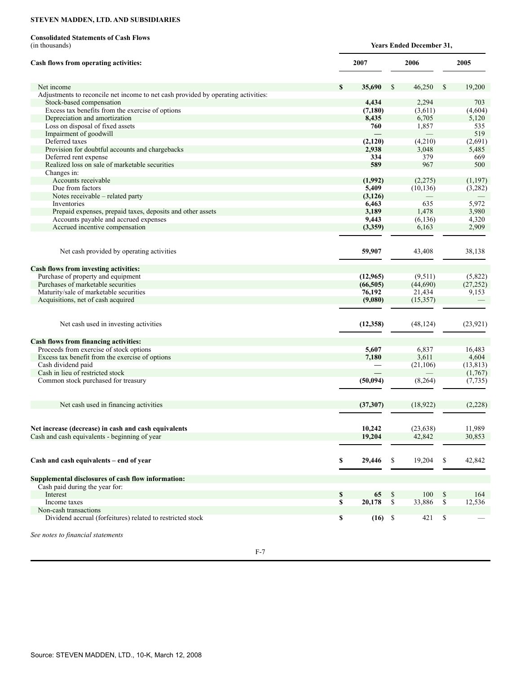#### <span id="page-42-0"></span>**Consolidated Statements of Cash Flows**

| (in thousands)                                                                    |      | <b>Years Ended December 31,</b> |               |           |      |           |  |  |  |  |  |
|-----------------------------------------------------------------------------------|------|---------------------------------|---------------|-----------|------|-----------|--|--|--|--|--|
| Cash flows from operating activities:                                             | 2007 |                                 |               | 2006      | 2005 |           |  |  |  |  |  |
| Net income                                                                        | S    | 35,690                          | $\mathcal{S}$ | 46,250    | \$   | 19,200    |  |  |  |  |  |
| Adjustments to reconcile net income to net cash provided by operating activities: |      |                                 |               |           |      |           |  |  |  |  |  |
| Stock-based compensation                                                          |      | 4,434                           |               | 2,294     |      | 703       |  |  |  |  |  |
| Excess tax benefits from the exercise of options                                  |      | (7,180)                         |               | (3,611)   |      | (4,604)   |  |  |  |  |  |
| Depreciation and amortization                                                     |      | 8,435                           |               | 6,705     |      | 5,120     |  |  |  |  |  |
| Loss on disposal of fixed assets                                                  |      | 760                             |               | 1,857     |      | 535       |  |  |  |  |  |
| Impairment of goodwill                                                            |      |                                 |               |           |      | 519       |  |  |  |  |  |
| Deferred taxes                                                                    |      | (2,120)                         |               | (4,210)   |      | (2,691)   |  |  |  |  |  |
| Provision for doubtful accounts and chargebacks                                   |      | 2,938                           |               | 3,048     |      | 5,485     |  |  |  |  |  |
| Deferred rent expense                                                             |      | 334                             |               | 379       |      | 669       |  |  |  |  |  |
| Realized loss on sale of marketable securities                                    |      | 589                             |               | 967       |      | 500       |  |  |  |  |  |
| Changes in:                                                                       |      |                                 |               |           |      |           |  |  |  |  |  |
| Accounts receivable                                                               |      | (1,992)                         |               | (2,275)   |      | (1,197)   |  |  |  |  |  |
| Due from factors                                                                  |      | 5,409                           |               | (10, 136) |      | (3,282)   |  |  |  |  |  |
| Notes receivable - related party                                                  |      | (3, 126)                        |               |           |      |           |  |  |  |  |  |
| Inventories                                                                       |      | 6,463                           |               | 635       |      | 5,972     |  |  |  |  |  |
| Prepaid expenses, prepaid taxes, deposits and other assets                        |      | 3,189                           |               | 1,478     |      | 3,980     |  |  |  |  |  |
| Accounts payable and accrued expenses                                             |      | 9,443                           |               | (6, 136)  |      | 4,320     |  |  |  |  |  |
| Accrued incentive compensation                                                    |      | (3,359)                         |               | 6,163     |      | 2,909     |  |  |  |  |  |
|                                                                                   |      |                                 |               |           |      |           |  |  |  |  |  |
| Net cash provided by operating activities                                         |      | 59,907                          |               | 43,408    |      | 38,138    |  |  |  |  |  |
| Cash flows from investing activities:                                             |      |                                 |               |           |      |           |  |  |  |  |  |
| Purchase of property and equipment                                                |      | (12,965)                        |               | (9,511)   |      | (5,822)   |  |  |  |  |  |
| Purchases of marketable securities                                                |      |                                 |               |           |      |           |  |  |  |  |  |
|                                                                                   |      | (66, 505)                       |               | (44,690)  |      | (27, 252) |  |  |  |  |  |
| Maturity/sale of marketable securities                                            |      | 76,192                          |               | 21,434    |      | 9,153     |  |  |  |  |  |
| Acquisitions, net of cash acquired                                                |      | (9,080)                         |               | (15,357)  |      |           |  |  |  |  |  |
| Net cash used in investing activities                                             |      | (12, 358)                       |               | (48, 124) |      | (23, 921) |  |  |  |  |  |
| <b>Cash flows from financing activities:</b>                                      |      |                                 |               |           |      |           |  |  |  |  |  |
| Proceeds from exercise of stock options                                           |      | 5,607                           |               | 6,837     |      | 16,483    |  |  |  |  |  |
| Excess tax benefit from the exercise of options                                   |      | 7,180                           |               | 3,611     |      | 4,604     |  |  |  |  |  |
| Cash dividend paid                                                                |      | $\overline{\phantom{0}}$        |               | (21,106)  |      | (13, 813) |  |  |  |  |  |
| Cash in lieu of restricted stock                                                  |      | <u>e a</u>                      |               |           |      | (1,767)   |  |  |  |  |  |
| Common stock purchased for treasury                                               |      | (50,094)                        |               | (8,264)   |      | (7, 735)  |  |  |  |  |  |
|                                                                                   |      |                                 |               |           |      |           |  |  |  |  |  |
| Net cash used in financing activities                                             |      | (37,307)                        |               | (18, 922) |      | (2,228)   |  |  |  |  |  |
|                                                                                   |      |                                 |               |           |      |           |  |  |  |  |  |
| Net increase (decrease) in cash and cash equivalents                              |      | 10,242                          |               | (23, 638) |      | 11,989    |  |  |  |  |  |
| Cash and cash equivalents - beginning of year                                     |      | 19,204                          |               | 42,842    |      | 30,853    |  |  |  |  |  |
| Cash and cash equivalents - end of year                                           | \$   | 29,446                          | S             | 19,204    | \$   | 42,842    |  |  |  |  |  |
| Supplemental disclosures of cash flow information:                                |      |                                 |               |           |      |           |  |  |  |  |  |
| Cash paid during the year for:                                                    |      |                                 |               |           |      |           |  |  |  |  |  |
| Interest                                                                          | \$   | 65                              | \$            | 100       | \$   | 164       |  |  |  |  |  |
| Income taxes                                                                      |      | 20,178                          | \$            |           |      |           |  |  |  |  |  |
| Non-cash transactions                                                             | \$   |                                 |               | 33,886    | \$   | 12,536    |  |  |  |  |  |
|                                                                                   |      |                                 |               |           |      |           |  |  |  |  |  |
| Dividend accrual (forfeitures) related to restricted stock                        | \$   | $(16)$ \$                       |               | 421       | \$   |           |  |  |  |  |  |
| See notes to financial statements                                                 |      |                                 |               |           |      |           |  |  |  |  |  |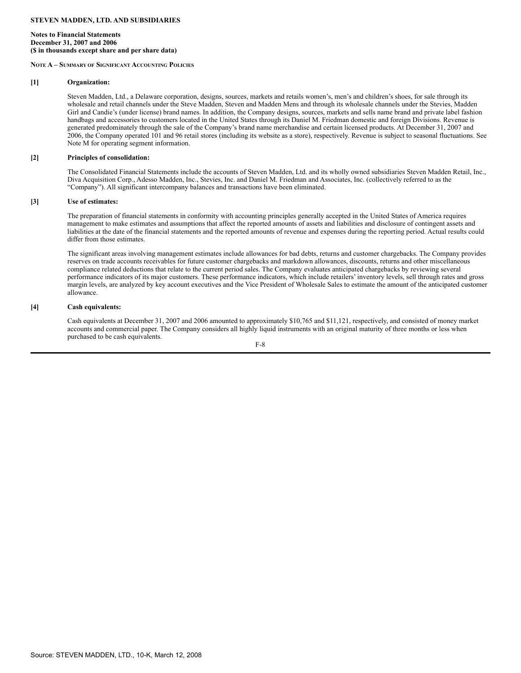### <span id="page-43-0"></span>**Notes to Financial Statements December 31, 2007 and 2006 (\$ in thousands except share and per share data)**

## **NOTE A – SUMMARY OF SIGNIFICANT ACCOUNTING POLICIES**

# **[1] Organization:**

Steven Madden, Ltd., a Delaware corporation, designs, sources, markets and retails women's, men's and children's shoes, for sale through its wholesale and retail channels under the Steve Madden, Steven and Madden Mens and through its wholesale channels under the Stevies, Madden Girl and Candie's (under license) brand names. In addition, the Company designs, sources, markets and sells name brand and private label fashion handbags and accessories to customers located in the United States through its Daniel M. Friedman domestic and foreign Divisions. Revenue is generated predominately through the sale of the Company's brand name merchandise and certain licensed products. At December 31, 2007 and 2006, the Company operated 101 and 96 retail stores (including its website as a store), respectively. Revenue is subject to seasonal fluctuations. See Note M for operating segment information.

# **[2] Principles of consolidation:**

The Consolidated Financial Statements include the accounts of Steven Madden, Ltd. and its wholly owned subsidiaries Steven Madden Retail, Inc., Diva Acquisition Corp., Adesso Madden, Inc., Stevies, Inc. and Daniel M. Friedman and Associates, Inc. (collectively referred to as the "Company"). All significant intercompany balances and transactions have been eliminated.

## **[3] Use of estimates:**

The preparation of financial statements in conformity with accounting principles generally accepted in the United States of America requires management to make estimates and assumptions that affect the reported amounts of assets and liabilities and disclosure of contingent assets and liabilities at the date of the financial statements and the reported amounts of revenue and expenses during the reporting period. Actual results could differ from those estimates.

The significant areas involving management estimates include allowances for bad debts, returns and customer chargebacks. The Company provides reserves on trade accounts receivables for future customer chargebacks and markdown allowances, discounts, returns and other miscellaneous compliance related deductions that relate to the current period sales. The Company evaluates anticipated chargebacks by reviewing several performance indicators of its major customers. These performance indicators, which include retailers' inventory levels, sell through rates and gross margin levels, are analyzed by key account executives and the Vice President of Wholesale Sales to estimate the amount of the anticipated customer allowance.

## **[4] Cash equivalents:**

Cash equivalents at December 31, 2007 and 2006 amounted to approximately \$10,765 and \$11,121, respectively, and consisted of money market accounts and commercial paper. The Company considers all highly liquid instruments with an original maturity of three months or less when purchased to be cash equivalents.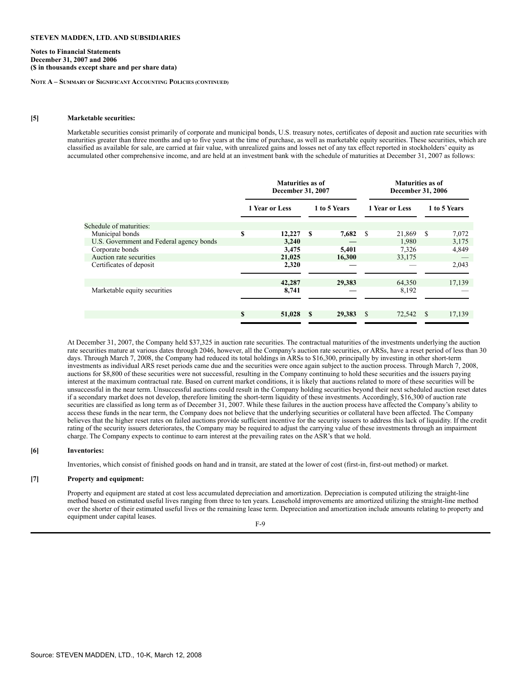**NOTE A – SUMMARY OF SIGNIFICANT ACCOUNTING POLICIES (CONTINUED)**

#### **[5] Marketable securities:**

Marketable securities consist primarily of corporate and municipal bonds, U.S. treasury notes, certificates of deposit and auction rate securities with maturities greater than three months and up to five years at the time of purchase, as well as marketable equity securities. These securities, which are classified as available for sale, are carried at fair value, with unrealized gains and losses net of any tax effect reported in stockholders' equity as accumulated other comprehensive income, and are held at an investment bank with the schedule of maturities at December 31, 2007 as follows:

|                                          |   | Maturities as of<br>December 31, 2007 |    |              |          | <b>Maturities as of</b><br><b>December 31, 2006</b> |     |              |  |
|------------------------------------------|---|---------------------------------------|----|--------------|----------|-----------------------------------------------------|-----|--------------|--|
|                                          |   | 1 Year or Less                        |    | 1 to 5 Years |          | 1 Year or Less                                      |     | 1 to 5 Years |  |
| Schedule of maturities:                  |   |                                       |    |              |          |                                                     |     |              |  |
| Municipal bonds                          | S | 12,227                                | S  | 7,682        | S        | 21,869                                              | S   | 7,072        |  |
| U.S. Government and Federal agency bonds |   | 3,240                                 |    |              |          | 1,980                                               |     | 3,175        |  |
| Corporate bonds                          |   | 3,475                                 |    | 5,401        |          | 7,326                                               |     | 4,849        |  |
| Auction rate securities                  |   | 21,025                                |    | 16,300       |          | 33,175                                              |     |              |  |
| Certificates of deposit                  |   | 2,320                                 |    |              |          |                                                     |     | 2,043        |  |
|                                          |   |                                       |    |              |          |                                                     |     |              |  |
|                                          |   | 42,287                                |    | 29,383       |          | 64,350                                              |     | 17,139       |  |
| Marketable equity securities             |   | 8,741                                 |    |              |          | 8,192                                               |     |              |  |
|                                          |   |                                       |    |              |          |                                                     |     |              |  |
|                                          | S | 51,028                                | -S | 29,383       | <b>S</b> | 72,542                                              | - S | 17,139       |  |
|                                          |   |                                       |    |              |          |                                                     |     |              |  |

At December 31, 2007, the Company held \$37,325 in auction rate securities. The contractual maturities of the investments underlying the auction rate securities mature at various dates through 2046, however, all the Company's auction rate securities, or ARSs, have a reset period of less than 30 days. Through March 7, 2008, the Company had reduced its total holdings in ARSs to \$16,300, principally by investing in other short-term investments as individual ARS reset periods came due and the securities were once again subject to the auction process. Through March 7, 2008, auctions for \$8,800 of these securities were not successful, resulting in the Company continuing to hold these securities and the issuers paying interest at the maximum contractual rate. Based on current market conditions, it is likely that auctions related to more of these securities will be unsuccessful in the near term. Unsuccessful auctions could result in the Company holding securities beyond their next scheduled auction reset dates if a secondary market does not develop, therefore limiting the short-term liquidity of these investments. Accordingly, \$16,300 of auction rate securities are classified as long term as of December 31, 2007. While these failures in the auction process have affected the Company's ability to access these funds in the near term, the Company does not believe that the underlying securities or collateral have been affected. The Company believes that the higher reset rates on failed auctions provide sufficient incentive for the security issuers to address this lack of liquidity. If the credit rating of the security issuers deteriorates, the Company may be required to adjust the carrying value of these investments through an impairment charge. The Company expects to continue to earn interest at the prevailing rates on the ASR's that we hold.

#### **[6] Inventories:**

Inventories, which consist of finished goods on hand and in transit, are stated at the lower of cost (first-in, first-out method) or market.

# **[7] Property and equipment:**

Property and equipment are stated at cost less accumulated depreciation and amortization. Depreciation is computed utilizing the straight-line method based on estimated useful lives ranging from three to ten years. Leasehold improvements are amortized utilizing the straight-line method over the shorter of their estimated useful lives or the remaining lease term. Depreciation and amortization include amounts relating to property and equipment under capital leases.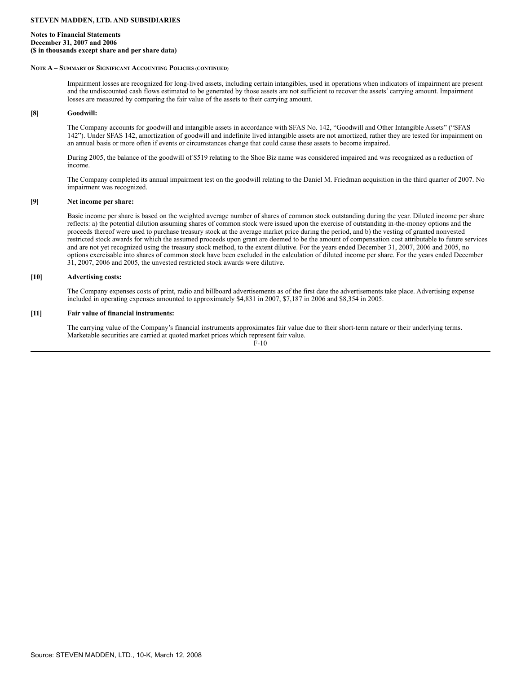#### **NOTE A – SUMMARY OF SIGNIFICANT ACCOUNTING POLICIES (CONTINUED)**

Impairment losses are recognized for long-lived assets, including certain intangibles, used in operations when indicators of impairment are present and the undiscounted cash flows estimated to be generated by those assets are not sufficient to recover the assets' carrying amount. Impairment losses are measured by comparing the fair value of the assets to their carrying amount.

#### **[8] Goodwill:**

The Company accounts for goodwill and intangible assets in accordance with SFAS No. 142, "Goodwill and Other Intangible Assets" ("SFAS 142"). Under SFAS 142, amortization of goodwill and indefinite lived intangible assets are not amortized, rather they are tested for impairment on an annual basis or more often if events or circumstances change that could cause these assets to become impaired.

During 2005, the balance of the goodwill of \$519 relating to the Shoe Biz name was considered impaired and was recognized as a reduction of income.

The Company completed its annual impairment test on the goodwill relating to the Daniel M. Friedman acquisition in the third quarter of 2007. No impairment was recognized.

# **[9] Net income per share:**

Basic income per share is based on the weighted average number of shares of common stock outstanding during the year. Diluted income per share reflects: a) the potential dilution assuming shares of common stock were issued upon the exercise of outstanding in-the-money options and the proceeds thereof were used to purchase treasury stock at the average market price during the period, and b) the vesting of granted nonvested restricted stock awards for which the assumed proceeds upon grant are deemed to be the amount of compensation cost attributable to future services and are not yet recognized using the treasury stock method, to the extent dilutive. For the years ended December 31, 2007, 2006 and 2005, no options exercisable into shares of common stock have been excluded in the calculation of diluted income per share. For the years ended December 31, 2007, 2006 and 2005, the unvested restricted stock awards were dilutive.

# **[10] Advertising costs:**

The Company expenses costs of print, radio and billboard advertisements as of the first date the advertisements take place. Advertising expense included in operating expenses amounted to approximately \$4,831 in 2007, \$7,187 in 2006 and \$8,354 in 2005.

## **[11] Fair value of financial instruments:**

The carrying value of the Company's financial instruments approximates fair value due to their short-term nature or their underlying terms. Marketable securities are carried at quoted market prices which represent fair value.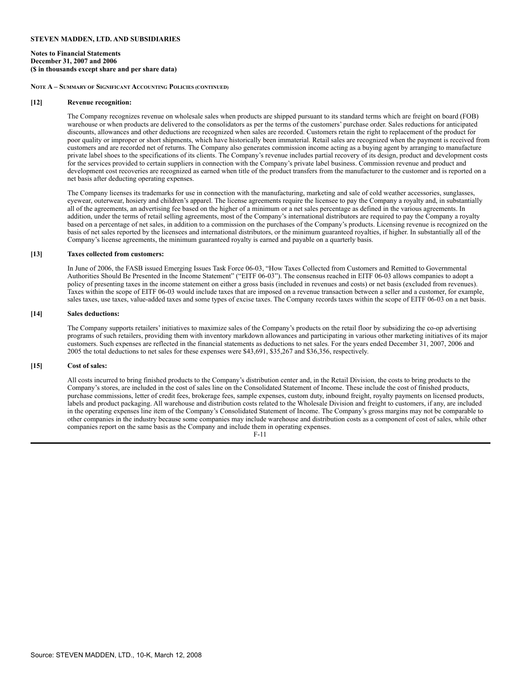#### **Notes to Financial Statements December 31, 2007 and 2006 (\$ in thousands except share and per share data)**

**NOTE A – SUMMARY OF SIGNIFICANT ACCOUNTING POLICIES (CONTINUED)**

## **[12] Revenue recognition:**

The Company recognizes revenue on wholesale sales when products are shipped pursuant to its standard terms which are freight on board (FOB) warehouse or when products are delivered to the consolidators as per the terms of the customers' purchase order. Sales reductions for anticipated discounts, allowances and other deductions are recognized when sales are recorded. Customers retain the right to replacement of the product for poor quality or improper or short shipments, which have historically been immaterial. Retail sales are recognized when the payment is received from customers and are recorded net of returns. The Company also generates commission income acting as a buying agent by arranging to manufacture private label shoes to the specifications of its clients. The Company's revenue includes partial recovery of its design, product and development costs for the services provided to certain suppliers in connection with the Company's private label business. Commission revenue and product and development cost recoveries are recognized as earned when title of the product transfers from the manufacturer to the customer and is reported on a net basis after deducting operating expenses.

The Company licenses its trademarks for use in connection with the manufacturing, marketing and sale of cold weather accessories, sunglasses, eyewear, outerwear, hosiery and children's apparel. The license agreements require the licensee to pay the Company a royalty and, in substantially all of the agreements, an advertising fee based on the higher of a minimum or a net sales percentage as defined in the various agreements. In addition, under the terms of retail selling agreements, most of the Company's international distributors are required to pay the Company a royalty based on a percentage of net sales, in addition to a commission on the purchases of the Company's products. Licensing revenue is recognized on the basis of net sales reported by the licensees and international distributors, or the minimum guaranteed royalties, if higher. In substantially all of the Company's license agreements, the minimum guaranteed royalty is earned and payable on a quarterly basis.

# **[13] Taxes collected from customers:**

In June of 2006, the FASB issued Emerging Issues Task Force 06-03, "How Taxes Collected from Customers and Remitted to Governmental Authorities Should Be Presented in the Income Statement" ("EITF 06-03"). The consensus reached in EITF 06-03 allows companies to adopt a policy of presenting taxes in the income statement on either a gross basis (included in revenues and costs) or net basis (excluded from revenues). Taxes within the scope of EITF 06-03 would include taxes that are imposed on a revenue transaction between a seller and a customer, for example, sales taxes, use taxes, value-added taxes and some types of excise taxes. The Company records taxes within the scope of EITF 06-03 on a net basis.

## **[14] Sales deductions:**

The Company supports retailers' initiatives to maximize sales of the Company's products on the retail floor by subsidizing the co-op advertising programs of such retailers, providing them with inventory markdown allowances and participating in various other marketing initiatives of its major customers. Such expenses are reflected in the financial statements as deductions to net sales. For the years ended December 31, 2007, 2006 and 2005 the total deductions to net sales for these expenses were \$43,691, \$35,267 and \$36,356, respectively.

# **[15] Cost of sales:**

All costs incurred to bring finished products to the Company's distribution center and, in the Retail Division, the costs to bring products to the Company's stores, are included in the cost of sales line on the Consolidated Statement of Income. These include the cost of finished products, purchase commissions, letter of credit fees, brokerage fees, sample expenses, custom duty, inbound freight, royalty payments on licensed products, labels and product packaging. All warehouse and distribution costs related to the Wholesale Division and freight to customers, if any, are included in the operating expenses line item of the Company's Consolidated Statement of Income. The Company's gross margins may not be comparable to other companies in the industry because some companies may include warehouse and distribution costs as a component of cost of sales, while other companies report on the same basis as the Company and include them in operating expenses.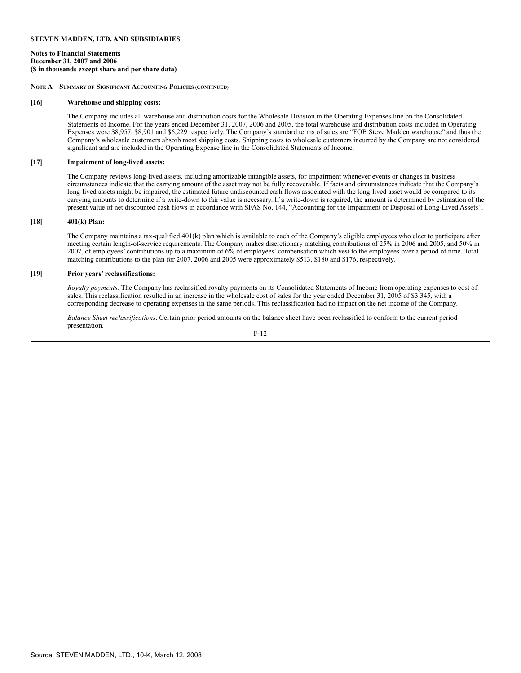#### **Notes to Financial Statements December 31, 2007 and 2006**

**(\$ in thousands except share and per share data)**

**NOTE A – SUMMARY OF SIGNIFICANT ACCOUNTING POLICIES (CONTINUED)**

# **[16] Warehouse and shipping costs:**

The Company includes all warehouse and distribution costs for the Wholesale Division in the Operating Expenses line on the Consolidated Statements of Income. For the years ended December 31, 2007, 2006 and 2005, the total warehouse and distribution costs included in Operating Expenses were \$8,957, \$8,901 and \$6,229 respectively. The Company's standard terms of sales are "FOB Steve Madden warehouse" and thus the Company's wholesale customers absorb most shipping costs. Shipping costs to wholesale customers incurred by the Company are not considered significant and are included in the Operating Expense line in the Consolidated Statements of Income.

# **[17] Impairment of long-lived assets:**

The Company reviews long-lived assets, including amortizable intangible assets, for impairment whenever events or changes in business circumstances indicate that the carrying amount of the asset may not be fully recoverable. If facts and circumstances indicate that the Company's long-lived assets might be impaired, the estimated future undiscounted cash flows associated with the long-lived asset would be compared to its carrying amounts to determine if a write-down to fair value is necessary. If a write-down is required, the amount is determined by estimation of the present value of net discounted cash flows in accordance with SFAS No. 144, "Accounting for the Impairment or Disposal of Long-Lived Assets".

#### **[18] 401(k) Plan:**

The Company maintains a tax-qualified 401(k) plan which is available to each of the Company's eligible employees who elect to participate after meeting certain length-of-service requirements. The Company makes discretionary matching contributions of 25% in 2006 and 2005, and 50% in 2007, of employees' contributions up to a maximum of 6% of employees' compensation which vest to the employees over a period of time. Total matching contributions to the plan for 2007, 2006 and 2005 were approximately \$513, \$180 and \$176, respectively.

# **[19] Prior years' reclassifications:**

*Royalty payments.* The Company has reclassified royalty payments on its Consolidated Statements of Income from operating expenses to cost of sales. This reclassification resulted in an increase in the wholesale cost of sales for the year ended December 31, 2005 of \$3,345, with a corresponding decrease to operating expenses in the same periods. This reclassification had no impact on the net income of the Company.

*Balance Sheet reclassifications*. Certain prior period amounts on the balance sheet have been reclassified to conform to the current period presentation.

$$
F-12
$$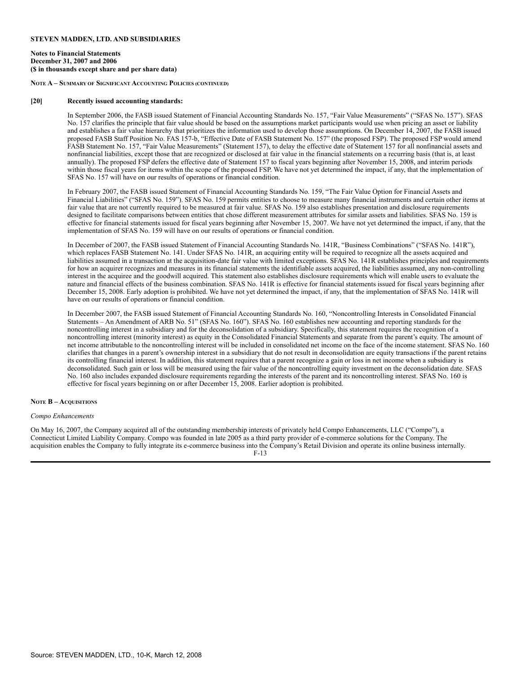#### **Notes to Financial Statements December 31, 2007 and 2006 (\$ in thousands except share and per share data)**

**NOTE A – SUMMARY OF SIGNIFICANT ACCOUNTING POLICIES (CONTINUED)**

#### **[20] Recently issued accounting standards:**

In September 2006, the FASB issued Statement of Financial Accounting Standards No. 157, "Fair Value Measurements" ("SFAS No. 157"). SFAS No. 157 clarifies the principle that fair value should be based on the assumptions market participants would use when pricing an asset or liability and establishes a fair value hierarchy that prioritizes the information used to develop those assumptions. On December 14, 2007, the FASB issued proposed FASB Staff Position No. FAS 157-b, "Effective Date of FASB Statement No. 157" (the proposed FSP). The proposed FSP would amend FASB Statement No. 157, "Fair Value Measurements" (Statement 157), to delay the effective date of Statement 157 for all nonfinancial assets and nonfinancial liabilities, except those that are recognized or disclosed at fair value in the financial statements on a recurring basis (that is, at least annually). The proposed FSP defers the effective date of Statement 157 to fiscal years beginning after November 15, 2008, and interim periods within those fiscal years for items within the scope of the proposed FSP. We have not yet determined the impact, if any, that the implementation of SFAS No. 157 will have on our results of operations or financial condition.

In February 2007, the FASB issued Statement of Financial Accounting Standards No. 159, "The Fair Value Option for Financial Assets and Financial Liabilities" ("SFAS No. 159"). SFAS No. 159 permits entities to choose to measure many financial instruments and certain other items at fair value that are not currently required to be measured at fair value. SFAS No. 159 also establishes presentation and disclosure requirements designed to facilitate comparisons between entities that chose different measurement attributes for similar assets and liabilities. SFAS No. 159 is effective for financial statements issued for fiscal years beginning after November 15, 2007. We have not yet determined the impact, if any, that the implementation of SFAS No. 159 will have on our results of operations or financial condition.

In December of 2007, the FASB issued Statement of Financial Accounting Standards No. 141R, "Business Combinations" ("SFAS No. 141R"), which replaces FASB Statement No. 141. Under SFAS No. 141R, an acquiring entity will be required to recognize all the assets acquired and liabilities assumed in a transaction at the acquisition-date fair value with limited exceptions. SFAS No. 141R establishes principles and requirements for how an acquirer recognizes and measures in its financial statements the identifiable assets acquired, the liabilities assumed, any non-controlling interest in the acquiree and the goodwill acquired. This statement also establishes disclosure requirements which will enable users to evaluate the nature and financial effects of the business combination. SFAS No. 141R is effective for financial statements issued for fiscal years beginning after December 15, 2008. Early adoption is prohibited. We have not yet determined the impact, if any, that the implementation of SFAS No. 141R will have on our results of operations or financial condition.

In December 2007, the FASB issued Statement of Financial Accounting Standards No. 160, "Noncontrolling Interests in Consolidated Financial Statements – An Amendment of ARB No. 51" (SFAS No. 160"). SFAS No. 160 establishes new accounting and reporting standards for the noncontrolling interest in a subsidiary and for the deconsolidation of a subsidiary. Specifically, this statement requires the recognition of a noncontrolling interest (minority interest) as equity in the Consolidated Financial Statements and separate from the parent's equity. The amount of net income attributable to the noncontrolling interest will be included in consolidated net income on the face of the income statement. SFAS No. 160 clarifies that changes in a parent's ownership interest in a subsidiary that do not result in deconsolidation are equity transactions if the parent retains its controlling financial interest. In addition, this statement requires that a parent recognize a gain or loss in net income when a subsidiary is deconsolidated. Such gain or loss will be measured using the fair value of the noncontrolling equity investment on the deconsolidation date. SFAS No. 160 also includes expanded disclosure requirements regarding the interests of the parent and its noncontrolling interest. SFAS No. 160 is effective for fiscal years beginning on or after December 15, 2008. Earlier adoption is prohibited.

#### **NOTE B – ACQUISITIONS**

#### *Compo Enhancements*

On May 16, 2007, the Company acquired all of the outstanding membership interests of privately held Compo Enhancements, LLC ("Compo"), a Connecticut Limited Liability Company. Compo was founded in late 2005 as a third party provider of e-commerce solutions for the Company. The acquisition enables the Company to fully integrate its e-commerce business into the Company's Retail Division and operate its online business internally. F-13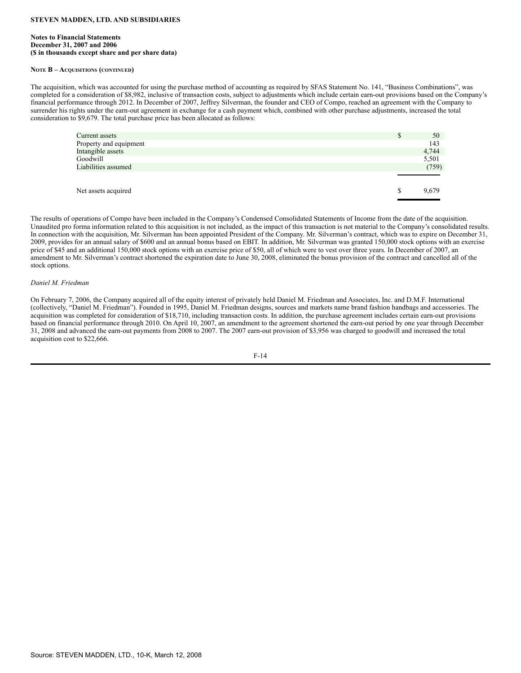#### **Notes to Financial Statements December 31, 2007 and 2006 (\$ in thousands except share and per share data)**

#### **NOTE B – ACQUISITIONS (CONTINUED)**

The acquisition, which was accounted for using the purchase method of accounting as required by SFAS Statement No. 141, "Business Combinations", was completed for a consideration of \$8,982, inclusive of transaction costs, subject to adjustments which include certain earn-out provisions based on the Company's financial performance through 2012. In December of 2007, Jeffrey Silverman, the founder and CEO of Compo, reached an agreement with the Company to surrender his rights under the earn-out agreement in exchange for a cash payment which, combined with other purchase adjustments, increased the total consideration to \$9,679. The total purchase price has been allocated as follows:

| Current assets         | D  | 50    |
|------------------------|----|-------|
| Property and equipment |    | 143   |
| Intangible assets      |    | 4,744 |
| Goodwill               |    | 5,501 |
| Liabilities assumed    |    | (759) |
|                        |    |       |
| Net assets acquired    | \$ | 9,679 |
|                        |    |       |

The results of operations of Compo have been included in the Company's Condensed Consolidated Statements of Income from the date of the acquisition. Unaudited pro forma information related to this acquisition is not included, as the impact of this transaction is not material to the Company's consolidated results. In connection with the acquisition, Mr. Silverman has been appointed President of the Company. Mr. Silverman's contract, which was to expire on December 31, 2009, provides for an annual salary of \$600 and an annual bonus based on EBIT. In addition, Mr. Silverman was granted 150,000 stock options with an exercise price of \$45 and an additional 150,000 stock options with an exercise price of \$50, all of which were to vest over three years. In December of 2007, an amendment to Mr. Silverman's contract shortened the expiration date to June 30, 2008, eliminated the bonus provision of the contract and cancelled all of the stock options.

## *Daniel M. Friedman*

On February 7, 2006, the Company acquired all of the equity interest of privately held Daniel M. Friedman and Associates, Inc. and D.M.F. International (collectively, "Daniel M. Friedman"). Founded in 1995, Daniel M. Friedman designs, sources and markets name brand fashion handbags and accessories. The acquisition was completed for consideration of \$18,710, including transaction costs. In addition, the purchase agreement includes certain earn-out provisions based on financial performance through 2010. On April 10, 2007, an amendment to the agreement shortened the earn-out period by one year through December 31, 2008 and advanced the earn-out payments from 2008 to 2007. The 2007 earn-out provision of \$3,956 was charged to goodwill and increased the total acquisition cost to \$22,666.

$$
F-14
$$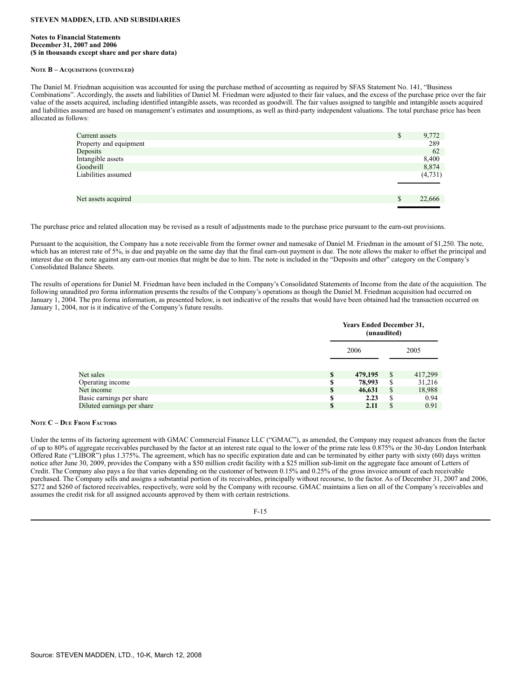#### **Notes to Financial Statements December 31, 2007 and 2006 (\$ in thousands except share and per share data)**

#### **NOTE B – ACQUISITIONS (CONTINUED)**

The Daniel M. Friedman acquisition was accounted for using the purchase method of accounting as required by SFAS Statement No. 141, "Business Combinations". Accordingly, the assets and liabilities of Daniel M. Friedman were adjusted to their fair values, and the excess of the purchase price over the fair value of the assets acquired, including identified intangible assets, was recorded as goodwill. The fair values assigned to tangible and intangible assets acquired and liabilities assumed are based on management's estimates and assumptions, as well as third-party independent valuations. The total purchase price has been allocated as follows:

| Current assets         | \$<br>9,772 |
|------------------------|-------------|
| Property and equipment | 289         |
| Deposits               | 62          |
| Intangible assets      | 8,400       |
| Goodwill               | 8,874       |
| Liabilities assumed    | (4, 731)    |
| Net assets acquired    | 22,666      |
|                        |             |

The purchase price and related allocation may be revised as a result of adjustments made to the purchase price pursuant to the earn-out provisions.

Pursuant to the acquisition, the Company has a note receivable from the former owner and namesake of Daniel M. Friedman in the amount of \$1,250. The note, which has an interest rate of 5%, is due and payable on the same day that the final earn-out payment is due. The note allows the maker to offset the principal and interest due on the note against any earn-out monies that might be due to him. The note is included in the "Deposits and other" category on the Company's Consolidated Balance Sheets.

The results of operations for Daniel M. Friedman have been included in the Company's Consolidated Statements of Income from the date of the acquisition. The following unaudited pro forma information presents the results of the Company's operations as though the Daniel M. Friedman acquisition had occurred on January 1, 2004. The pro forma information, as presented below, is not indicative of the results that would have been obtained had the transaction occurred on January 1, 2004, nor is it indicative of the Company's future results.

|                            |    | <b>Years Ended December 31,</b><br>(unaudited) |      |         |  |  |  |
|----------------------------|----|------------------------------------------------|------|---------|--|--|--|
|                            |    | 2006                                           | 2005 |         |  |  |  |
|                            |    |                                                |      |         |  |  |  |
| Net sales                  | S  | 479,195                                        | \$   | 417,299 |  |  |  |
| Operating income           | S  | 78,993                                         | \$   | 31,216  |  |  |  |
| Net income                 | S  | 46,631                                         | \$   | 18,988  |  |  |  |
| Basic earnings per share   | S  | 2.23                                           | S    | 0.94    |  |  |  |
| Diluted earnings per share | \$ | 2.11                                           | S    | 0.91    |  |  |  |

# **NOTE C – DUE FROM FACTORS**

Under the terms of its factoring agreement with GMAC Commercial Finance LLC ("GMAC"), as amended, the Company may request advances from the factor of up to 80% of aggregate receivables purchased by the factor at an interest rate equal to the lower of the prime rate less 0.875% or the 30-day London Interbank Offered Rate ("LIBOR") plus 1.375%. The agreement, which has no specific expiration date and can be terminated by either party with sixty (60) days written notice after June 30, 2009, provides the Company with a \$50 million credit facility with a \$25 million sub-limit on the aggregate face amount of Letters of Credit. The Company also pays a fee that varies depending on the customer of between 0.15% and 0.25% of the gross invoice amount of each receivable purchased. The Company sells and assigns a substantial portion of its receivables, principally without recourse, to the factor. As of December 31, 2007 and 2006, \$272 and \$260 of factored receivables, respectively, were sold by the Company with recourse. GMAC maintains a lien on all of the Company's receivables and assumes the credit risk for all assigned accounts approved by them with certain restrictions.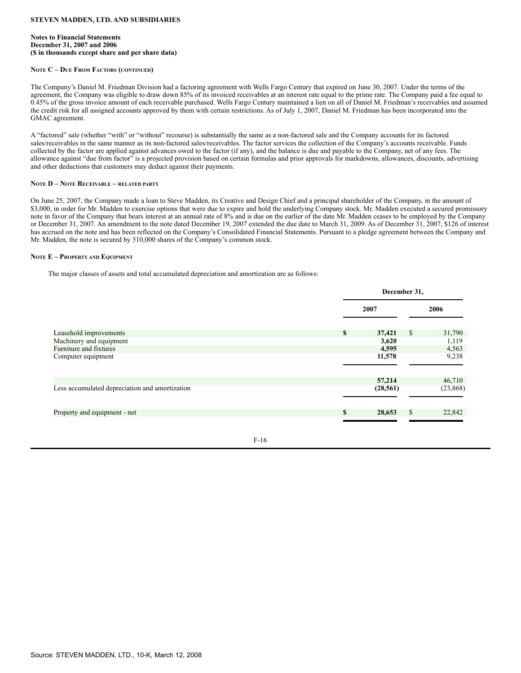#### **Notes to Financial Statements December 31, 2007 and 2006 (\$ in thousands except share and per share data)**

### **NOTE C – DUE FROM FACTORS (CONTINUED)**

The Company's Daniel M. Friedman Division had a factoring agreement with Wells Fargo Century that expired on June 30, 2007. Under the terms of the agreement, the Company was eligible to draw down 85% of its invoiced receivables at an interest rate equal to the prime rate. The Company paid a fee equal to 0.45% of the gross invoice amount of each receivable purchased. Wells Fargo Century maintained a lien on all of Daniel M. Friedman's receivables and assumed the credit risk for all assigned accounts approved by them with certain restrictions. As of July 1, 2007, Daniel M. Friedman has been incorporated into the GMAC agreement.

A "factored" sale (whether "with" or "without" recourse) is substantially the same as a non-factored sale and the Company accounts for its factored sales/receivables in the same manner as its non-factored sales/receivables. The factor services the collection of the Company's accounts receivable. Funds collected by the factor are applied against advances owed to the factor (if any), and the balance is due and payable to the Company, net of any fees. The allowance against "due from factor" is a projected provision based on certain formulas and prior approvals for markdowns, allowances, discounts, advertising and other deductions that customers may deduct against their payments.

### **NOTE D – NOTE RECEIVABLE – RELATED PARTY**

On June 25, 2007, the Company made a loan to Steve Madden, its Creative and Design Chief and a principal shareholder of the Company, in the amount of \$3,000, in order for Mr. Madden to exercise options that were due to expire and hold the underlying Company stock. Mr. Madden executed a secured promissory note in favor of the Company that bears interest at an annual rate of 8% and is due on the earlier of the date Mr. Madden ceases to be employed by the Company or December 31, 2007. An amendment to the note dated December 19, 2007 extended the due date to March 31, 2009. As of December 31, 2007, \$126 of interest has accrued on the note and has been reflected on the Company's Consolidated Financial Statements. Pursuant to a pledge agreement between the Company and Mr. Madden, the note is secured by 510,000 shares of the Company's common stock.

### **NOTE E – PROPERTY AND EQUIPMENT**

The major classes of assets and total accumulated depreciation and amortization are as follows:

|                                                |               | December 31, |    |           |  |  |  |
|------------------------------------------------|---------------|--------------|----|-----------|--|--|--|
|                                                | 2007          |              |    | 2006      |  |  |  |
| Leasehold improvements                         | <sup>\$</sup> | 37,421       | \$ | 31,790    |  |  |  |
| Machinery and equipment                        |               | 3,620        |    | 1,119     |  |  |  |
| Furniture and fixtures                         |               | 4,595        |    | 4,563     |  |  |  |
| Computer equipment                             |               | 11,578       |    | 9,238     |  |  |  |
|                                                |               | 57,214       |    | 46,710    |  |  |  |
| Less accumulated depreciation and amortization |               | (28, 561)    |    | (23, 868) |  |  |  |
| Property and equipment - net                   | $\mathbf{s}$  | 28,653       | \$ | 22,842    |  |  |  |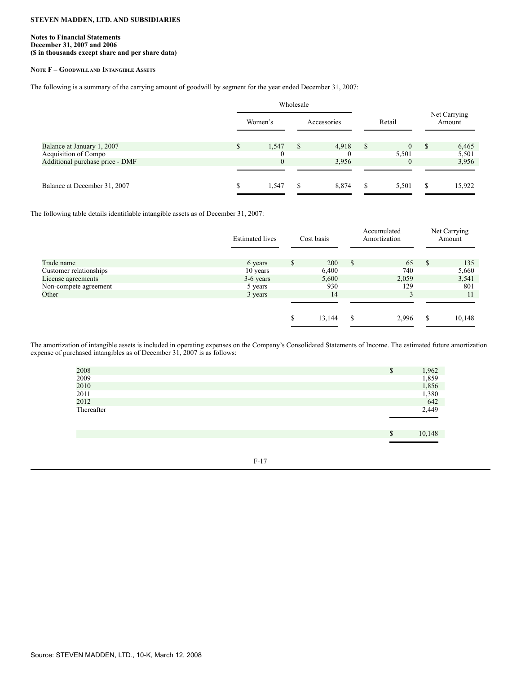#### **Notes to Financial Statements December 31, 2007 and 2006 (\$ in thousands except share and per share data)**

# **NOTE F – GOODWILL AND INTANGIBLE ASSETS**

The following is a summary of the carrying amount of goodwill by segment for the year ended December 31, 2007:

|                                 |         |              | Wholesale     |       |               |                |   |                        |
|---------------------------------|---------|--------------|---------------|-------|---------------|----------------|---|------------------------|
|                                 | Women's |              | Accessories   |       |               | Retail         |   | Net Carrying<br>Amount |
| Balance at January 1, 2007      | \$      | 1,547        | <sup>\$</sup> | 4,918 | <sup>\$</sup> | $\Omega$       | S | 6,465                  |
| Acquisition of Compo            |         |              |               |       |               | 5,501          |   | 5,501                  |
| Additional purchase price - DMF |         | $\mathbf{0}$ |               | 3,956 |               | $\overline{0}$ |   | 3,956                  |
|                                 |         |              |               |       |               |                |   |                        |
| Balance at December 31, 2007    | \$      | 1,547        | \$            | 8,874 | \$            | 5,501          | S | 15,922                 |

The following table details identifiable intangible assets as of December 31, 2007:

|                        | <b>Estimated lives</b> |   | Cost basis |   | Accumulated<br>Amortization | Net Carrying<br>Amount |
|------------------------|------------------------|---|------------|---|-----------------------------|------------------------|
| Trade name             | 6 years                | S | 200        | S | 65                          | \$<br>135              |
| Customer relationships | 10 years               |   | 6,400      |   | 740                         | 5,660                  |
| License agreements     | 3-6 years              |   | 5,600      |   | 2,059                       | 3,541                  |
| Non-compete agreement  | 5 years                |   | 930        |   | 129                         | 801                    |
| Other                  | 3 years                |   | 14         |   |                             | 11                     |
|                        |                        |   |            |   |                             |                        |
|                        |                        |   | 13,144     |   | 2,996                       | \$<br>10,148           |

The amortization of intangible assets is included in operating expenses on the Company's Consolidated Statements of Income. The estimated future amortization expense of purchased intangibles as of December 31, 2007 is as follows:

| 2008                | \$<br>1,962         |
|---------------------|---------------------|
|                     |                     |
| $\frac{2009}{2010}$ | 1,859<br>1,856      |
| 2011                | $\frac{1,380}{642}$ |
| 2012                |                     |
| Thereafter          | 2,449               |
|                     |                     |
|                     |                     |
|                     | \$<br>10,148        |
|                     |                     |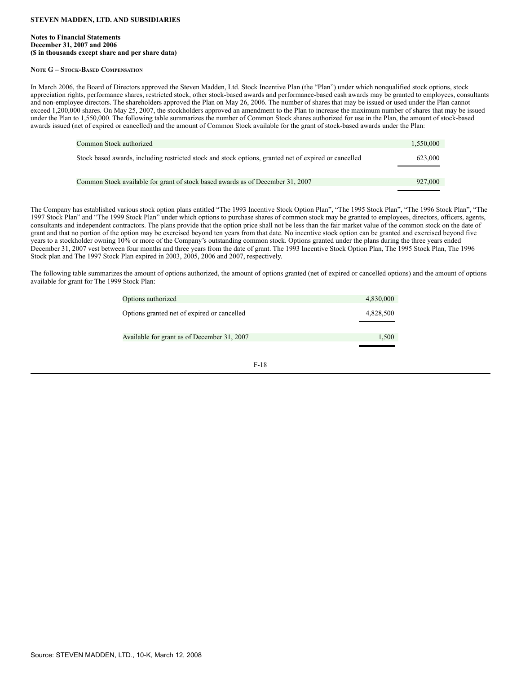#### **Notes to Financial Statements December 31, 2007 and 2006 (\$ in thousands except share and per share data)**

# **NOTE G – STOCK-BASED COMPENSATION**

In March 2006, the Board of Directors approved the Steven Madden, Ltd. Stock Incentive Plan (the "Plan") under which nonqualified stock options, stock appreciation rights, performance shares, restricted stock, other stock-based awards and performance-based cash awards may be granted to employees, consultants and non-employee directors. The shareholders approved the Plan on May 26, 2006. The number of shares that may be issued or used under the Plan cannot exceed 1,200,000 shares. On May 25, 2007, the stockholders approved an amendment to the Plan to increase the maximum number of shares that may be issued under the Plan to 1,550,000. The following table summarizes the number of Common Stock shares authorized for use in the Plan, the amount of stock-based awards issued (net of expired or cancelled) and the amount of Common Stock available for the grant of stock-based awards under the Plan:

| Common Stock authorized                                                                               | 1.550.000 |
|-------------------------------------------------------------------------------------------------------|-----------|
| Stock based awards, including restricted stock and stock options, granted net of expired or cancelled | 623,000   |
|                                                                                                       |           |
| Common Stock available for grant of stock based awards as of December 31, 2007                        | 927,000   |

The Company has established various stock option plans entitled "The 1993 Incentive Stock Option Plan", "The 1995 Stock Plan", "The 1996 Stock Plan", "The 1997 Stock Plan" and "The 1999 Stock Plan" under which options to purchase shares of common stock may be granted to employees, directors, officers, agents, consultants and independent contractors. The plans provide that the option price shall not be less than the fair market value of the common stock on the date of grant and that no portion of the option may be exercised beyond ten years from that date. No incentive stock option can be granted and exercised beyond five years to a stockholder owning 10% or more of the Company's outstanding common stock. Options granted under the plans during the three years ended December 31, 2007 vest between four months and three years from the date of grant. The 1993 Incentive Stock Option Plan, The 1995 Stock Plan, The 1996 Stock plan and The 1997 Stock Plan expired in 2003, 2005, 2006 and 2007, respectively.

The following table summarizes the amount of options authorized, the amount of options granted (net of expired or cancelled options) and the amount of options available for grant for The 1999 Stock Plan:

| Options authorized                          | 4,830,000 |
|---------------------------------------------|-----------|
| Options granted net of expired or cancelled | 4,828,500 |
|                                             |           |
| Available for grant as of December 31, 2007 | 1.500     |
|                                             |           |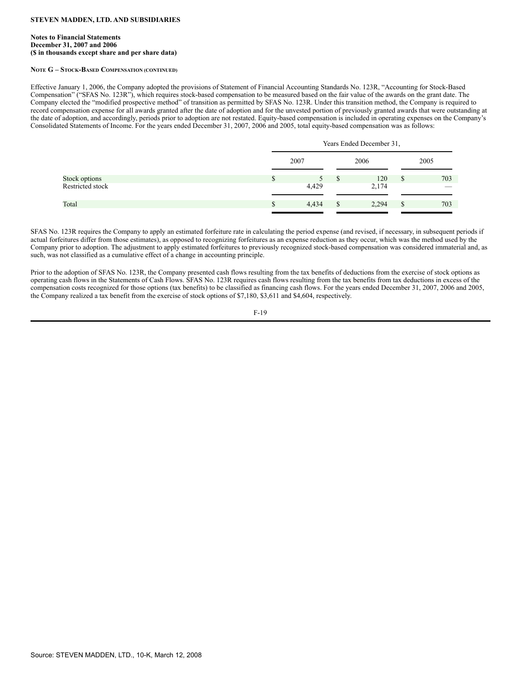#### **Notes to Financial Statements December 31, 2007 and 2006 (\$ in thousands except share and per share data)**

# **NOTE G – STOCK-BASED COMPENSATION (CONTINUED)**

Effective January 1, 2006, the Company adopted the provisions of Statement of Financial Accounting Standards No. 123R, "Accounting for Stock-Based Compensation" ("SFAS No. 123R"), which requires stock-based compensation to be measured based on the fair value of the awards on the grant date. The Company elected the "modified prospective method" of transition as permitted by SFAS No. 123R. Under this transition method, the Company is required to record compensation expense for all awards granted after the date of adoption and for the unvested portion of previously granted awards that were outstanding at the date of adoption, and accordingly, periods prior to adoption are not restated. Equity-based compensation is included in operating expenses on the Company's Consolidated Statements of Income. For the years ended December 31, 2007, 2006 and 2005, total equity-based compensation was as follows:

| Years Ended December 31, |               |       |               |      |  |  |  |
|--------------------------|---------------|-------|---------------|------|--|--|--|
| 2007                     |               | 2006  |               | 2005 |  |  |  |
| \$<br>$\mathcal{L}$      | <sup>\$</sup> | 120   | <sup>\$</sup> | 703  |  |  |  |
| 4,429                    |               | 2,174 |               |      |  |  |  |
| \$<br>4,434              | \$            | 2,294 | \$            | 703  |  |  |  |
|                          |               |       |               |      |  |  |  |

SFAS No. 123R requires the Company to apply an estimated forfeiture rate in calculating the period expense (and revised, if necessary, in subsequent periods if actual forfeitures differ from those estimates), as opposed to recognizing forfeitures as an expense reduction as they occur, which was the method used by the Company prior to adoption. The adjustment to apply estimated forfeitures to previously recognized stock-based compensation was considered immaterial and, as such, was not classified as a cumulative effect of a change in accounting principle.

Prior to the adoption of SFAS No. 123R, the Company presented cash flows resulting from the tax benefits of deductions from the exercise of stock options as operating cash flows in the Statements of Cash Flows. SFAS No. 123R requires cash flows resulting from the tax benefits from tax deductions in excess of the compensation costs recognized for those options (tax benefits) to be classified as financing cash flows. For the years ended December 31, 2007, 2006 and 2005, the Company realized a tax benefit from the exercise of stock options of \$7,180, \$3,611 and \$4,604, respectively.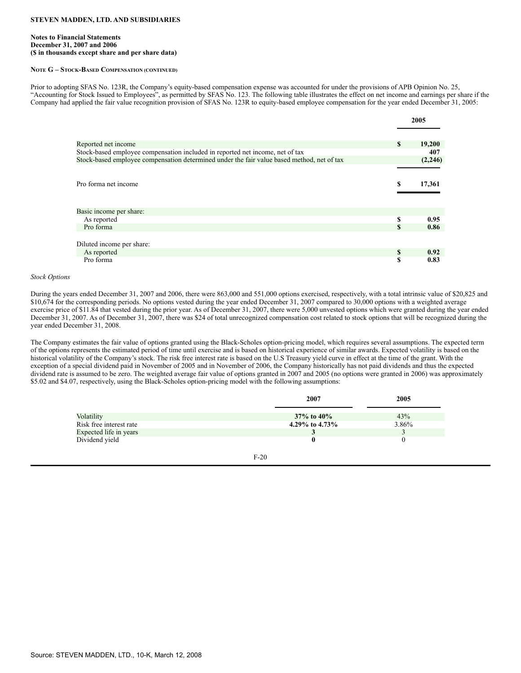#### **Notes to Financial Statements December 31, 2007 and 2006 (\$ in thousands except share and per share data)**

### **NOTE G – STOCK-BASED COMPENSATION (CONTINUED)**

Prior to adopting SFAS No. 123R, the Company's equity-based compensation expense was accounted for under the provisions of APB Opinion No. 25, "Accounting for Stock Issued to Employees", as permitted by SFAS No. 123. The following table illustrates the effect on net income and earnings per share if the Company had applied the fair value recognition provision of SFAS No. 123R to equity-based employee compensation for the year ended December 31, 2005:

|                                                                                            |               | 2005    |
|--------------------------------------------------------------------------------------------|---------------|---------|
| Reported net income                                                                        | <sup>\$</sup> | 19,200  |
| Stock-based employee compensation included in reported net income, net of tax              |               | 407     |
| Stock-based employee compensation determined under the fair value based method, net of tax |               | (2,246) |
| Pro forma net income                                                                       | S             | 17,361  |
| Basic income per share:                                                                    |               |         |
| As reported                                                                                | \$            | 0.95    |
| Pro forma                                                                                  | S             | 0.86    |
| Diluted income per share:                                                                  |               |         |
| As reported                                                                                | <sup>\$</sup> | 0.92    |
| Pro forma                                                                                  | S             | 0.83    |

## *Stock Options*

During the years ended December 31, 2007 and 2006, there were 863,000 and 551,000 options exercised, respectively, with a total intrinsic value of \$20,825 and \$10,674 for the corresponding periods. No options vested during the year ended December 31, 2007 compared to 30,000 options with a weighted average exercise price of \$11.84 that vested during the prior year. As of December 31, 2007, there were 5,000 unvested options which were granted during the year ended December 31, 2007. As of December 31, 2007, there was \$24 of total unrecognized compensation cost related to stock options that will be recognized during the year ended December 31, 2008.

The Company estimates the fair value of options granted using the Black-Scholes option-pricing model, which requires several assumptions. The expected term of the options represents the estimated period of time until exercise and is based on historical experience of similar awards. Expected volatility is based on the historical volatility of the Company's stock. The risk free interest rate is based on the U.S Treasury yield curve in effect at the time of the grant. With the exception of a special dividend paid in November of 2005 and in November of 2006, the Company historically has not paid dividends and thus the expected dividend rate is assumed to be zero. The weighted average fair value of options granted in 2007 and 2005 (no options were granted in 2006) was approximately \$5.02 and \$4.07, respectively, using the Black-Scholes option-pricing model with the following assumptions:

|                         | 2007              | 2005  |
|-------------------------|-------------------|-------|
| Volatility              | $37\%$ to $40\%$  | 43%   |
| Risk free interest rate | 4.29% to $4.73\%$ | 3.86% |
| Expected life in years  |                   |       |
| Dividend yield          | 0                 |       |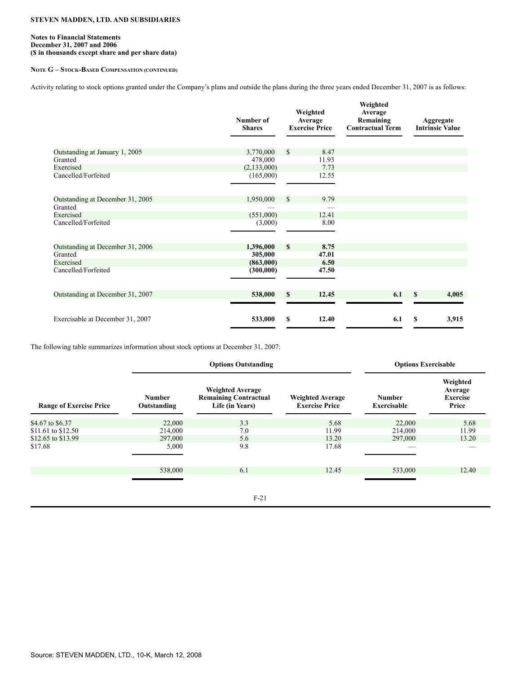#### **Notes to Financial Statements December 31, 2007 and 2006 (\$ in thousands except share and per share data)**

# **NOTE G – STOCK-BASED COMPENSATION (CONTINUED)**

Activity relating to stock options granted under the Company's plans and outside the plans during the three years ended December 31, 2007 is as follows:

|                                  | Number of<br><b>Shares</b> |              | Weighted<br>Average<br><b>Exercise Price</b> | Weighted<br>Average<br>Remaining<br><b>Contractual Term</b> |               | Aggregate<br><b>Intrinsic Value</b> |
|----------------------------------|----------------------------|--------------|----------------------------------------------|-------------------------------------------------------------|---------------|-------------------------------------|
|                                  |                            |              |                                              |                                                             |               |                                     |
| Outstanding at January 1, 2005   | 3,770,000                  | $\mathbf S$  | 8.47                                         |                                                             |               |                                     |
| Granted                          | 478,000                    |              | 11.93                                        |                                                             |               |                                     |
| Exercised                        | (2,133,000)                |              | 7.73                                         |                                                             |               |                                     |
| Cancelled/Forfeited              | (165,000)                  |              | 12.55                                        |                                                             |               |                                     |
| Outstanding at December 31, 2005 | 1,950,000                  | \$           | 9.79                                         |                                                             |               |                                     |
| Granted                          |                            |              |                                              |                                                             |               |                                     |
| Exercised                        | (551,000)                  |              | 12.41                                        |                                                             |               |                                     |
| Cancelled/Forfeited              | (3,000)                    |              | 8.00                                         |                                                             |               |                                     |
|                                  |                            |              |                                              |                                                             |               |                                     |
| Outstanding at December 31, 2006 | 1,396,000                  | <sup>S</sup> | 8.75                                         |                                                             |               |                                     |
| Granted                          | 305,000                    |              | 47.01                                        |                                                             |               |                                     |
| Exercised                        | (863,000)                  |              | 6.50                                         |                                                             |               |                                     |
| Cancelled/Forfeited              | (300,000)                  |              | 47.50                                        |                                                             |               |                                     |
| Outstanding at December 31, 2007 | 538,000                    | $\mathbf{s}$ | 12.45                                        | 6.1                                                         | <sup>\$</sup> | 4,005                               |
| Exercisable at December 31, 2007 | 533,000                    | S            | 12.40                                        | 6.1                                                         | S             | 3,915                               |

The following table summarizes information about stock options at December 31, 2007:

|                                |                              | <b>Options Outstanding</b>                                                 |                                                  | <b>Options Exercisable</b>   |                                                 |
|--------------------------------|------------------------------|----------------------------------------------------------------------------|--------------------------------------------------|------------------------------|-------------------------------------------------|
| <b>Range of Exercise Price</b> | <b>Number</b><br>Outstanding | <b>Weighted Average</b><br><b>Remaining Contractual</b><br>Life (in Years) | <b>Weighted Average</b><br><b>Exercise Price</b> | <b>Number</b><br>Exercisable | Weighted<br>Average<br><b>Exercise</b><br>Price |
| \$4.67 to \$6.37               | 22,000                       | 3.3                                                                        | 5.68                                             | 22,000                       | 5.68                                            |
| \$11.61 to \$12.50             | 214,000                      | 7.0                                                                        | 11.99                                            | 214,000                      | 11.99                                           |
| \$12.65 to \$13.99             | 297,000                      | 5.6                                                                        | 13.20                                            | 297,000                      | 13.20                                           |
| \$17.68                        | 5,000                        | 9.8                                                                        | 17.68                                            |                              |                                                 |
|                                | 538,000                      | 6.1                                                                        | 12.45                                            | 533,000                      | 12.40                                           |
|                                |                              | $F-21$                                                                     |                                                  |                              |                                                 |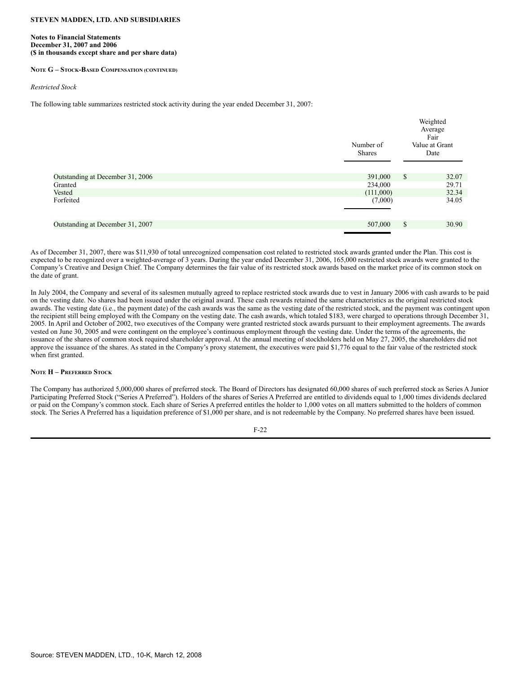#### **Notes to Financial Statements December 31, 2007 and 2006 (\$ in thousands except share and per share data)**

# **NOTE G – STOCK-BASED COMPENSATION (CONTINUED)**

#### *Restricted Stock*

The following table summarizes restricted stock activity during the year ended December 31, 2007:

|                                  | Number of<br><b>Shares</b> | Weighted<br>Average<br>Fair<br>Value at Grant<br>Date |
|----------------------------------|----------------------------|-------------------------------------------------------|
| Outstanding at December 31, 2006 | 391,000                    | \$<br>32.07                                           |
| Granted                          | 234,000                    | 29.71                                                 |
| Vested                           | (111,000)                  | 32.34                                                 |
| Forfeited                        | (7,000)                    | 34.05                                                 |
| Outstanding at December 31, 2007 | 507,000                    | \$<br>30.90                                           |
|                                  |                            |                                                       |

As of December 31, 2007, there was \$11,930 of total unrecognized compensation cost related to restricted stock awards granted under the Plan. This cost is expected to be recognized over a weighted-average of 3 years. During the year ended December 31, 2006, 165,000 restricted stock awards were granted to the Company's Creative and Design Chief. The Company determines the fair value of its restricted stock awards based on the market price of its common stock on the date of grant.

In July 2004, the Company and several of its salesmen mutually agreed to replace restricted stock awards due to vest in January 2006 with cash awards to be paid on the vesting date. No shares had been issued under the original award. These cash rewards retained the same characteristics as the original restricted stock awards. The vesting date (i.e., the payment date) of the cash awards was the same as the vesting date of the restricted stock, and the payment was contingent upon the recipient still being employed with the Company on the vesting date. The cash awards, which totaled \$183, were charged to operations through December 31, 2005. In April and October of 2002, two executives of the Company were granted restricted stock awards pursuant to their employment agreements. The awards vested on June 30, 2005 and were contingent on the employee's continuous employment through the vesting date. Under the terms of the agreements, the issuance of the shares of common stock required shareholder approval. At the annual meeting of stockholders held on May 27, 2005, the shareholders did not approve the issuance of the shares. As stated in the Company's proxy statement, the executives were paid \$1,776 equal to the fair value of the restricted stock when first granted.

#### **NOTE H – PREFERRED STOCK**

The Company has authorized 5,000,000 shares of preferred stock. The Board of Directors has designated 60,000 shares of such preferred stock as Series A Junior Participating Preferred Stock ("Series A Preferred"). Holders of the shares of Series A Preferred are entitled to dividends equal to 1,000 times dividends declared or paid on the Company's common stock. Each share of Series A preferred entitles the holder to 1,000 votes on all matters submitted to the holders of common stock. The Series A Preferred has a liquidation preference of \$1,000 per share, and is not redeemable by the Company. No preferred shares have been issued.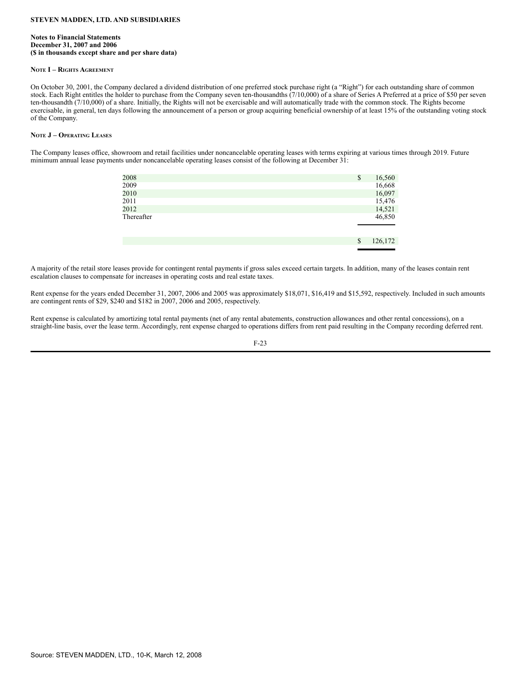#### **Notes to Financial Statements December 31, 2007 and 2006 (\$ in thousands except share and per share data)**

### **NOTE I – RIGHTS AGREEMENT**

On October 30, 2001, the Company declared a dividend distribution of one preferred stock purchase right (a "Right") for each outstanding share of common stock. Each Right entitles the holder to purchase from the Company seven ten-thousandths (7/10,000) of a share of Series A Preferred at a price of \$50 per seven ten-thousandth (7/10,000) of a share. Initially, the Rights will not be exercisable and will automatically trade with the common stock. The Rights become exercisable, in general, ten days following the announcement of a person or group acquiring beneficial ownership of at least 15% of the outstanding voting stock of the Company.

#### **NOTE J – OPERATING LEASES**

The Company leases office, showroom and retail facilities under noncancelable operating leases with terms expiring at various times through 2019. Future minimum annual lease payments under noncancelable operating leases consist of the following at December 31:

| 2009<br>2010<br>2011<br>2012<br>Thereafter<br>S | 2008 | \$<br>16,560 |
|-------------------------------------------------|------|--------------|
|                                                 |      | 16,668       |
|                                                 |      | 16,097       |
|                                                 |      | 15,476       |
|                                                 |      | 14,521       |
|                                                 |      | 46,850       |
|                                                 |      |              |
|                                                 |      | 126,172      |

A majority of the retail store leases provide for contingent rental payments if gross sales exceed certain targets. In addition, many of the leases contain rent escalation clauses to compensate for increases in operating costs and real estate taxes.

Rent expense for the years ended December 31, 2007, 2006 and 2005 was approximately \$18,071, \$16,419 and \$15,592, respectively. Included in such amounts are contingent rents of \$29, \$240 and \$182 in 2007, 2006 and 2005, respectively.

Rent expense is calculated by amortizing total rental payments (net of any rental abatements, construction allowances and other rental concessions), on a straight-line basis, over the lease term. Accordingly, rent expense charged to operations differs from rent paid resulting in the Company recording deferred rent.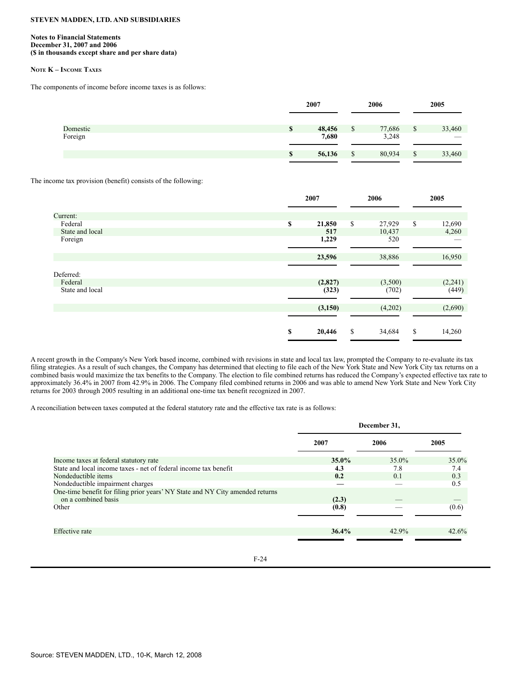#### **Notes to Financial Statements December 31, 2007 and 2006 (\$ in thousands except share and per share data)**

# **NOTE K – INCOME TAXES**

The components of income before income taxes is as follows:

|                     | 2007                  | 2006                  |    | 2005   |
|---------------------|-----------------------|-----------------------|----|--------|
| Domestic<br>Foreign | \$<br>48,456<br>7,680 | \$<br>77,686<br>3,248 | S  | 33,460 |
|                     | \$<br>56,136          | \$<br>80,934          | \$ | 33,460 |
|                     |                       |                       |    |        |

# The income tax provision (benefit) consists of the following:

|                 |       | 2007    |    | 2006    |    | 2005    |  |
|-----------------|-------|---------|----|---------|----|---------|--|
| Current:        |       |         |    |         |    |         |  |
| Federal         | \$    | 21,850  | \$ | 27,929  | \$ | 12,690  |  |
| State and local |       | 517     |    | 10,437  |    | 4,260   |  |
| Foreign         | 1,229 |         |    | 520     |    |         |  |
|                 |       | 23,596  |    | 38,886  |    | 16,950  |  |
| Deferred:       |       |         |    |         |    |         |  |
| Federal         |       | (2,827) |    | (3,500) |    | (2,241) |  |
| State and local |       | (323)   |    | (702)   |    | (449)   |  |
|                 |       | (3,150) |    | (4,202) |    | (2,690) |  |
|                 |       |         |    |         |    |         |  |
|                 | \$    | 20,446  | \$ | 34,684  | \$ | 14,260  |  |
|                 |       |         |    |         |    |         |  |

A recent growth in the Company's New York based income, combined with revisions in state and local tax law, prompted the Company to re-evaluate its tax filing strategies. As a result of such changes, the Company has determined that electing to file each of the New York State and New York City tax returns on a combined basis would maximize the tax benefits to the Company. The election to file combined returns has reduced the Company's expected effective tax rate to approximately 36.4% in 2007 from 42.9% in 2006. The Company filed combined returns in 2006 and was able to amend New York State and New York City returns for 2003 through 2005 resulting in an additional one-time tax benefit recognized in 2007.

A reconciliation between taxes computed at the federal statutory rate and the effective tax rate is as follows:

|                                                                                                      | December 31, |       |       |  |  |  |
|------------------------------------------------------------------------------------------------------|--------------|-------|-------|--|--|--|
|                                                                                                      | 2007         | 2006  | 2005  |  |  |  |
| Income taxes at federal statutory rate                                                               | $35.0\%$     | 35.0% | 35.0% |  |  |  |
| State and local income taxes - net of federal income tax benefit                                     | 4.3          | 7.8   | 7.4   |  |  |  |
| Nondeductible items                                                                                  | 0.2          | 0.1   | 0.3   |  |  |  |
| Nondeductible impairment charges                                                                     |              |       | 0.5   |  |  |  |
| One-time benefit for filing prior years' NY State and NY City amended returns<br>on a combined basis | (2.3)        |       |       |  |  |  |
| Other                                                                                                | (0.8)        |       | (0.6) |  |  |  |
|                                                                                                      |              |       |       |  |  |  |
| <b>Effective</b> rate                                                                                | 36.4%        | 42.9% | 42.6% |  |  |  |
|                                                                                                      |              |       |       |  |  |  |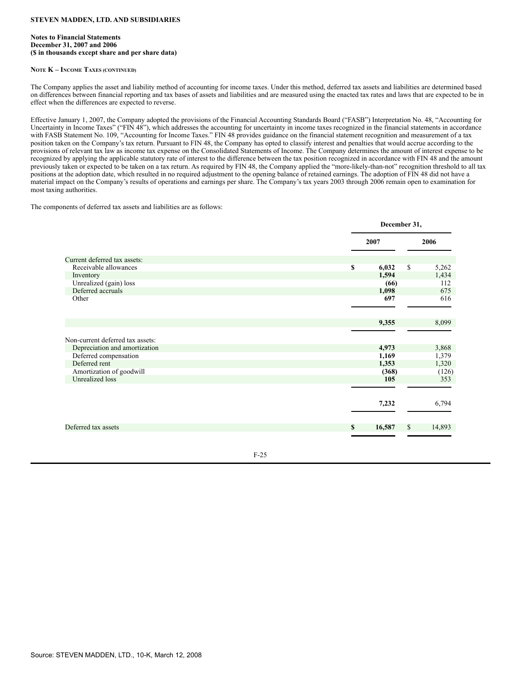#### **Notes to Financial Statements December 31, 2007 and 2006 (\$ in thousands except share and per share data)**

# **NOTE K – INCOME TAXES (CONTINUED)**

The Company applies the asset and liability method of accounting for income taxes. Under this method, deferred tax assets and liabilities are determined based on differences between financial reporting and tax bases of assets and liabilities and are measured using the enacted tax rates and laws that are expected to be in effect when the differences are expected to reverse.

Effective January 1, 2007, the Company adopted the provisions of the Financial Accounting Standards Board ("FASB") Interpretation No. 48, "Accounting for Uncertainty in Income Taxes" ("FIN 48"), which addresses the accounting for uncertainty in income taxes recognized in the financial statements in accordance with FASB Statement No. 109, "Accounting for Income Taxes." FIN 48 provides guidance on the financial statement recognition and measurement of a tax position taken on the Company's tax return. Pursuant to FIN 48, the Company has opted to classify interest and penalties that would accrue according to the provisions of relevant tax law as income tax expense on the Consolidated Statements of Income. The Company determines the amount of interest expense to be recognized by applying the applicable statutory rate of interest to the difference between the tax position recognized in accordance with FIN 48 and the amount previously taken or expected to be taken on a tax return. As required by FIN 48, the Company applied the "more-likely-than-not" recognition threshold to all tax positions at the adoption date, which resulted in no required adjustment to the opening balance of retained earnings. The adoption of FIN 48 did not have a material impact on the Company's results of operations and earnings per share. The Company's tax years 2003 through 2006 remain open to examination for most taxing authorities.

The components of deferred tax assets and liabilities are as follows:

|                                  |             | December 31, |        |  |  |  |
|----------------------------------|-------------|--------------|--------|--|--|--|
|                                  | 2007        |              | 2006   |  |  |  |
| Current deferred tax assets:     |             |              |        |  |  |  |
| Receivable allowances            | S<br>6,032  | \$           | 5,262  |  |  |  |
| Inventory                        | 1,594       |              | 1,434  |  |  |  |
| Unrealized (gain) loss           | (66)        |              | 112    |  |  |  |
| Deferred accruals                | 1,098       |              | 675    |  |  |  |
| Other                            | 697         |              | 616    |  |  |  |
|                                  | 9,355       |              | 8,099  |  |  |  |
| Non-current deferred tax assets: |             |              |        |  |  |  |
| Depreciation and amortization    | 4,973       |              | 3,868  |  |  |  |
| Deferred compensation            | 1,169       |              | 1,379  |  |  |  |
| Deferred rent                    | 1,353       |              | 1,320  |  |  |  |
| Amortization of goodwill         | (368)       |              | (126)  |  |  |  |
| Unrealized loss                  | 105         |              | 353    |  |  |  |
|                                  | 7,232       |              | 6,794  |  |  |  |
| Deferred tax assets              | 16,587<br>S | \$           | 14,893 |  |  |  |
|                                  |             |              |        |  |  |  |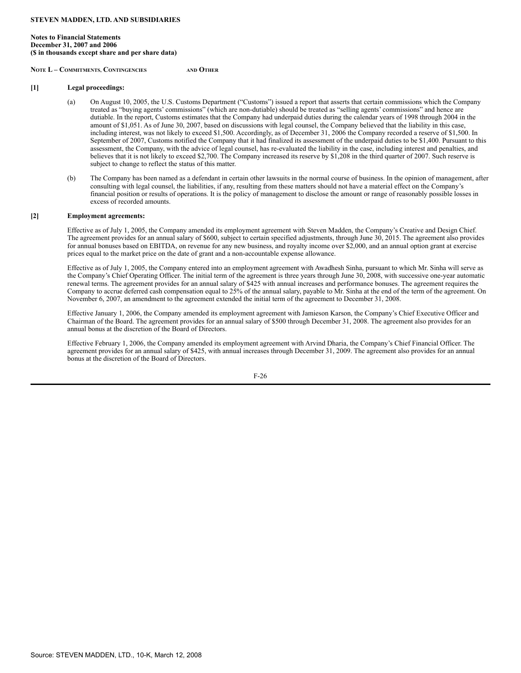# **NOTE L – COMMITMENTS, CONTINGENCIES AND OTHER**

#### **[1] Legal proceedings:**

- (a) On August 10, 2005, the U.S. Customs Department ("Customs") issued a report that asserts that certain commissions which the Company treated as "buying agents' commissions" (which are non-dutiable) should be treated as "selling agents' commissions" and hence are dutiable. In the report, Customs estimates that the Company had underpaid duties during the calendar years of 1998 through 2004 in the amount of \$1,051. As of June 30, 2007, based on discussions with legal counsel, the Company believed that the liability in this case, including interest, was not likely to exceed \$1,500. Accordingly, as of December 31, 2006 the Company recorded a reserve of \$1,500. In September of 2007, Customs notified the Company that it had finalized its assessment of the underpaid duties to be \$1,400. Pursuant to this assessment, the Company, with the advice of legal counsel, has re-evaluated the liability in the case, including interest and penalties, and believes that it is not likely to exceed \$2,700. The Company increased its reserve by \$1,208 in the third quarter of 2007. Such reserve is subject to change to reflect the status of this matter.
- (b) The Company has been named as a defendant in certain other lawsuits in the normal course of business. In the opinion of management, after consulting with legal counsel, the liabilities, if any, resulting from these matters should not have a material effect on the Company's financial position or results of operations. It is the policy of management to disclose the amount or range of reasonably possible losses in excess of recorded amounts.

#### **[2] Employment agreements:**

Effective as of July 1, 2005, the Company amended its employment agreement with Steven Madden, the Company's Creative and Design Chief. The agreement provides for an annual salary of \$600, subject to certain specified adjustments, through June 30, 2015. The agreement also provides for annual bonuses based on EBITDA, on revenue for any new business, and royalty income over \$2,000, and an annual option grant at exercise prices equal to the market price on the date of grant and a non-accountable expense allowance.

Effective as of July 1, 2005, the Company entered into an employment agreement with Awadhesh Sinha, pursuant to which Mr. Sinha will serve as the Company's Chief Operating Officer. The initial term of the agreement is three years through June 30, 2008, with successive one-year automatic renewal terms. The agreement provides for an annual salary of \$425 with annual increases and performance bonuses. The agreement requires the Company to accrue deferred cash compensation equal to 25% of the annual salary, payable to Mr. Sinha at the end of the term of the agreement. On November 6, 2007, an amendment to the agreement extended the initial term of the agreement to December 31, 2008.

Effective January 1, 2006, the Company amended its employment agreement with Jamieson Karson, the Company's Chief Executive Officer and Chairman of the Board. The agreement provides for an annual salary of \$500 through December 31, 2008. The agreement also provides for an annual bonus at the discretion of the Board of Directors.

Effective February 1, 2006, the Company amended its employment agreement with Arvind Dharia, the Company's Chief Financial Officer. The agreement provides for an annual salary of \$425, with annual increases through December 31, 2009. The agreement also provides for an annual bonus at the discretion of the Board of Directors.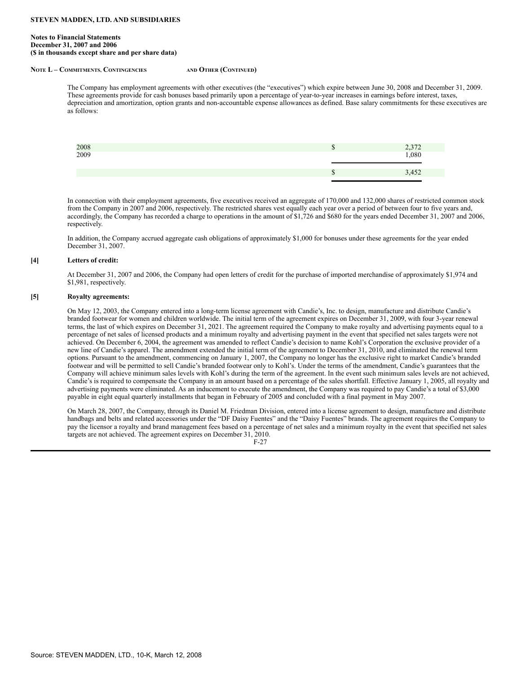# **NOTE L – COMMITMENTS, CONTINGENCIES AND OTHER (CONTINUED)**

The Company has employment agreements with other executives (the "executives") which expire between June 30, 2008 and December 31, 2009. These agreements provide for cash bonuses based primarily upon a percentage of year-to-year increases in earnings before interest, taxes, depreciation and amortization, option grants and non-accountable expense allowances as defined. Base salary commitments for these executives are as follows:

| 2008<br>2009 | w      | 2,372<br>1,080 |
|--------------|--------|----------------|
|              | $\cup$ | 3,452          |

In connection with their employment agreements, five executives received an aggregate of 170,000 and 132,000 shares of restricted common stock from the Company in 2007 and 2006, respectively. The restricted shares vest equally each year over a period of between four to five years and, accordingly, the Company has recorded a charge to operations in the amount of \$1,726 and \$680 for the years ended December 31, 2007 and 2006, respectively.

In addition, the Company accrued aggregate cash obligations of approximately \$1,000 for bonuses under these agreements for the year ended December 31, 2007.

# **[4] Letters of credit:**

At December 31, 2007 and 2006, the Company had open letters of credit for the purchase of imported merchandise of approximately \$1,974 and \$1,981, respectively.

#### **[5] Royalty agreements:**

On May 12, 2003, the Company entered into a long-term license agreement with Candie's, Inc. to design, manufacture and distribute Candie's branded footwear for women and children worldwide. The initial term of the agreement expires on December 31, 2009, with four 3-year renewal terms, the last of which expires on December 31, 2021. The agreement required the Company to make royalty and advertising payments equal to a percentage of net sales of licensed products and a minimum royalty and advertising payment in the event that specified net sales targets were not achieved. On December 6, 2004, the agreement was amended to reflect Candie's decision to name Kohl's Corporation the exclusive provider of a new line of Candie's apparel. The amendment extended the initial term of the agreement to December 31, 2010, and eliminated the renewal term options. Pursuant to the amendment, commencing on January 1, 2007, the Company no longer has the exclusive right to market Candie's branded footwear and will be permitted to sell Candie's branded footwear only to Kohl's. Under the terms of the amendment, Candie's guarantees that the Company will achieve minimum sales levels with Kohl's during the term of the agreement. In the event such minimum sales levels are not achieved, Candie's is required to compensate the Company in an amount based on a percentage of the sales shortfall. Effective January 1, 2005, all royalty and advertising payments were eliminated. As an inducement to execute the amendment, the Company was required to pay Candie's a total of \$3,000 payable in eight equal quarterly installments that began in February of 2005 and concluded with a final payment in May 2007.

On March 28, 2007, the Company, through its Daniel M. Friedman Division, entered into a license agreement to design, manufacture and distribute handbags and belts and related accessories under the "DF Daisy Fuentes" and the "Daisy Fuentes" brands. The agreement requires the Company to pay the licensor a royalty and brand management fees based on a percentage of net sales and a minimum royalty in the event that specified net sales targets are not achieved. The agreement expires on December 31, 2010.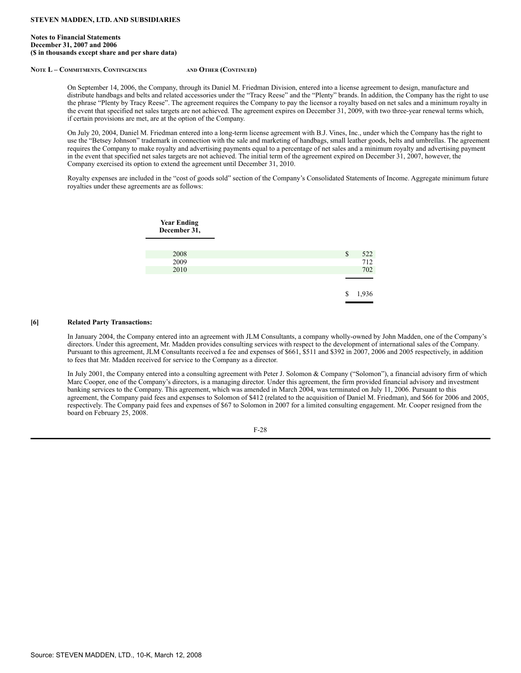# **NOTE L – COMMITMENTS, CONTINGENCIES AND OTHER (CONTINUED)**

On September 14, 2006, the Company, through its Daniel M. Friedman Division, entered into a license agreement to design, manufacture and distribute handbags and belts and related accessories under the "Tracy Reese" and the "Plenty" brands. In addition, the Company has the right to use the phrase "Plenty by Tracy Reese". The agreement requires the Company to pay the licensor a royalty based on net sales and a minimum royalty in the event that specified net sales targets are not achieved. The agreement expires on December 31, 2009, with two three-year renewal terms which, if certain provisions are met, are at the option of the Company.

On July 20, 2004, Daniel M. Friedman entered into a long-term license agreement with B.J. Vines, Inc., under which the Company has the right to use the "Betsey Johnson" trademark in connection with the sale and marketing of handbags, small leather goods, belts and umbrellas. The agreement requires the Company to make royalty and advertising payments equal to a percentage of net sales and a minimum royalty and advertising payment in the event that specified net sales targets are not achieved. The initial term of the agreement expired on December 31, 2007, however, the Company exercised its option to extend the agreement until December 31, 2010.

Royalty expenses are included in the "cost of goods sold" section of the Company's Consolidated Statements of Income. Aggregate minimum future royalties under these agreements are as follows:

| <b>Year Ending</b><br>December 31, |             |
|------------------------------------|-------------|
|                                    |             |
| 2008                               | \$<br>522   |
| 2009                               | 712         |
| 2010                               | 702         |
|                                    |             |
|                                    |             |
|                                    | \$<br>1,936 |
|                                    |             |

#### **[6] Related Party Transactions:**

In January 2004, the Company entered into an agreement with JLM Consultants, a company wholly-owned by John Madden, one of the Company's directors. Under this agreement, Mr. Madden provides consulting services with respect to the development of international sales of the Company. Pursuant to this agreement, JLM Consultants received a fee and expenses of \$661, \$511 and \$392 in 2007, 2006 and 2005 respectively, in addition to fees that Mr. Madden received for service to the Company as a director.

In July 2001, the Company entered into a consulting agreement with Peter J. Solomon & Company ("Solomon"), a financial advisory firm of which Marc Cooper, one of the Company's directors, is a managing director. Under this agreement, the firm provided financial advisory and investment banking services to the Company. This agreement, which was amended in March 2004, was terminated on July 11, 2006. Pursuant to this agreement, the Company paid fees and expenses to Solomon of \$412 (related to the acquisition of Daniel M. Friedman), and \$66 for 2006 and 2005, respectively. The Company paid fees and expenses of \$67 to Solomon in 2007 for a limited consulting engagement. Mr. Cooper resigned from the board on February 25, 2008.

$$
F-28
$$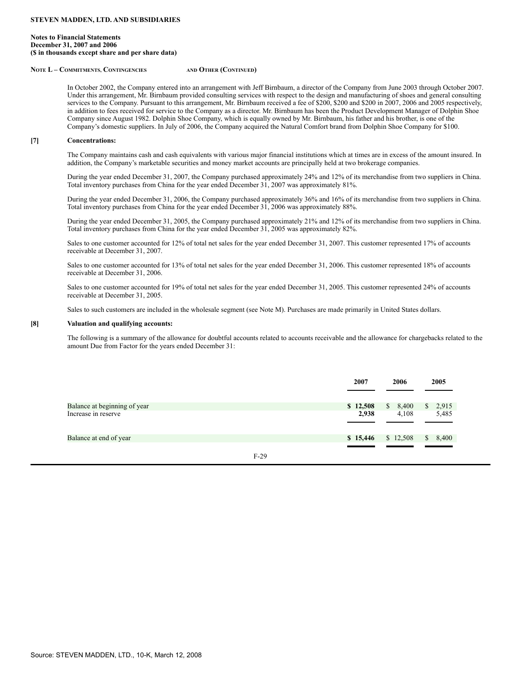#### **NOTE L – COMMITMENTS, CONTINGENCIES AND OTHER (CONTINUED)**

In October 2002, the Company entered into an arrangement with Jeff Birnbaum, a director of the Company from June 2003 through October 2007. Under this arrangement, Mr. Birnbaum provided consulting services with respect to the design and manufacturing of shoes and general consulting services to the Company. Pursuant to this arrangement, Mr. Birnbaum received a fee of \$200, \$200 and \$200 in 2007, 2006 and 2005 respectively, in addition to fees received for service to the Company as a director. Mr. Birnbaum has been the Product Development Manager of Dolphin Shoe Company since August 1982. Dolphin Shoe Company, which is equally owned by Mr. Birnbaum, his father and his brother, is one of the Company's domestic suppliers. In July of 2006, the Company acquired the Natural Comfort brand from Dolphin Shoe Company for \$100.

#### **[7] Concentrations:**

The Company maintains cash and cash equivalents with various major financial institutions which at times are in excess of the amount insured. In addition, the Company's marketable securities and money market accounts are principally held at two brokerage companies.

During the year ended December 31, 2007, the Company purchased approximately 24% and 12% of its merchandise from two suppliers in China. Total inventory purchases from China for the year ended December 31, 2007 was approximately 81%.

During the year ended December 31, 2006, the Company purchased approximately 36% and 16% of its merchandise from two suppliers in China. Total inventory purchases from China for the year ended December 31, 2006 was approximately 88%.

During the year ended December 31, 2005, the Company purchased approximately 21% and 12% of its merchandise from two suppliers in China. Total inventory purchases from China for the year ended December 31, 2005 was approximately 82%.

Sales to one customer accounted for 12% of total net sales for the year ended December 31, 2007. This customer represented 17% of accounts receivable at December 31, 2007.

Sales to one customer accounted for 13% of total net sales for the year ended December 31, 2006. This customer represented 18% of accounts receivable at December 31, 2006.

Sales to one customer accounted for 19% of total net sales for the year ended December 31, 2005. This customer represented 24% of accounts receivable at December 31, 2005.

Sales to such customers are included in the wholesale segment (see Note M). Purchases are made primarily in United States dollars.

#### **[8] Valuation and qualifying accounts:**

The following is a summary of the allowance for doubtful accounts related to accounts receivable and the allowance for chargebacks related to the amount Due from Factor for the years ended December 31:

|                              | 2007     | 2006     | 2005        |  |  |
|------------------------------|----------|----------|-------------|--|--|
| Balance at beginning of year | \$12,508 | \$8,400  | 2,915<br>S. |  |  |
| Increase in reserve          | 2,938    | 4,108    | 5,485       |  |  |
| Balance at end of year       | \$15,446 | \$12,508 | 8,400<br>\$ |  |  |
| $F-29$                       |          |          |             |  |  |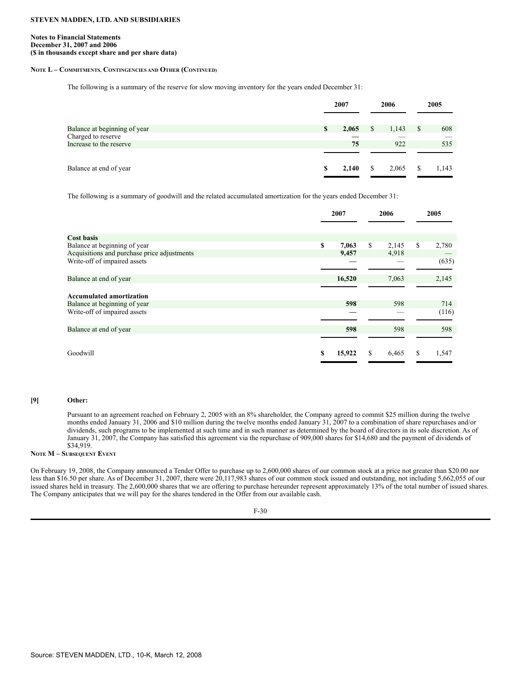#### **Notes to Financial Statements December 31, 2007 and 2006 (\$ in thousands except share and per share data)**

# **NOTE L – COMMITMENTS, CONTINGENCIES AND OTHER (CONTINUED)**

The following is a summary of the reserve for slow moving inventory for the years ended December 31:

|                              |   | 2007  | 2006 |       | 2005         |       |
|------------------------------|---|-------|------|-------|--------------|-------|
| Balance at beginning of year | S | 2,065 |      | 1,143 | <sup>S</sup> | 608   |
| Charged to reserve           |   |       |      |       |              |       |
| Increase to the reserve      |   | 75    |      | 922   |              | 535   |
|                              |   |       |      |       |              |       |
| Balance at end of year       |   | 2,140 |      | 2,065 | S.           | 1,143 |

The following is a summary of goodwill and the related accumulated amortization for the years ended December 31:

|                                             | 2007        | 2006        |    | 2005  |
|---------------------------------------------|-------------|-------------|----|-------|
|                                             |             |             |    |       |
| <b>Cost basis</b>                           |             |             |    |       |
| Balance at beginning of year                | S<br>7,063  | \$<br>2,145 | \$ | 2,780 |
| Acquisitions and purchase price adjustments | 9,457       | 4,918       |    |       |
| Write-off of impaired assets                |             |             |    | (635) |
|                                             |             |             |    |       |
| Balance at end of year                      | 16,520      | 7,063       |    | 2,145 |
|                                             |             |             |    |       |
| <b>Accumulated amortization</b>             |             |             |    |       |
| Balance at beginning of year                | 598         | 598         |    | 714   |
| Write-off of impaired assets                |             |             |    | (116) |
|                                             |             |             |    |       |
| Balance at end of year                      | 598         | 598         |    | 598   |
|                                             |             |             |    |       |
| Goodwill                                    | S<br>15,922 | \$<br>6,465 | \$ | 1,547 |
|                                             |             |             |    |       |

# **[9] Other:**

Pursuant to an agreement reached on February 2, 2005 with an 8% shareholder, the Company agreed to commit \$25 million during the twelve months ended January 31, 2006 and \$10 million during the twelve months ended January 31, 2007 to a combination of share repurchases and/or dividends, such programs to be implemented at such time and in such manner as determined by the board of directors in its sole discretion. As of January 31, 2007, the Company has satisfied this agreement via the repurchase of 909,000 shares for \$14,680 and the payment of dividends of \$34,919.

# **NOTE M – SUBSEQUENT EVENT**

On February 19, 2008, the Company announced a Tender Offer to purchase up to 2,600,000 shares of our common stock at a price not greater than \$20.00 nor less than \$16.50 per share. As of December 31, 2007, there were 20,117,983 shares of our common stock issued and outstanding, not including 5,662,055 of our issued shares held in treasury. The 2,600,000 shares that we are offering to purchase hereunder represent approximately 13% of the total number of issued shares. The Company anticipates that we will pay for the shares tendered in the Offer from our available cash.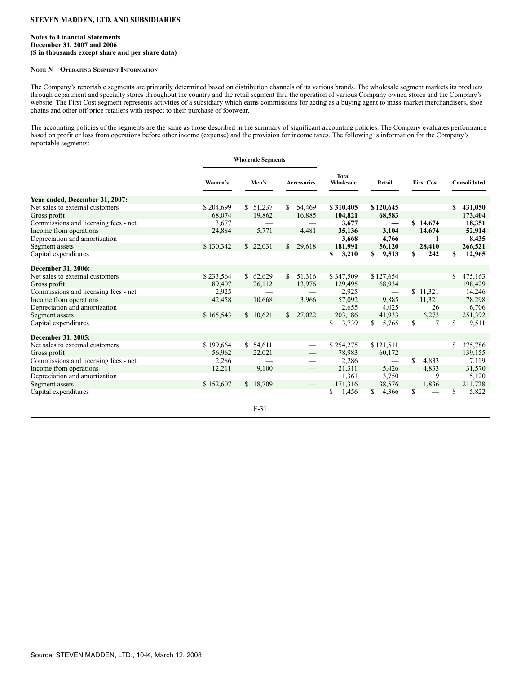# **NOTE N – OPERATING SEGMENT INFORMATION**

The Company's reportable segments are primarily determined based on distribution channels of its various brands. The wholesale segment markets its products through department and specialty stores throughout the country and the retail segment thru the operation of various Company owned stores and the Company's website. The First Cost segment represents activities of a subsidiary which earns commissions for acting as a buying agent to mass-market merchandisers, shoe chains and other off-price retailers with respect to their purchase of footwear.

The accounting policies of the segments are the same as those described in the summary of significant accounting policies. The Company evaluates performance based on profit or loss from operations before other income (expense) and the provision for income taxes. The following is information for the Company's reportable segments:

|                                      |           | <b>Wholesale Segments</b> |                                 |                           |                          |                       |                        |
|--------------------------------------|-----------|---------------------------|---------------------------------|---------------------------|--------------------------|-----------------------|------------------------|
|                                      | Women's   | Men's                     | Accessories                     | <b>Total</b><br>Wholesale | Retail                   | <b>First Cost</b>     | Consolidated           |
| Year ended, December 31, 2007:       |           |                           |                                 |                           |                          |                       |                        |
| Net sales to external customers      | \$204,699 | \$51,237                  | 54,469<br>\$                    | \$310,405                 | \$120,645                |                       | $\mathbf S$<br>431,050 |
| Gross profit                         | 68,074    | 19,862                    | 16,885                          | 104,821                   | 68,583                   |                       | 173,404                |
| Commissions and licensing fees - net | 3,677     |                           |                                 | 3,677                     | $\overline{\phantom{0}}$ | \$14,674              | 18,351                 |
| Income from operations               | 24,884    | 5,771                     | 4,481                           | 35,136                    | 3,104                    | 14,674                | 52,914                 |
| Depreciation and amortization        |           |                           |                                 | 3,668                     | 4,766                    | 1                     | 8,435                  |
| Segment assets                       | \$130,342 | \$22,031                  | 29,618<br>$\mathbb{S}$          | 181,991                   | 56,120                   | 28,410                | 266,521                |
| Capital expenditures                 |           |                           |                                 | 3,210<br>S.               | S.<br>9,513              | 242<br>\$.            | 12,965<br>S            |
| December 31, 2006:                   |           |                           |                                 |                           |                          |                       |                        |
| Net sales to external customers      | \$233,564 | \$62,629                  | 51,316<br>S.                    | \$347,509                 | \$127,654                |                       | 475,163<br>\$          |
| Gross profit                         | 89,407    | 26,112                    | 13,976                          | 129,495                   | 68,934                   |                       | 198,429                |
| Commissions and licensing fees - net | 2,925     |                           |                                 | 2,925                     | $\overline{\phantom{0}}$ | \$11,321              | 14,246                 |
| Income from operations               | 42,458    | 10,668                    | 3,966                           | 57,092                    | 9,885                    | 11,321                | 78,298                 |
| Depreciation and amortization        |           |                           |                                 | 2,655                     | 4,025                    | 26                    | 6,706                  |
| Segment assets                       | \$165,543 | \$10,621                  | 27,022<br>$\mathbb{S}$          | 203,186                   | 41,933                   | 6,273                 | 251,392                |
| Capital expenditures                 |           |                           |                                 | 3,739<br>S.               | 5,765<br>S.              | S.<br>7               | S.<br>9,511            |
| December 31, 2005:                   |           |                           |                                 |                           |                          |                       |                        |
| Net sales to external customers      | \$199,664 | \$54,611                  |                                 | \$254,275                 | \$121,511                |                       | \$<br>375,786          |
| Gross profit                         | 56,962    | 22,021                    | $\hspace{0.1mm}-\hspace{0.1mm}$ | 78,983                    | 60,172                   |                       | 139,155                |
| Commissions and licensing fees - net | 2,286     |                           | $\overbrace{\hspace{27mm}}^{}$  | 2,286                     | $\overline{\phantom{0}}$ | $\mathbb{S}$<br>4,833 | 7,119                  |
| Income from operations               | 12,211    | 9,100                     |                                 | 21,311                    | 5,426                    | 4,833                 | 31,570                 |
| Depreciation and amortization        |           |                           |                                 | 1,361                     | 3,750                    | 9                     | 5,120                  |
| Segment assets                       | \$152,607 | \$18,709                  |                                 | 171,316                   | 38,576                   | 1,836                 | 211,728                |
| Capital expenditures                 |           |                           |                                 | 1,456<br>S.               | 4,366<br>S.              | \$                    | \$<br>5,822            |
|                                      |           | $F-31$                    |                                 |                           |                          |                       |                        |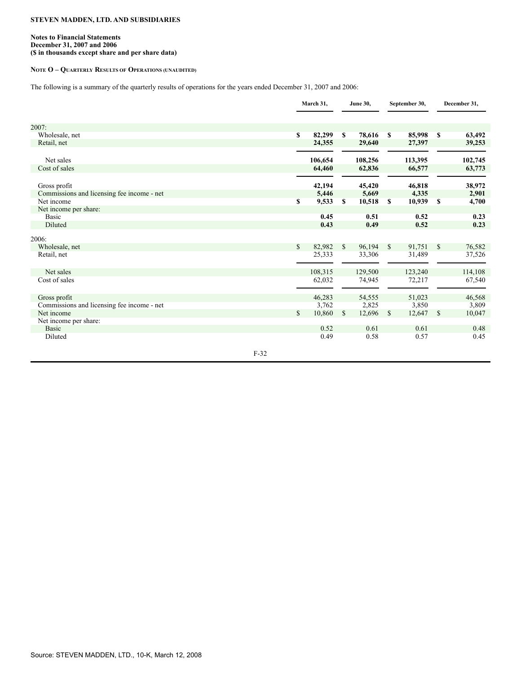# **Notes to Financial Statements December 31, 2007 and 2006 (\$ in thousands except share and per share data)**

# **NOTE O – QUARTERLY RESULTS OF OPERATIONS (UNAUDITED)**

The following is a summary of the quarterly results of operations for the years ended December 31, 2007 and 2006:

|                                            |               | March 31, |              | <b>June 30,</b> |               |              |               |              |  | September 30, |  |  | December 31, |  |
|--------------------------------------------|---------------|-----------|--------------|-----------------|---------------|--------------|---------------|--------------|--|---------------|--|--|--------------|--|
| 2007:                                      |               |           |              |                 |               |              |               |              |  |               |  |  |              |  |
| Wholesale, net                             | S             | 82,299    | S            | 78.616          | S             | 85,998       | S             | 63,492       |  |               |  |  |              |  |
| Retail, net                                |               | 24,355    |              | 29,640          |               | 27,397       |               | 39,253       |  |               |  |  |              |  |
| Net sales                                  |               | 106,654   |              | 108,256         |               | 113,395      |               | 102,745      |  |               |  |  |              |  |
| Cost of sales                              |               | 64,460    |              | 62,836          |               | 66,577       |               | 63,773       |  |               |  |  |              |  |
|                                            |               |           |              |                 |               |              |               |              |  |               |  |  |              |  |
| Gross profit                               |               | 42,194    |              | 45,420          |               | 46,818       |               | 38,972       |  |               |  |  |              |  |
| Commissions and licensing fee income - net |               | 5,446     |              | 5,669           |               | 4,335        |               | 2,901        |  |               |  |  |              |  |
| Net income                                 | S             | 9,533     | S            | 10,518          | S             | 10,939       | S             | 4,700        |  |               |  |  |              |  |
| Net income per share:                      |               | 0.45      |              |                 |               |              |               |              |  |               |  |  |              |  |
| Basic<br>Diluted                           |               | 0.43      |              | 0.51<br>0.49    |               | 0.52<br>0.52 |               | 0.23<br>0.23 |  |               |  |  |              |  |
|                                            |               |           |              |                 |               |              |               |              |  |               |  |  |              |  |
| 2006:                                      |               |           |              |                 |               |              |               |              |  |               |  |  |              |  |
| Wholesale, net                             | $\mathcal{S}$ | 82,982    | $\mathbb{S}$ | 96,194          | $\mathbf S$   | 91,751       | $\mathbf S$   | 76,582       |  |               |  |  |              |  |
| Retail, net                                |               | 25,333    |              | 33,306          |               | 31,489       |               | 37,526       |  |               |  |  |              |  |
|                                            |               |           |              |                 |               |              |               |              |  |               |  |  |              |  |
| Net sales                                  |               | 108,315   |              | 129,500         |               | 123,240      |               | 114,108      |  |               |  |  |              |  |
| Cost of sales                              |               | 62,032    |              | 74,945          |               | 72,217       |               | 67,540       |  |               |  |  |              |  |
|                                            |               |           |              |                 |               |              |               |              |  |               |  |  |              |  |
| Gross profit                               |               | 46,283    |              | 54,555          |               | 51,023       |               | 46,568       |  |               |  |  |              |  |
| Commissions and licensing fee income - net |               | 3,762     |              | 2,825           |               | 3,850        |               | 3,809        |  |               |  |  |              |  |
| Net income                                 | <sup>\$</sup> | 10,860    | \$           | 12,696          | <sup>\$</sup> | 12,647       | <sup>\$</sup> | 10,047       |  |               |  |  |              |  |
| Net income per share:                      |               |           |              |                 |               |              |               |              |  |               |  |  |              |  |
| <b>Basic</b>                               |               | 0.52      |              | 0.61            |               | 0.61         |               | 0.48         |  |               |  |  |              |  |
| Diluted                                    |               | 0.49      |              | 0.58            |               | 0.57         |               | 0.45         |  |               |  |  |              |  |
|                                            |               |           |              |                 |               |              |               |              |  |               |  |  |              |  |
| $F-32$                                     |               |           |              |                 |               |              |               |              |  |               |  |  |              |  |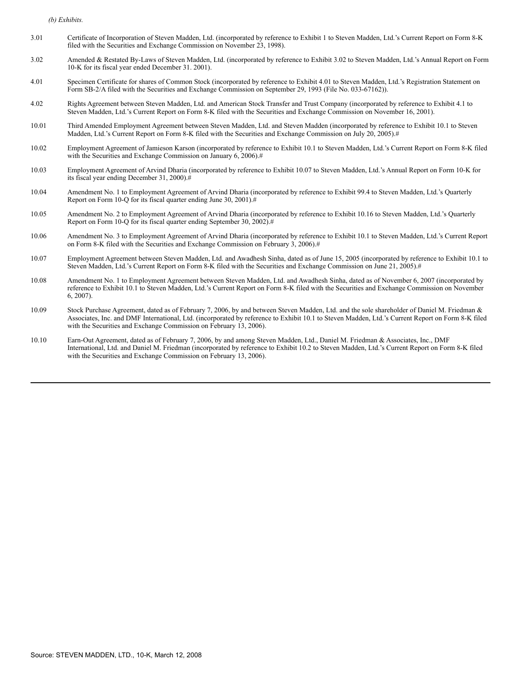*(b) Exhibits.*

- 3.01 Certificate of Incorporation of Steven Madden, Ltd. (incorporated by reference to Exhibit 1 to Steven Madden, Ltd.'s Current Report on Form 8-K filed with the Securities and Exchange Commission on November 23, 1998).
- 3.02 Amended & Restated By-Laws of Steven Madden, Ltd. (incorporated by reference to Exhibit 3.02 to Steven Madden, Ltd.'s Annual Report on Form 10-K for its fiscal year ended December 31. 2001).
- 4.01 Specimen Certificate for shares of Common Stock (incorporated by reference to Exhibit 4.01 to Steven Madden, Ltd.'s Registration Statement on Form SB-2/A filed with the Securities and Exchange Commission on September 29, 1993 (File No. 033-67162)).
- 4.02 Rights Agreement between Steven Madden, Ltd. and American Stock Transfer and Trust Company (incorporated by reference to Exhibit 4.1 to Steven Madden, Ltd.'s Current Report on Form 8-K filed with the Securities and Exchange Commission on November 16, 2001).
- 10.01 Third Amended Employment Agreement between Steven Madden, Ltd. and Steven Madden (incorporated by reference to Exhibit 10.1 to Steven Madden, Ltd.'s Current Report on Form 8-K filed with the Securities and Exchange Commission on July 20, 2005).#
- 10.02 Employment Agreement of Jamieson Karson (incorporated by reference to Exhibit 10.1 to Steven Madden, Ltd.'s Current Report on Form 8-K filed with the Securities and Exchange Commission on January 6, 2006).#
- 10.03 Employment Agreement of Arvind Dharia (incorporated by reference to Exhibit 10.07 to Steven Madden, Ltd.'s Annual Report on Form 10-K for its fiscal year ending December 31, 2000).#
- 10.04 Amendment No. 1 to Employment Agreement of Arvind Dharia (incorporated by reference to Exhibit 99.4 to Steven Madden, Ltd.'s Quarterly Report on Form 10-Q for its fiscal quarter ending June 30, 2001).#
- 10.05 Amendment No. 2 to Employment Agreement of Arvind Dharia (incorporated by reference to Exhibit 10.16 to Steven Madden, Ltd.'s Quarterly Report on Form 10-Q for its fiscal quarter ending September 30, 2002).#
- 10.06 Amendment No. 3 to Employment Agreement of Arvind Dharia (incorporated by reference to Exhibit 10.1 to Steven Madden, Ltd.'s Current Report on Form 8-K filed with the Securities and Exchange Commission on February 3, 2006).#
- 10.07 Employment Agreement between Steven Madden, Ltd. and Awadhesh Sinha, dated as of June 15, 2005 (incorporated by reference to Exhibit 10.1 to Steven Madden, Ltd.'s Current Report on Form 8-K filed with the Securities and Exchange Commission on June 21, 2005).#
- 10.08 Amendment No. 1 to Employment Agreement between Steven Madden, Ltd. and Awadhesh Sinha, dated as of November 6, 2007 (incorporated by reference to Exhibit 10.1 to Steven Madden, Ltd.'s Current Report on Form 8-K filed with the Securities and Exchange Commission on November 6, 2007).
- 10.09 Stock Purchase Agreement, dated as of February 7, 2006, by and between Steven Madden, Ltd. and the sole shareholder of Daniel M. Friedman & Associates, Inc. and DMF International, Ltd. (incorporated by reference to Exhibit 10.1 to Steven Madden, Ltd.'s Current Report on Form 8-K filed with the Securities and Exchange Commission on February 13, 2006).
- 10.10 Earn-Out Agreement, dated as of February 7, 2006, by and among Steven Madden, Ltd., Daniel M. Friedman & Associates, Inc., DMF International, Ltd. and Daniel M. Friedman (incorporated by reference to Exhibit 10.2 to Steven Madden, Ltd.'s Current Report on Form 8-K filed with the Securities and Exchange Commission on February 13, 2006).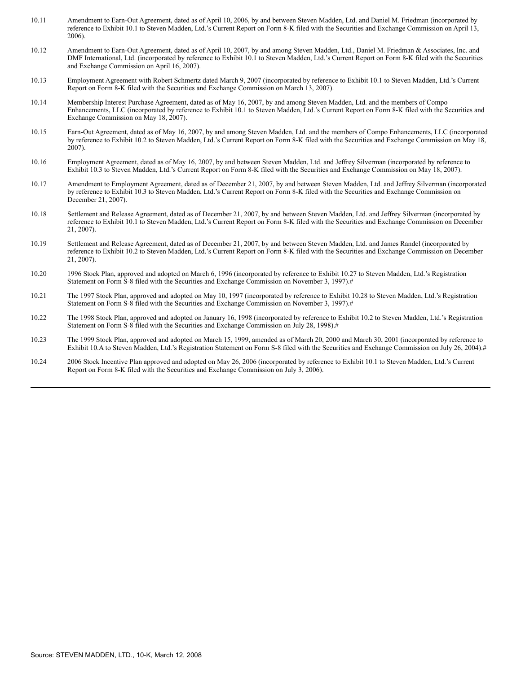- 10.11 Amendment to Earn-Out Agreement, dated as of April 10, 2006, by and between Steven Madden, Ltd. and Daniel M. Friedman (incorporated by reference to Exhibit 10.1 to Steven Madden, Ltd.'s Current Report on Form 8-K filed with the Securities and Exchange Commission on April 13, 2006).
- 10.12 Amendment to Earn-Out Agreement, dated as of April 10, 2007, by and among Steven Madden, Ltd., Daniel M. Friedman & Associates, Inc. and DMF International, Ltd. (incorporated by reference to Exhibit 10.1 to Steven Madden, Ltd.'s Current Report on Form 8-K filed with the Securities and Exchange Commission on April 16, 2007).
- 10.13 Employment Agreement with Robert Schmertz dated March 9, 2007 (incorporated by reference to Exhibit 10.1 to Steven Madden, Ltd.'s Current Report on Form 8-K filed with the Securities and Exchange Commission on March 13, 2007).
- 10.14 Membership Interest Purchase Agreement, dated as of May 16, 2007, by and among Steven Madden, Ltd. and the members of Compo Enhancements, LLC (incorporated by reference to Exhibit 10.1 to Steven Madden, Ltd.'s Current Report on Form 8-K filed with the Securities and Exchange Commission on May 18, 2007).
- 10.15 Earn-Out Agreement, dated as of May 16, 2007, by and among Steven Madden, Ltd. and the members of Compo Enhancements, LLC (incorporated by reference to Exhibit 10.2 to Steven Madden, Ltd.'s Current Report on Form 8-K filed with the Securities and Exchange Commission on May 18, 2007).
- 10.16 Employment Agreement, dated as of May 16, 2007, by and between Steven Madden, Ltd. and Jeffrey Silverman (incorporated by reference to Exhibit 10.3 to Steven Madden, Ltd.'s Current Report on Form 8-K filed with the Securities and Exchange Commission on May 18, 2007).
- 10.17 Amendment to Employment Agreement, dated as of December 21, 2007, by and between Steven Madden, Ltd. and Jeffrey Silverman (incorporated by reference to Exhibit 10.3 to Steven Madden, Ltd.'s Current Report on Form 8-K filed with the Securities and Exchange Commission on December 21, 2007).
- 10.18 Settlement and Release Agreement, dated as of December 21, 2007, by and between Steven Madden, Ltd. and Jeffrey Silverman (incorporated by reference to Exhibit 10.1 to Steven Madden, Ltd.'s Current Report on Form 8-K filed with the Securities and Exchange Commission on December 21, 2007).
- 10.19 Settlement and Release Agreement, dated as of December 21, 2007, by and between Steven Madden, Ltd. and James Randel (incorporated by reference to Exhibit 10.2 to Steven Madden, Ltd.'s Current Report on Form 8-K filed with the Securities and Exchange Commission on December 21, 2007).
- 10.20 1996 Stock Plan, approved and adopted on March 6, 1996 (incorporated by reference to Exhibit 10.27 to Steven Madden, Ltd.'s Registration Statement on Form S-8 filed with the Securities and Exchange Commission on November 3, 1997).#
- 10.21 The 1997 Stock Plan, approved and adopted on May 10, 1997 (incorporated by reference to Exhibit 10.28 to Steven Madden, Ltd.'s Registration Statement on Form S-8 filed with the Securities and Exchange Commission on November 3, 1997).#
- 10.22 The 1998 Stock Plan, approved and adopted on January 16, 1998 (incorporated by reference to Exhibit 10.2 to Steven Madden, Ltd.'s Registration Statement on Form S-8 filed with the Securities and Exchange Commission on July 28, 1998).#
- 10.23 The 1999 Stock Plan, approved and adopted on March 15, 1999, amended as of March 20, 2000 and March 30, 2001 (incorporated by reference to Exhibit 10.A to Steven Madden, Ltd.'s Registration Statement on Form S-8 filed with the Securities and Exchange Commission on July 26, 2004).#
- 10.24 2006 Stock Incentive Plan approved and adopted on May 26, 2006 (incorporated by reference to Exhibit 10.1 to Steven Madden, Ltd.'s Current Report on Form 8-K filed with the Securities and Exchange Commission on July 3, 2006).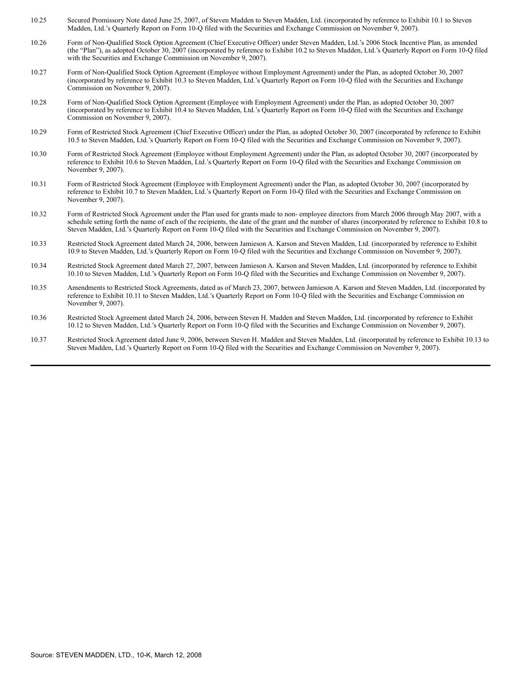- 10.25 Secured Promissory Note dated June 25, 2007, of Steven Madden to Steven Madden, Ltd. (incorporated by reference to Exhibit 10.1 to Steven Madden, Ltd.'s Quarterly Report on Form 10-Q filed with the Securities and Exchange Commission on November 9, 2007).
- 10.26 Form of Non-Qualified Stock Option Agreement (Chief Executive Officer) under Steven Madden, Ltd.'s 2006 Stock Incentive Plan, as amended (the "Plan"), as adopted October 30, 2007 (incorporated by reference to Exhibit 10.2 to Steven Madden, Ltd.'s Quarterly Report on Form 10-Q filed with the Securities and Exchange Commission on November 9, 2007).
- 10.27 Form of Non-Qualified Stock Option Agreement (Employee without Employment Agreement) under the Plan, as adopted October 30, 2007 (incorporated by reference to Exhibit 10.3 to Steven Madden, Ltd.'s Quarterly Report on Form 10-Q filed with the Securities and Exchange Commission on November 9, 2007).
- 10.28 Form of Non-Qualified Stock Option Agreement (Employee with Employment Agreement) under the Plan, as adopted October 30, 2007 (incorporated by reference to Exhibit 10.4 to Steven Madden, Ltd.'s Quarterly Report on Form 10-Q filed with the Securities and Exchange Commission on November 9, 2007).
- 10.29 Form of Restricted Stock Agreement (Chief Executive Officer) under the Plan, as adopted October 30, 2007 (incorporated by reference to Exhibit 10.5 to Steven Madden, Ltd.'s Quarterly Report on Form 10-Q filed with the Securities and Exchange Commission on November 9, 2007).
- 10.30 Form of Restricted Stock Agreement (Employee without Employment Agreement) under the Plan, as adopted October 30, 2007 (incorporated by reference to Exhibit 10.6 to Steven Madden, Ltd.'s Quarterly Report on Form 10-Q filed with the Securities and Exchange Commission on November 9, 2007).
- 10.31 Form of Restricted Stock Agreement (Employee with Employment Agreement) under the Plan, as adopted October 30, 2007 (incorporated by reference to Exhibit 10.7 to Steven Madden, Ltd.'s Quarterly Report on Form 10-Q filed with the Securities and Exchange Commission on November 9, 2007).
- 10.32 Form of Restricted Stock Agreement under the Plan used for grants made to non- employee directors from March 2006 through May 2007, with a schedule setting forth the name of each of the recipients, the date of the grant and the number of shares (incorporated by reference to Exhibit 10.8 to Steven Madden, Ltd.'s Quarterly Report on Form 10-Q filed with the Securities and Exchange Commission on November 9, 2007).
- 10.33 Restricted Stock Agreement dated March 24, 2006, between Jamieson A. Karson and Steven Madden, Ltd. (incorporated by reference to Exhibit 10.9 to Steven Madden, Ltd.'s Quarterly Report on Form 10-Q filed with the Securities and Exchange Commission on November 9, 2007).
- 10.34 Restricted Stock Agreement dated March 27, 2007, between Jamieson A. Karson and Steven Madden, Ltd. (incorporated by reference to Exhibit 10.10 to Steven Madden, Ltd.'s Quarterly Report on Form 10-Q filed with the Securities and Exchange Commission on November 9, 2007).
- 10.35 Amendments to Restricted Stock Agreements, dated as of March 23, 2007, between Jamieson A. Karson and Steven Madden, Ltd. (incorporated by reference to Exhibit 10.11 to Steven Madden, Ltd.'s Quarterly Report on Form 10-Q filed with the Securities and Exchange Commission on November 9, 2007).
- 10.36 Restricted Stock Agreement dated March 24, 2006, between Steven H. Madden and Steven Madden, Ltd. (incorporated by reference to Exhibit 10.12 to Steven Madden, Ltd.'s Quarterly Report on Form 10-Q filed with the Securities and Exchange Commission on November 9, 2007).
- 10.37 Restricted Stock Agreement dated June 9, 2006, between Steven H. Madden and Steven Madden, Ltd. (incorporated by reference to Exhibit 10.13 to Steven Madden, Ltd.'s Quarterly Report on Form 10-Q filed with the Securities and Exchange Commission on November 9, 2007).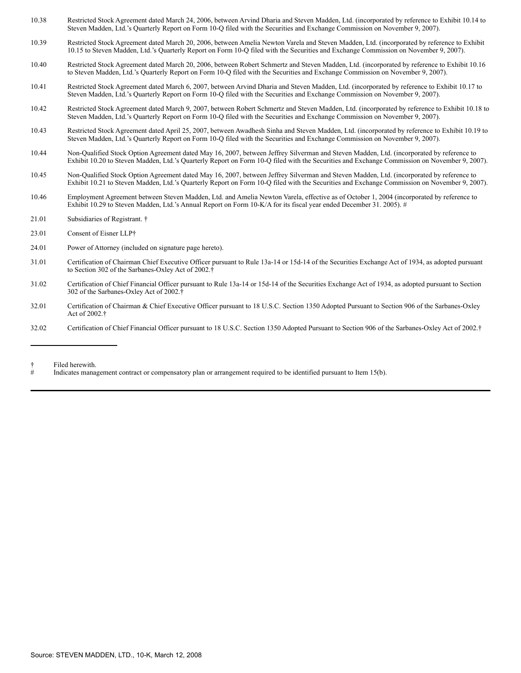- 10.38 Restricted Stock Agreement dated March 24, 2006, between Arvind Dharia and Steven Madden, Ltd. (incorporated by reference to Exhibit 10.14 to Steven Madden, Ltd.'s Quarterly Report on Form 10-Q filed with the Securities and Exchange Commission on November 9, 2007).
- 10.39 Restricted Stock Agreement dated March 20, 2006, between Amelia Newton Varela and Steven Madden, Ltd. (incorporated by reference to Exhibit 10.15 to Steven Madden, Ltd.'s Quarterly Report on Form 10-Q filed with the Securities and Exchange Commission on November 9, 2007).
- 10.40 Restricted Stock Agreement dated March 20, 2006, between Robert Schmertz and Steven Madden, Ltd. (incorporated by reference to Exhibit 10.16 to Steven Madden, Ltd.'s Quarterly Report on Form 10-Q filed with the Securities and Exchange Commission on November 9, 2007).
- 10.41 Restricted Stock Agreement dated March 6, 2007, between Arvind Dharia and Steven Madden, Ltd. (incorporated by reference to Exhibit 10.17 to Steven Madden, Ltd.'s Quarterly Report on Form 10-Q filed with the Securities and Exchange Commission on November 9, 2007).
- 10.42 Restricted Stock Agreement dated March 9, 2007, between Robert Schmertz and Steven Madden, Ltd. (incorporated by reference to Exhibit 10.18 to Steven Madden, Ltd.'s Quarterly Report on Form 10-Q filed with the Securities and Exchange Commission on November 9, 2007).
- 10.43 Restricted Stock Agreement dated April 25, 2007, between Awadhesh Sinha and Steven Madden, Ltd. (incorporated by reference to Exhibit 10.19 to Steven Madden, Ltd.'s Quarterly Report on Form 10-Q filed with the Securities and Exchange Commission on November 9, 2007).
- 10.44 Non-Qualified Stock Option Agreement dated May 16, 2007, between Jeffrey Silverman and Steven Madden, Ltd. (incorporated by reference to Exhibit 10.20 to Steven Madden, Ltd.'s Quarterly Report on Form 10-Q filed with the Securities and Exchange Commission on November 9, 2007).
- 10.45 Non-Qualified Stock Option Agreement dated May 16, 2007, between Jeffrey Silverman and Steven Madden, Ltd. (incorporated by reference to Exhibit 10.21 to Steven Madden, Ltd.'s Quarterly Report on Form 10-Q filed with the Securities and Exchange Commission on November 9, 2007).
- 10.46 Employment Agreement between Steven Madden, Ltd. and Amelia Newton Varela, effective as of October 1, 2004 (incorporated by reference to Exhibit 10.29 to Steven Madden, Ltd.'s Annual Report on Form 10-K/A for its fiscal year ended December 31. 2005). #
- 21.01 Subsidiaries of Registrant. †
- 23.01 Consent of Eisner LLP†
- 24.01 Power of Attorney (included on signature page hereto).
- 31.01 Certification of Chairman Chief Executive Officer pursuant to Rule 13a-14 or 15d-14 of the Securities Exchange Act of 1934, as adopted pursuant to Section 302 of the Sarbanes-Oxley Act of 2002.†
- 31.02 Certification of Chief Financial Officer pursuant to Rule 13a-14 or 15d-14 of the Securities Exchange Act of 1934, as adopted pursuant to Section 302 of the Sarbanes-Oxley Act of 2002.†
- 32.01 Certification of Chairman & Chief Executive Officer pursuant to 18 U.S.C. Section 1350 Adopted Pursuant to Section 906 of the Sarbanes-Oxley Act of 2002.†
- 32.02 Certification of Chief Financial Officer pursuant to 18 U.S.C. Section 1350 Adopted Pursuant to Section 906 of the Sarbanes-Oxley Act of 2002.†

Indicates management contract or compensatory plan or arrangement required to be identified pursuant to Item 15(b).

<sup>†</sup> Filed herewith.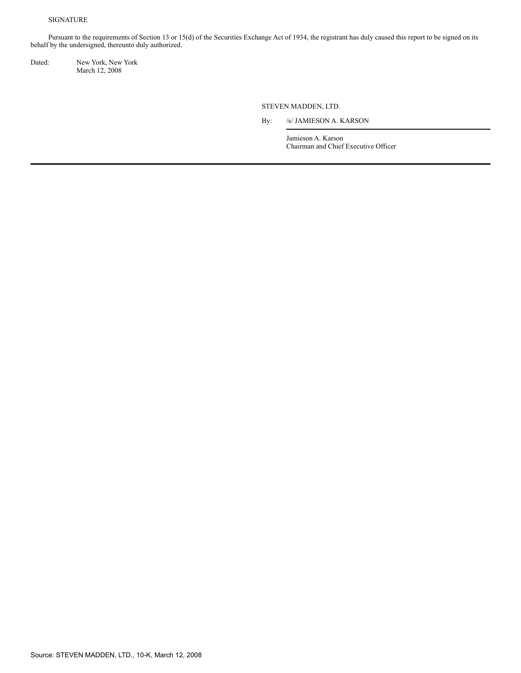Pursuant to the requirements of Section 13 or 15(d) of the Securities Exchange Act of 1934, the registrant has duly caused this report to be signed on its behalf by the undersigned, thereunto duly authorized.

Dated: New York, New York March 12, 2008

STEVEN MADDEN, LTD.

By: /s/ JAMIESON A. KARSON

Jamieson A. Karson Chairman and Chief Executive Officer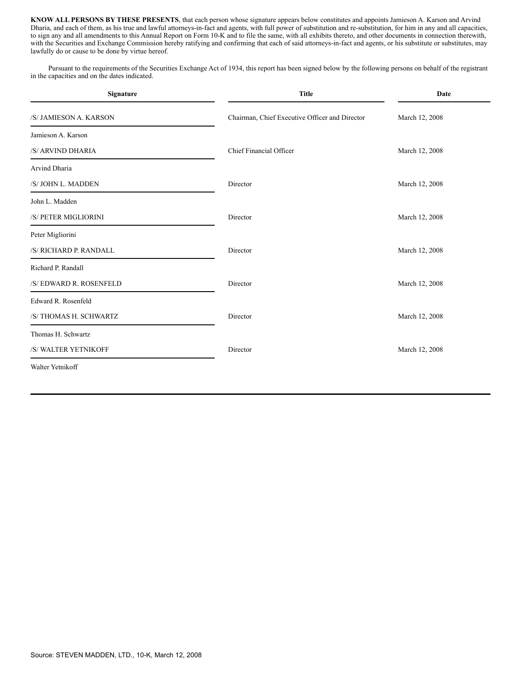**KNOW ALL PERSONS BY THESE PRESENTS**, that each person whose signature appears below constitutes and appoints Jamieson A. Karson and Arvind Dharia, and each of them, as his true and lawful attorneys-in-fact and agents, with full power of substitution and re-substitution, for him in any and all capacities, to sign any and all amendments to this Annual Report on Form 10-K and to file the same, with all exhibits thereto, and other documents in connection therewith, with the Securities and Exchange Commission hereby ratifying and confirming that each of said attorneys-in-fact and agents, or his substitute or substitutes, may lawfully do or cause to be done by virtue hereof.

 Pursuant to the requirements of the Securities Exchange Act of 1934, this report has been signed below by the following persons on behalf of the registrant in the capacities and on the dates indicated.

| Signature               | <b>Title</b>                                   | Date           |
|-------------------------|------------------------------------------------|----------------|
| /S/ JAMIESON A. KARSON  | Chairman, Chief Executive Officer and Director | March 12, 2008 |
| Jamieson A. Karson      |                                                |                |
| /S/ ARVIND DHARIA       | Chief Financial Officer                        | March 12, 2008 |
| Arvind Dharia           |                                                |                |
| /S/ JOHN L. MADDEN      | Director                                       | March 12, 2008 |
| John L. Madden          |                                                |                |
| /S/ PETER MIGLIORINI    | Director                                       | March 12, 2008 |
| Peter Migliorini        |                                                |                |
| /S/ RICHARD P. RANDALL  | Director                                       | March 12, 2008 |
| Richard P. Randall      |                                                |                |
| /S/ EDWARD R. ROSENFELD | Director                                       | March 12, 2008 |
| Edward R. Rosenfeld     |                                                |                |
| /S/THOMAS H. SCHWARTZ   | Director                                       | March 12, 2008 |
| Thomas H. Schwartz      |                                                |                |
| /S/ WALTER YETNIKOFF    | Director                                       | March 12, 2008 |
| Walter Yetnikoff        |                                                |                |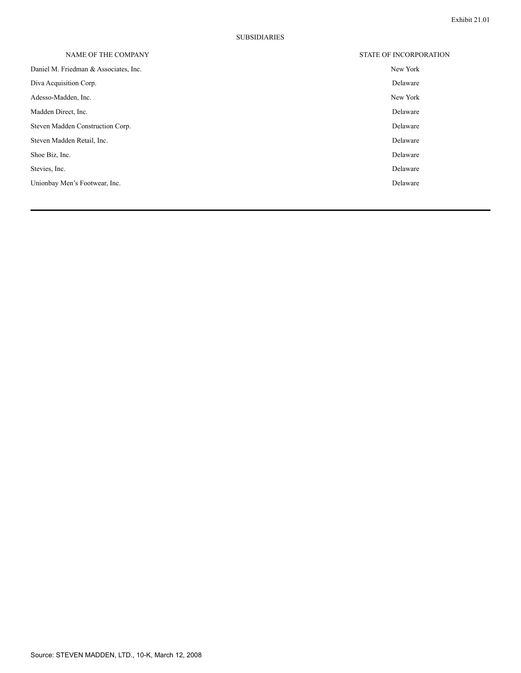| NAME OF THE COMPANY                   | <b>STATE OF INCORPORATION</b> |
|---------------------------------------|-------------------------------|
| Daniel M. Friedman & Associates, Inc. | New York                      |
| Diva Acquisition Corp.                | Delaware                      |
| Adesso-Madden, Inc.                   | New York                      |
| Madden Direct, Inc.                   | Delaware                      |
| Steven Madden Construction Corp.      | Delaware                      |
| Steven Madden Retail, Inc.            | Delaware                      |
| Shoe Biz, Inc.                        | Delaware                      |
| Stevies, Inc.                         | Delaware                      |
| Unionbay Men's Footwear, Inc.         | Delaware                      |
|                                       |                               |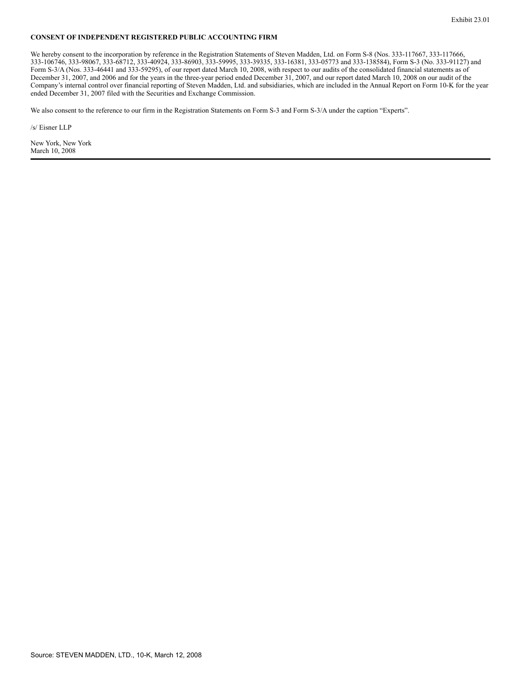# **CONSENT OF INDEPENDENT REGISTERED PUBLIC ACCOUNTING FIRM**

We hereby consent to the incorporation by reference in the Registration Statements of Steven Madden, Ltd. on Form S-8 (Nos. 333-117667, 333-117666, 333-106746, 333-98067, 333-68712, 333-40924, 333-86903, 333-59995, 333-39335, 333-16381, 333-05773 and 333-138584), Form S-3 (No. 333-91127) and Form S-3/A (Nos. 333-46441 and 333-59295), of our report dated March 10, 2008, with respect to our audits of the consolidated financial statements as of December 31, 2007, and 2006 and for the years in the three-year period ended December 31, 2007, and our report dated March 10, 2008 on our audit of the Company's internal control over financial reporting of Steven Madden, Ltd. and subsidiaries, which are included in the Annual Report on Form 10-K for the year ended December 31, 2007 filed with the Securities and Exchange Commission.

We also consent to the reference to our firm in the Registration Statements on Form S-3 and Form S-3/A under the caption "Experts".

/s/ Eisner LLP

New York, New York March 10, 2008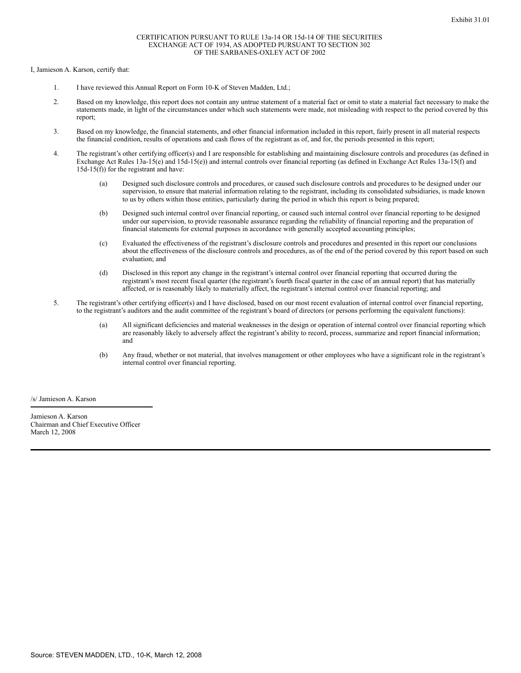## CERTIFICATION PURSUANT TO RULE 13a-14 OR 15d-14 OF THE SECURITIES EXCHANGE ACT OF 1934, AS ADOPTED PURSUANT TO SECTION 302 OF THE SARBANES-OXLEY ACT OF 2002

I, Jamieson A. Karson, certify that:

- 1. I have reviewed this Annual Report on Form 10-K of Steven Madden, Ltd.;
- 2. Based on my knowledge, this report does not contain any untrue statement of a material fact or omit to state a material fact necessary to make the statements made, in light of the circumstances under which such statements were made, not misleading with respect to the period covered by this report;
- 3. Based on my knowledge, the financial statements, and other financial information included in this report, fairly present in all material respects the financial condition, results of operations and cash flows of the registrant as of, and for, the periods presented in this report;
- 4. The registrant's other certifying officer(s) and I are responsible for establishing and maintaining disclosure controls and procedures (as defined in Exchange Act Rules 13a-15(e) and 15d-15(e)) and internal controls over financial reporting (as defined in Exchange Act Rules 13a-15(f) and 15d-15(f)) for the registrant and have:
	- (a) Designed such disclosure controls and procedures, or caused such disclosure controls and procedures to be designed under our supervision, to ensure that material information relating to the registrant, including its consolidated subsidiaries, is made known to us by others within those entities, particularly during the period in which this report is being prepared;
	- (b) Designed such internal control over financial reporting, or caused such internal control over financial reporting to be designed under our supervision, to provide reasonable assurance regarding the reliability of financial reporting and the preparation of financial statements for external purposes in accordance with generally accepted accounting principles;
	- (c) Evaluated the effectiveness of the registrant's disclosure controls and procedures and presented in this report our conclusions about the effectiveness of the disclosure controls and procedures, as of the end of the period covered by this report based on such evaluation; and
	- (d) Disclosed in this report any change in the registrant's internal control over financial reporting that occurred during the registrant's most recent fiscal quarter (the registrant's fourth fiscal quarter in the case of an annual report) that has materially affected, or is reasonably likely to materially affect, the registrant's internal control over financial reporting; and
- 5. The registrant's other certifying officer(s) and I have disclosed, based on our most recent evaluation of internal control over financial reporting, to the registrant's auditors and the audit committee of the registrant's board of directors (or persons performing the equivalent functions):
	- (a) All significant deficiencies and material weaknesses in the design or operation of internal control over financial reporting which are reasonably likely to adversely affect the registrant's ability to record, process, summarize and report financial information; and
	- (b) Any fraud, whether or not material, that involves management or other employees who have a significant role in the registrant's internal control over financial reporting.

/s/ Jamieson A. Karson

Jamieson A. Karson Chairman and Chief Executive Officer March 12, 2008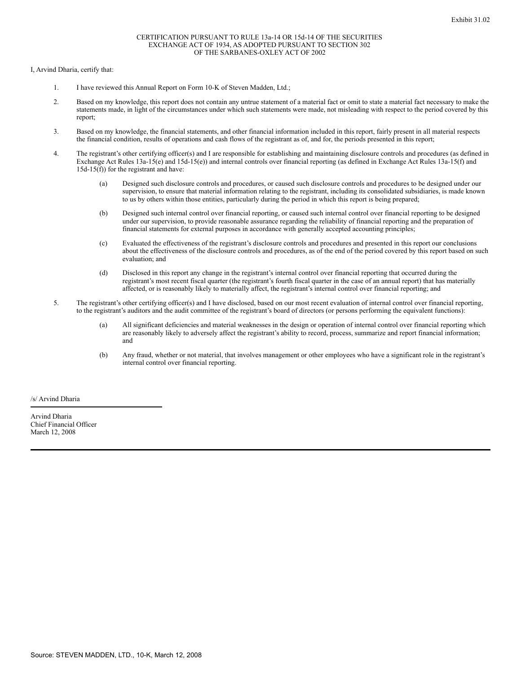## CERTIFICATION PURSUANT TO RULE 13a-14 OR 15d-14 OF THE SECURITIES EXCHANGE ACT OF 1934, AS ADOPTED PURSUANT TO SECTION 302 OF THE SARBANES-OXLEY ACT OF 2002

I, Arvind Dharia, certify that:

- 1. I have reviewed this Annual Report on Form 10-K of Steven Madden, Ltd.;
- 2. Based on my knowledge, this report does not contain any untrue statement of a material fact or omit to state a material fact necessary to make the statements made, in light of the circumstances under which such statements were made, not misleading with respect to the period covered by this report;
- 3. Based on my knowledge, the financial statements, and other financial information included in this report, fairly present in all material respects the financial condition, results of operations and cash flows of the registrant as of, and for, the periods presented in this report;
- 4. The registrant's other certifying officer(s) and I are responsible for establishing and maintaining disclosure controls and procedures (as defined in Exchange Act Rules 13a-15(e) and 15d-15(e)) and internal controls over financial reporting (as defined in Exchange Act Rules 13a-15(f) and 15d-15(f)) for the registrant and have:
	- (a) Designed such disclosure controls and procedures, or caused such disclosure controls and procedures to be designed under our supervision, to ensure that material information relating to the registrant, including its consolidated subsidiaries, is made known to us by others within those entities, particularly during the period in which this report is being prepared;
	- (b) Designed such internal control over financial reporting, or caused such internal control over financial reporting to be designed under our supervision, to provide reasonable assurance regarding the reliability of financial reporting and the preparation of financial statements for external purposes in accordance with generally accepted accounting principles;
	- (c) Evaluated the effectiveness of the registrant's disclosure controls and procedures and presented in this report our conclusions about the effectiveness of the disclosure controls and procedures, as of the end of the period covered by this report based on such evaluation; and
	- (d) Disclosed in this report any change in the registrant's internal control over financial reporting that occurred during the registrant's most recent fiscal quarter (the registrant's fourth fiscal quarter in the case of an annual report) that has materially affected, or is reasonably likely to materially affect, the registrant's internal control over financial reporting; and
- 5. The registrant's other certifying officer(s) and I have disclosed, based on our most recent evaluation of internal control over financial reporting, to the registrant's auditors and the audit committee of the registrant's board of directors (or persons performing the equivalent functions):
	- (a) All significant deficiencies and material weaknesses in the design or operation of internal control over financial reporting which are reasonably likely to adversely affect the registrant's ability to record, process, summarize and report financial information; and
	- (b) Any fraud, whether or not material, that involves management or other employees who have a significant role in the registrant's internal control over financial reporting.

/s/ Arvind Dharia

Arvind Dharia Chief Financial Officer March 12, 2008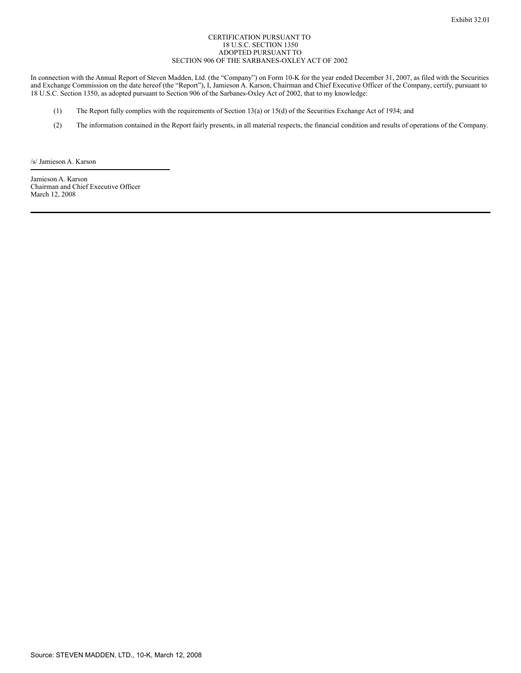## CERTIFICATION PURSUANT TO 18 U.S.C. SECTION 1350 ADOPTED PURSUANT TO SECTION 906 OF THE SARBANES-OXLEY ACT OF 2002

In connection with the Annual Report of Steven Madden, Ltd. (the "Company") on Form 10-K for the year ended December 31, 2007, as filed with the Securities and Exchange Commission on the date hereof (the "Report"), I, Jamieson A. Karson, Chairman and Chief Executive Officer of the Company, certify, pursuant to 18 U.S.C. Section 1350, as adopted pursuant to Section 906 of the Sarbanes-Oxley Act of 2002, that to my knowledge:

- (1) The Report fully complies with the requirements of Section 13(a) or 15(d) of the Securities Exchange Act of 1934; and
- (2) The information contained in the Report fairly presents, in all material respects, the financial condition and results of operations of the Company.

/s/ Jamieson A. Karson

Jamieson A. Karson Chairman and Chief Executive Officer March 12, 2008